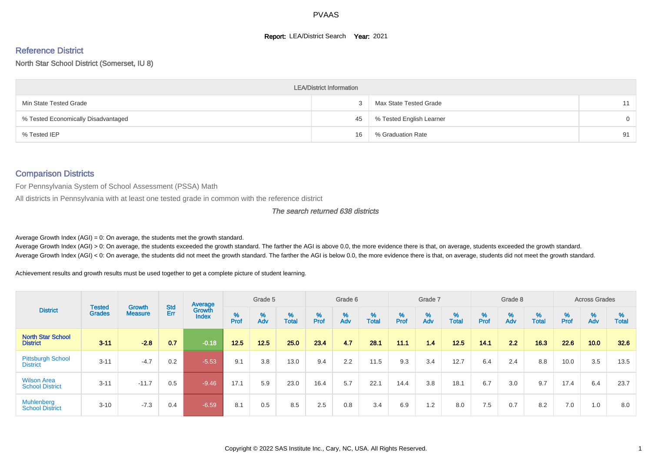#### **Report: LEA/District Search Year: 2021**

# Reference District

#### North Star School District (Somerset, IU 8)

|                                     | <b>LEA/District Information</b> |                          |          |
|-------------------------------------|---------------------------------|--------------------------|----------|
| Min State Tested Grade              |                                 | Max State Tested Grade   | 11       |
| % Tested Economically Disadvantaged | 45                              | % Tested English Learner | $\Omega$ |
| % Tested IEP                        | 16                              | % Graduation Rate        | 91       |

#### Comparison Districts

For Pennsylvania System of School Assessment (PSSA) Math

All districts in Pennsylvania with at least one tested grade in common with the reference district

#### The search returned 638 districts

Average Growth Index  $(AGI) = 0$ : On average, the students met the growth standard.

Average Growth Index (AGI) > 0: On average, the students exceeded the growth standard. The farther the AGI is above 0.0, the more evidence there is that, on average, students exceeded the growth standard. Average Growth Index (AGI) < 0: On average, the students did not meet the growth standard. The farther the AGI is below 0.0, the more evidence there is that, on average, students did not meet the growth standard.

Achievement results and growth results must be used together to get a complete picture of student learning.

|                                              |                                |                                 |            | Average                |           | Grade 5  |                   |                    | Grade 6  |                   |          | Grade 7  |            |           | Grade 8  |                   |        | <b>Across Grades</b> |                   |
|----------------------------------------------|--------------------------------|---------------------------------|------------|------------------------|-----------|----------|-------------------|--------------------|----------|-------------------|----------|----------|------------|-----------|----------|-------------------|--------|----------------------|-------------------|
| <b>District</b>                              | <b>Tested</b><br><b>Grades</b> | <b>Growth</b><br><b>Measure</b> | Std<br>Err | Growth<br><b>Index</b> | %<br>Prof | %<br>Adv | %<br><b>Total</b> | $% P_{\text{ref}}$ | %<br>Adv | %<br><b>Total</b> | $%$ Prof | %<br>Adv | %<br>Total | %<br>Prof | %<br>Adv | %<br><b>Total</b> | % Pref | $\frac{\%}{\%}$      | %<br><b>Total</b> |
| <b>North Star School</b><br><b>District</b>  | $3 - 11$                       | $-2.8$                          | 0.7        | $-0.18$                | 12.5      | 12.5     | 25.0              | 23.4               | 4.7      | 28.1              | 11.1     | 1.4      | 12.5       | 14.1      | 2.2      | 16.3              | 22.6   | 10.0                 | 32.6              |
| <b>Pittsburgh School</b><br><b>District</b>  | $3 - 11$                       | $-4.7$                          | 0.2        | $-5.53$                | 9.1       | 3.8      | 13.0              | 9.4                | 2.2      | 11.5              | 9.3      | 3.4      | 12.7       | 6.4       | 2.4      | 8.8               | 10.0   | 3.5                  | 13.5              |
| <b>Wilson Area</b><br><b>School District</b> | $3 - 11$                       | $-11.7$                         | 0.5        | $-9.46$                | 17.1      | 5.9      | 23.0              | 16.4               | 5.7      | 22.1              | 14.4     | 3.8      | 18.1       | 6.7       | 3.0      | 9.7               | 17.4   | 6.4                  | 23.7              |
| <b>Muhlenberg</b><br><b>School District</b>  | $3 - 10$                       | $-7.3$                          | 0.4        | $-6.59/$               | 8.1       | 0.5      | 8.5               | 2.5                | 0.8      | 3.4               | 6.9      | 1.2      | 8.0        | 7.5       | 0.7      | 8.2               | 7.0    | 1.0                  | 8.0               |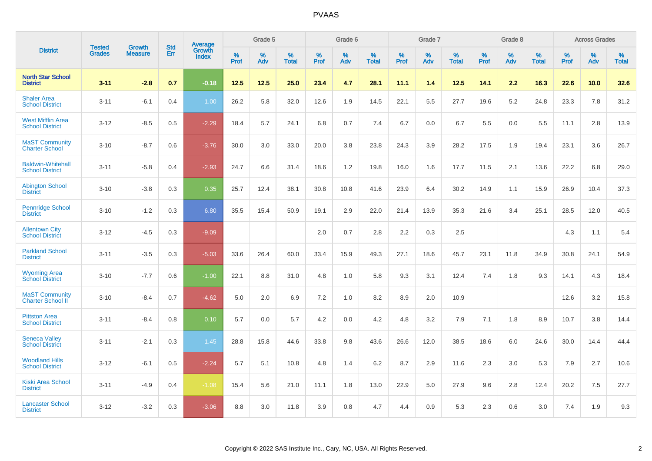|                                                    |                                |                                 | <b>Std</b> | <b>Average</b>         |           | Grade 5  |                   |           | Grade 6  |                   |              | Grade 7  |                   |           | Grade 8  |                   |           | <b>Across Grades</b> |                   |
|----------------------------------------------------|--------------------------------|---------------------------------|------------|------------------------|-----------|----------|-------------------|-----------|----------|-------------------|--------------|----------|-------------------|-----------|----------|-------------------|-----------|----------------------|-------------------|
| <b>District</b>                                    | <b>Tested</b><br><b>Grades</b> | <b>Growth</b><br><b>Measure</b> | Err        | Growth<br><b>Index</b> | %<br>Prof | %<br>Adv | %<br><b>Total</b> | %<br>Prof | %<br>Adv | %<br><b>Total</b> | $\%$<br>Prof | %<br>Adv | %<br><b>Total</b> | %<br>Prof | %<br>Adv | %<br><b>Total</b> | %<br>Prof | %<br>Adv             | %<br><b>Total</b> |
| <b>North Star School</b><br><b>District</b>        | $3 - 11$                       | $-2.8$                          | 0.7        | $-0.18$                | 12.5      | 12.5     | 25.0              | 23.4      | 4.7      | 28.1              | 11.1         | 1.4      | 12.5              | 14.1      | 2.2      | 16.3              | 22.6      | 10.0                 | 32.6              |
| <b>Shaler Area</b><br><b>School District</b>       | $3 - 11$                       | $-6.1$                          | 0.4        | 1.00                   | 26.2      | 5.8      | 32.0              | 12.6      | 1.9      | 14.5              | 22.1         | 5.5      | 27.7              | 19.6      | 5.2      | 24.8              | 23.3      | 7.8                  | 31.2              |
| <b>West Mifflin Area</b><br><b>School District</b> | $3 - 12$                       | $-8.5$                          | 0.5        | $-2.29$                | 18.4      | 5.7      | 24.1              | 6.8       | 0.7      | 7.4               | 6.7          | 0.0      | 6.7               | 5.5       | 0.0      | 5.5               | 11.1      | 2.8                  | 13.9              |
| <b>MaST Community</b><br><b>Charter School</b>     | $3 - 10$                       | $-8.7$                          | 0.6        | $-3.76$                | 30.0      | 3.0      | 33.0              | 20.0      | 3.8      | 23.8              | 24.3         | 3.9      | 28.2              | 17.5      | 1.9      | 19.4              | 23.1      | 3.6                  | 26.7              |
| <b>Baldwin-Whitehall</b><br><b>School District</b> | $3 - 11$                       | $-5.8$                          | 0.4        | $-2.93$                | 24.7      | 6.6      | 31.4              | 18.6      | 1.2      | 19.8              | 16.0         | 1.6      | 17.7              | 11.5      | 2.1      | 13.6              | 22.2      | 6.8                  | 29.0              |
| <b>Abington School</b><br><b>District</b>          | $3 - 10$                       | $-3.8$                          | 0.3        | 0.35                   | 25.7      | 12.4     | 38.1              | 30.8      | 10.8     | 41.6              | 23.9         | 6.4      | 30.2              | 14.9      | 1.1      | 15.9              | 26.9      | 10.4                 | 37.3              |
| <b>Pennridge School</b><br><b>District</b>         | $3 - 10$                       | $-1.2$                          | 0.3        | 6.80                   | 35.5      | 15.4     | 50.9              | 19.1      | 2.9      | 22.0              | 21.4         | 13.9     | 35.3              | 21.6      | 3.4      | 25.1              | 28.5      | 12.0                 | 40.5              |
| <b>Allentown City</b><br><b>School District</b>    | $3 - 12$                       | $-4.5$                          | 0.3        | $-9.09$                |           |          |                   | 2.0       | 0.7      | 2.8               | 2.2          | 0.3      | 2.5               |           |          |                   | 4.3       | 1.1                  | 5.4               |
| <b>Parkland School</b><br><b>District</b>          | $3 - 11$                       | $-3.5$                          | 0.3        | $-5.03$                | 33.6      | 26.4     | 60.0              | 33.4      | 15.9     | 49.3              | 27.1         | 18.6     | 45.7              | 23.1      | 11.8     | 34.9              | 30.8      | 24.1                 | 54.9              |
| <b>Wyoming Area</b><br><b>School District</b>      | $3 - 10$                       | $-7.7$                          | 0.6        | $-1.00$                | 22.1      | 8.8      | 31.0              | 4.8       | 1.0      | 5.8               | 9.3          | 3.1      | 12.4              | 7.4       | 1.8      | 9.3               | 14.1      | 4.3                  | 18.4              |
| <b>MaST Community</b><br><b>Charter School II</b>  | $3 - 10$                       | $-8.4$                          | 0.7        | $-4.62$                | 5.0       | 2.0      | 6.9               | 7.2       | 1.0      | 8.2               | 8.9          | 2.0      | 10.9              |           |          |                   | 12.6      | 3.2                  | 15.8              |
| <b>Pittston Area</b><br><b>School District</b>     | $3 - 11$                       | $-8.4$                          | 0.8        | 0.10                   | 5.7       | 0.0      | 5.7               | 4.2       | 0.0      | 4.2               | 4.8          | 3.2      | 7.9               | 7.1       | 1.8      | 8.9               | 10.7      | 3.8                  | 14.4              |
| <b>Seneca Valley</b><br><b>School District</b>     | $3 - 11$                       | $-2.1$                          | 0.3        | 1.45                   | 28.8      | 15.8     | 44.6              | 33.8      | 9.8      | 43.6              | 26.6         | 12.0     | 38.5              | 18.6      | 6.0      | 24.6              | 30.0      | 14.4                 | 44.4              |
| <b>Woodland Hills</b><br><b>School District</b>    | $3 - 12$                       | $-6.1$                          | 0.5        | $-2.24$                | 5.7       | 5.1      | 10.8              | 4.8       | 1.4      | 6.2               | 8.7          | 2.9      | 11.6              | 2.3       | 3.0      | 5.3               | 7.9       | 2.7                  | 10.6              |
| <b>Kiski Area School</b><br><b>District</b>        | $3 - 11$                       | $-4.9$                          | 0.4        | $-1.08$                | 15.4      | 5.6      | 21.0              | 11.1      | 1.8      | 13.0              | 22.9         | 5.0      | 27.9              | 9.6       | 2.8      | 12.4              | 20.2      | 7.5                  | 27.7              |
| <b>Lancaster School</b><br><b>District</b>         | $3 - 12$                       | $-3.2$                          | 0.3        | $-3.06$                | 8.8       | 3.0      | 11.8              | 3.9       | 0.8      | 4.7               | 4.4          | 0.9      | 5.3               | 2.3       | 0.6      | 3.0               | 7.4       | 1.9                  | 9.3               |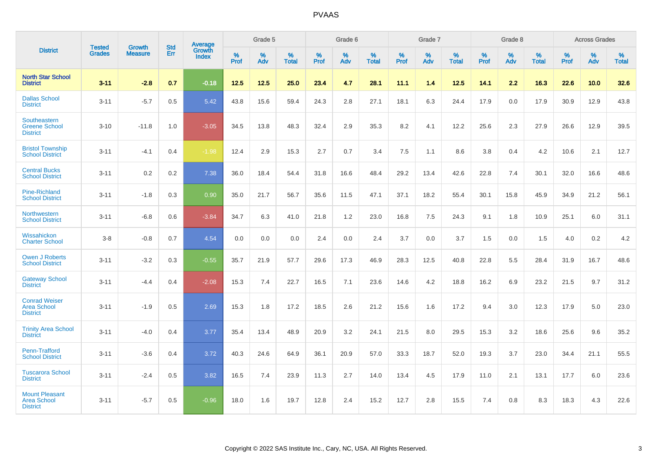|                                                                |                                |                          | <b>Std</b> | Average                |           | Grade 5  |                   |           | Grade 6  |                   |           | Grade 7  |                   |           | Grade 8  |                   |           | <b>Across Grades</b> |                   |
|----------------------------------------------------------------|--------------------------------|--------------------------|------------|------------------------|-----------|----------|-------------------|-----------|----------|-------------------|-----------|----------|-------------------|-----------|----------|-------------------|-----------|----------------------|-------------------|
| <b>District</b>                                                | <b>Tested</b><br><b>Grades</b> | Growth<br><b>Measure</b> | Err        | Growth<br><b>Index</b> | %<br>Prof | %<br>Adv | %<br><b>Total</b> | %<br>Prof | %<br>Adv | %<br><b>Total</b> | %<br>Prof | %<br>Adv | %<br><b>Total</b> | %<br>Prof | %<br>Adv | %<br><b>Total</b> | %<br>Prof | %<br>Adv             | %<br><b>Total</b> |
| <b>North Star School</b><br><b>District</b>                    | $3 - 11$                       | $-2.8$                   | 0.7        | $-0.18$                | 12.5      | 12.5     | 25.0              | 23.4      | 4.7      | 28.1              | 11.1      | 1.4      | 12.5              | 14.1      | 2.2      | 16.3              | 22.6      | 10.0                 | 32.6              |
| <b>Dallas School</b><br><b>District</b>                        | $3 - 11$                       | $-5.7$                   | 0.5        | 5.42                   | 43.8      | 15.6     | 59.4              | 24.3      | 2.8      | 27.1              | 18.1      | 6.3      | 24.4              | 17.9      | 0.0      | 17.9              | 30.9      | 12.9                 | 43.8              |
| Southeastern<br><b>Greene School</b><br><b>District</b>        | $3 - 10$                       | $-11.8$                  | 1.0        | $-3.05$                | 34.5      | 13.8     | 48.3              | 32.4      | 2.9      | 35.3              | 8.2       | 4.1      | 12.2              | 25.6      | 2.3      | 27.9              | 26.6      | 12.9                 | 39.5              |
| <b>Bristol Township</b><br><b>School District</b>              | $3 - 11$                       | $-4.1$                   | 0.4        | $-1.98$                | 12.4      | 2.9      | 15.3              | 2.7       | 0.7      | 3.4               | 7.5       | 1.1      | 8.6               | 3.8       | 0.4      | 4.2               | 10.6      | 2.1                  | 12.7              |
| <b>Central Bucks</b><br><b>School District</b>                 | $3 - 11$                       | 0.2                      | 0.2        | 7.38                   | 36.0      | 18.4     | 54.4              | 31.8      | 16.6     | 48.4              | 29.2      | 13.4     | 42.6              | 22.8      | 7.4      | 30.1              | 32.0      | 16.6                 | 48.6              |
| <b>Pine-Richland</b><br><b>School District</b>                 | $3 - 11$                       | $-1.8$                   | 0.3        | 0.90                   | 35.0      | 21.7     | 56.7              | 35.6      | 11.5     | 47.1              | 37.1      | 18.2     | 55.4              | 30.1      | 15.8     | 45.9              | 34.9      | 21.2                 | 56.1              |
| Northwestern<br><b>School District</b>                         | $3 - 11$                       | $-6.8$                   | 0.6        | $-3.84$                | 34.7      | 6.3      | 41.0              | 21.8      | 1.2      | 23.0              | 16.8      | 7.5      | 24.3              | 9.1       | 1.8      | 10.9              | 25.1      | 6.0                  | 31.1              |
| Wissahickon<br><b>Charter School</b>                           | $3 - 8$                        | $-0.8$                   | 0.7        | 4.54                   | 0.0       | 0.0      | 0.0               | 2.4       | 0.0      | 2.4               | 3.7       | 0.0      | 3.7               | 1.5       | 0.0      | 1.5               | 4.0       | $0.2\,$              | 4.2               |
| <b>Owen J Roberts</b><br><b>School District</b>                | $3 - 11$                       | $-3.2$                   | 0.3        | $-0.55$                | 35.7      | 21.9     | 57.7              | 29.6      | 17.3     | 46.9              | 28.3      | 12.5     | 40.8              | 22.8      | 5.5      | 28.4              | 31.9      | 16.7                 | 48.6              |
| <b>Gateway School</b><br><b>District</b>                       | $3 - 11$                       | $-4.4$                   | 0.4        | $-2.08$                | 15.3      | 7.4      | 22.7              | 16.5      | 7.1      | 23.6              | 14.6      | 4.2      | 18.8              | 16.2      | 6.9      | 23.2              | 21.5      | 9.7                  | 31.2              |
| <b>Conrad Weiser</b><br><b>Area School</b><br><b>District</b>  | $3 - 11$                       | $-1.9$                   | 0.5        | 2.69                   | 15.3      | 1.8      | 17.2              | 18.5      | 2.6      | 21.2              | 15.6      | 1.6      | 17.2              | 9.4       | 3.0      | 12.3              | 17.9      | 5.0                  | 23.0              |
| <b>Trinity Area School</b><br><b>District</b>                  | $3 - 11$                       | $-4.0$                   | 0.4        | 3.77                   | 35.4      | 13.4     | 48.9              | 20.9      | 3.2      | 24.1              | 21.5      | 8.0      | 29.5              | 15.3      | 3.2      | 18.6              | 25.6      | 9.6                  | 35.2              |
| Penn-Trafford<br><b>School District</b>                        | $3 - 11$                       | $-3.6$                   | 0.4        | 3.72                   | 40.3      | 24.6     | 64.9              | 36.1      | 20.9     | 57.0              | 33.3      | 18.7     | 52.0              | 19.3      | 3.7      | 23.0              | 34.4      | 21.1                 | 55.5              |
| <b>Tuscarora School</b><br><b>District</b>                     | $3 - 11$                       | $-2.4$                   | 0.5        | 3.82                   | 16.5      | 7.4      | 23.9              | 11.3      | 2.7      | 14.0              | 13.4      | 4.5      | 17.9              | 11.0      | 2.1      | 13.1              | 17.7      | 6.0                  | 23.6              |
| <b>Mount Pleasant</b><br><b>Area School</b><br><b>District</b> | $3 - 11$                       | $-5.7$                   | 0.5        | $-0.96$                | 18.0      | 1.6      | 19.7              | 12.8      | 2.4      | 15.2              | 12.7      | 2.8      | 15.5              | 7.4       | 0.8      | 8.3               | 18.3      | 4.3                  | 22.6              |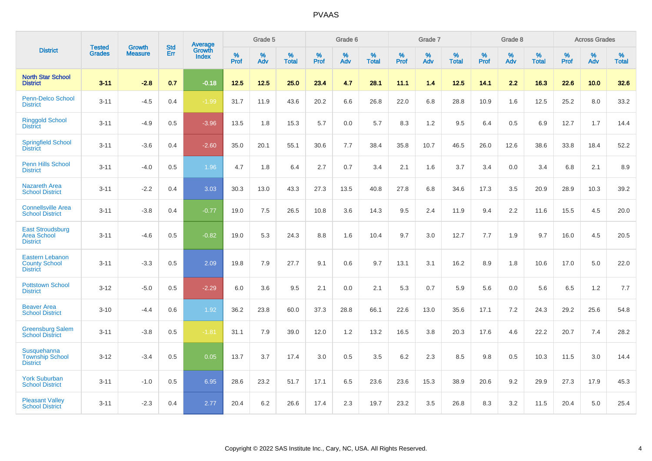|                                                                   |                                |                                 | <b>Std</b> | Average                       |           | Grade 5  |                   |           | Grade 6  |                   |           | Grade 7  |                   |           | Grade 8  |                   |           | <b>Across Grades</b> |                   |
|-------------------------------------------------------------------|--------------------------------|---------------------------------|------------|-------------------------------|-----------|----------|-------------------|-----------|----------|-------------------|-----------|----------|-------------------|-----------|----------|-------------------|-----------|----------------------|-------------------|
| <b>District</b>                                                   | <b>Tested</b><br><b>Grades</b> | <b>Growth</b><br><b>Measure</b> | Err        | <b>Growth</b><br><b>Index</b> | %<br>Prof | %<br>Adv | %<br><b>Total</b> | %<br>Prof | %<br>Adv | %<br><b>Total</b> | %<br>Prof | %<br>Adv | %<br><b>Total</b> | %<br>Prof | %<br>Adv | %<br><b>Total</b> | %<br>Prof | %<br>Adv             | %<br><b>Total</b> |
| <b>North Star School</b><br><b>District</b>                       | $3 - 11$                       | $-2.8$                          | 0.7        | $-0.18$                       | $12.5$    | 12.5     | 25.0              | 23.4      | 4.7      | 28.1              | 11.1      | 1.4      | 12.5              | 14.1      | 2.2      | 16.3              | 22.6      | 10.0                 | 32.6              |
| <b>Penn-Delco School</b><br><b>District</b>                       | $3 - 11$                       | $-4.5$                          | 0.4        | $-1.99$                       | 31.7      | 11.9     | 43.6              | 20.2      | 6.6      | 26.8              | 22.0      | 6.8      | 28.8              | 10.9      | 1.6      | 12.5              | 25.2      | 8.0                  | 33.2              |
| <b>Ringgold School</b><br><b>District</b>                         | $3 - 11$                       | $-4.9$                          | 0.5        | $-3.96$                       | 13.5      | 1.8      | 15.3              | 5.7       | 0.0      | 5.7               | 8.3       | 1.2      | 9.5               | 6.4       | 0.5      | 6.9               | 12.7      | 1.7                  | 14.4              |
| <b>Springfield School</b><br><b>District</b>                      | $3 - 11$                       | $-3.6$                          | 0.4        | $-2.60$                       | 35.0      | 20.1     | 55.1              | 30.6      | 7.7      | 38.4              | 35.8      | 10.7     | 46.5              | 26.0      | 12.6     | 38.6              | 33.8      | 18.4                 | 52.2              |
| Penn Hills School<br><b>District</b>                              | $3 - 11$                       | $-4.0$                          | 0.5        | 1.96                          | 4.7       | 1.8      | 6.4               | 2.7       | 0.7      | 3.4               | 2.1       | 1.6      | 3.7               | 3.4       | 0.0      | 3.4               | 6.8       | 2.1                  | 8.9               |
| <b>Nazareth Area</b><br><b>School District</b>                    | $3 - 11$                       | $-2.2$                          | 0.4        | 3.03                          | 30.3      | 13.0     | 43.3              | 27.3      | 13.5     | 40.8              | 27.8      | 6.8      | 34.6              | 17.3      | 3.5      | 20.9              | 28.9      | 10.3                 | 39.2              |
| <b>Connellsville Area</b><br><b>School District</b>               | $3 - 11$                       | $-3.8$                          | 0.4        | $-0.77$                       | 19.0      | 7.5      | 26.5              | 10.8      | 3.6      | 14.3              | 9.5       | 2.4      | 11.9              | 9.4       | 2.2      | 11.6              | 15.5      | 4.5                  | 20.0              |
| <b>East Stroudsburg</b><br><b>Area School</b><br><b>District</b>  | $3 - 11$                       | $-4.6$                          | 0.5        | $-0.82$                       | 19.0      | 5.3      | 24.3              | 8.8       | 1.6      | 10.4              | 9.7       | 3.0      | 12.7              | 7.7       | 1.9      | 9.7               | 16.0      | 4.5                  | 20.5              |
| <b>Eastern Lebanon</b><br><b>County School</b><br><b>District</b> | $3 - 11$                       | $-3.3$                          | 0.5        | 2.09                          | 19.8      | 7.9      | 27.7              | 9.1       | 0.6      | 9.7               | 13.1      | 3.1      | 16.2              | 8.9       | 1.8      | 10.6              | 17.0      | 5.0                  | 22.0              |
| <b>Pottstown School</b><br><b>District</b>                        | $3 - 12$                       | $-5.0$                          | 0.5        | $-2.29$                       | 6.0       | 3.6      | 9.5               | 2.1       | 0.0      | 2.1               | 5.3       | 0.7      | 5.9               | 5.6       | 0.0      | 5.6               | 6.5       | 1.2                  | 7.7               |
| <b>Beaver Area</b><br><b>School District</b>                      | $3 - 10$                       | $-4.4$                          | 0.6        | 1.92                          | 36.2      | 23.8     | 60.0              | 37.3      | 28.8     | 66.1              | 22.6      | 13.0     | 35.6              | 17.1      | 7.2      | 24.3              | 29.2      | 25.6                 | 54.8              |
| <b>Greensburg Salem</b><br><b>School District</b>                 | $3 - 11$                       | $-3.8$                          | 0.5        | $-1.81$                       | 31.1      | 7.9      | 39.0              | 12.0      | 1.2      | 13.2              | 16.5      | 3.8      | 20.3              | 17.6      | 4.6      | 22.2              | 20.7      | 7.4                  | 28.2              |
| Susquehanna<br><b>Township School</b><br><b>District</b>          | $3 - 12$                       | $-3.4$                          | 0.5        | 0.05                          | 13.7      | 3.7      | 17.4              | 3.0       | 0.5      | 3.5               | 6.2       | 2.3      | 8.5               | 9.8       | 0.5      | 10.3              | 11.5      | 3.0                  | 14.4              |
| <b>York Suburban</b><br><b>School District</b>                    | $3 - 11$                       | $-1.0$                          | 0.5        | 6.95                          | 28.6      | 23.2     | 51.7              | 17.1      | 6.5      | 23.6              | 23.6      | 15.3     | 38.9              | 20.6      | 9.2      | 29.9              | 27.3      | 17.9                 | 45.3              |
| <b>Pleasant Valley</b><br><b>School District</b>                  | $3 - 11$                       | $-2.3$                          | 0.4        | 2.77                          | 20.4      | 6.2      | 26.6              | 17.4      | 2.3      | 19.7              | 23.2      | 3.5      | 26.8              | 8.3       | 3.2      | 11.5              | 20.4      | 5.0                  | 25.4              |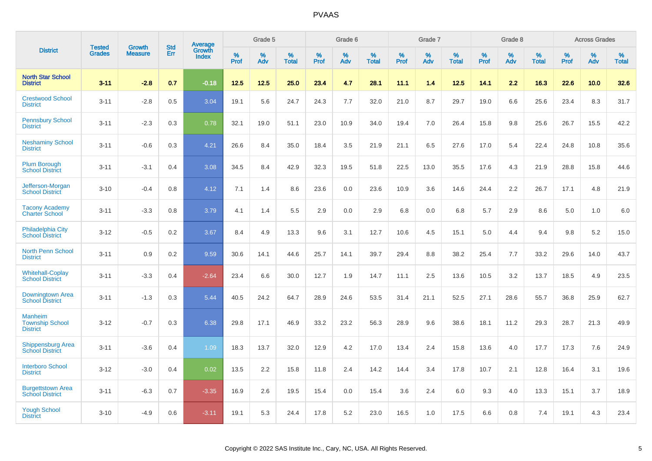|                                                             | <b>Tested</b> | <b>Growth</b>  | <b>Std</b> | Average                |              | Grade 5     |                      |              | Grade 6     |                      |              | Grade 7     |                   |              | Grade 8     |                   |                     | <b>Across Grades</b> |                      |
|-------------------------------------------------------------|---------------|----------------|------------|------------------------|--------------|-------------|----------------------|--------------|-------------|----------------------|--------------|-------------|-------------------|--------------|-------------|-------------------|---------------------|----------------------|----------------------|
| <b>District</b>                                             | <b>Grades</b> | <b>Measure</b> | Err        | Growth<br><b>Index</b> | $\%$<br>Prof | $\%$<br>Adv | $\%$<br><b>Total</b> | $\%$<br>Prof | $\%$<br>Adv | $\%$<br><b>Total</b> | $\%$<br>Prof | $\%$<br>Adv | %<br><b>Total</b> | $\%$<br>Prof | $\%$<br>Adv | %<br><b>Total</b> | $\%$<br><b>Prof</b> | $\%$<br>Adv          | $\%$<br><b>Total</b> |
| <b>North Star School</b><br><b>District</b>                 | $3 - 11$      | $-2.8$         | 0.7        | $-0.18$                | 12.5         | 12.5        | 25.0                 | 23.4         | 4.7         | 28.1                 | 11.1         | 1.4         | 12.5              | 14.1         | 2.2         | 16.3              | 22.6                | 10.0                 | 32.6                 |
| <b>Crestwood School</b><br><b>District</b>                  | $3 - 11$      | $-2.8$         | 0.5        | 3.04                   | 19.1         | 5.6         | 24.7                 | 24.3         | 7.7         | 32.0                 | 21.0         | 8.7         | 29.7              | 19.0         | 6.6         | 25.6              | 23.4                | 8.3                  | 31.7                 |
| <b>Pennsbury School</b><br><b>District</b>                  | $3 - 11$      | $-2.3$         | 0.3        | 0.78                   | 32.1         | 19.0        | 51.1                 | 23.0         | 10.9        | 34.0                 | 19.4         | 7.0         | 26.4              | 15.8         | 9.8         | 25.6              | 26.7                | 15.5                 | 42.2                 |
| <b>Neshaminy School</b><br><b>District</b>                  | $3 - 11$      | $-0.6$         | 0.3        | 4.21                   | 26.6         | 8.4         | 35.0                 | 18.4         | 3.5         | 21.9                 | 21.1         | 6.5         | 27.6              | 17.0         | 5.4         | 22.4              | 24.8                | 10.8                 | 35.6                 |
| <b>Plum Borough</b><br><b>School District</b>               | $3 - 11$      | $-3.1$         | 0.4        | 3.08                   | 34.5         | 8.4         | 42.9                 | 32.3         | 19.5        | 51.8                 | 22.5         | 13.0        | 35.5              | 17.6         | 4.3         | 21.9              | 28.8                | 15.8                 | 44.6                 |
| Jefferson-Morgan<br><b>School District</b>                  | $3 - 10$      | $-0.4$         | 0.8        | 4.12                   | 7.1          | 1.4         | 8.6                  | 23.6         | 0.0         | 23.6                 | 10.9         | 3.6         | 14.6              | 24.4         | 2.2         | 26.7              | 17.1                | 4.8                  | 21.9                 |
| <b>Tacony Academy</b><br><b>Charter School</b>              | $3 - 11$      | $-3.3$         | 0.8        | 3.79                   | 4.1          | 1.4         | 5.5                  | 2.9          | 0.0         | 2.9                  | 6.8          | 0.0         | 6.8               | 5.7          | 2.9         | 8.6               | 5.0                 | 1.0                  | 6.0                  |
| <b>Philadelphia City</b><br><b>School District</b>          | $3 - 12$      | $-0.5$         | 0.2        | 3.67                   | 8.4          | 4.9         | 13.3                 | 9.6          | 3.1         | 12.7                 | 10.6         | 4.5         | 15.1              | 5.0          | 4.4         | 9.4               | 9.8                 | 5.2                  | 15.0                 |
| <b>North Penn School</b><br><b>District</b>                 | $3 - 11$      | 0.9            | 0.2        | 9.59                   | 30.6         | 14.1        | 44.6                 | 25.7         | 14.1        | 39.7                 | 29.4         | 8.8         | 38.2              | 25.4         | 7.7         | 33.2              | 29.6                | 14.0                 | 43.7                 |
| <b>Whitehall-Coplay</b><br><b>School District</b>           | $3 - 11$      | $-3.3$         | 0.4        | $-2.64$                | 23.4         | 6.6         | 30.0                 | 12.7         | 1.9         | 14.7                 | 11.1         | 2.5         | 13.6              | 10.5         | 3.2         | 13.7              | 18.5                | 4.9                  | 23.5                 |
| Downingtown Area<br><b>School District</b>                  | $3 - 11$      | $-1.3$         | 0.3        | 5.44                   | 40.5         | 24.2        | 64.7                 | 28.9         | 24.6        | 53.5                 | 31.4         | 21.1        | 52.5              | 27.1         | 28.6        | 55.7              | 36.8                | 25.9                 | 62.7                 |
| <b>Manheim</b><br><b>Township School</b><br><b>District</b> | $3 - 12$      | $-0.7$         | 0.3        | 6.38                   | 29.8         | 17.1        | 46.9                 | 33.2         | 23.2        | 56.3                 | 28.9         | 9.6         | 38.6              | 18.1         | 11.2        | 29.3              | 28.7                | 21.3                 | 49.9                 |
| <b>Shippensburg Area</b><br><b>School District</b>          | $3 - 11$      | $-3.6$         | 0.4        | 1.09                   | 18.3         | 13.7        | 32.0                 | 12.9         | 4.2         | 17.0                 | 13.4         | 2.4         | 15.8              | 13.6         | 4.0         | 17.7              | 17.3                | 7.6                  | 24.9                 |
| <b>Interboro School</b><br><b>District</b>                  | $3 - 12$      | $-3.0$         | 0.4        | 0.02                   | 13.5         | 2.2         | 15.8                 | 11.8         | 2.4         | 14.2                 | 14.4         | 3.4         | 17.8              | 10.7         | 2.1         | 12.8              | 16.4                | 3.1                  | 19.6                 |
| <b>Burgettstown Area</b><br><b>School District</b>          | $3 - 11$      | $-6.3$         | 0.7        | $-3.35$                | 16.9         | 2.6         | 19.5                 | 15.4         | 0.0         | 15.4                 | 3.6          | 2.4         | 6.0               | 9.3          | 4.0         | 13.3              | 15.1                | 3.7                  | 18.9                 |
| <b>Yough School</b><br><b>District</b>                      | $3 - 10$      | $-4.9$         | 0.6        | $-3.11$                | 19.1         | 5.3         | 24.4                 | 17.8         | 5.2         | 23.0                 | 16.5         | 1.0         | 17.5              | 6.6          | 0.8         | 7.4               | 19.1                | 4.3                  | 23.4                 |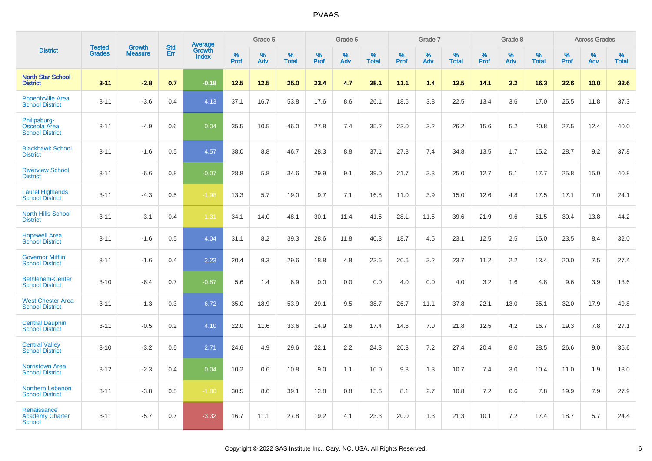|                                                        |                                |                                 | <b>Std</b> | Average                |                     | Grade 5  |                      |                     | Grade 6  |                      |              | Grade 7  |                      |                     | Grade 8  |                      |                     | <b>Across Grades</b> |                      |
|--------------------------------------------------------|--------------------------------|---------------------------------|------------|------------------------|---------------------|----------|----------------------|---------------------|----------|----------------------|--------------|----------|----------------------|---------------------|----------|----------------------|---------------------|----------------------|----------------------|
| <b>District</b>                                        | <b>Tested</b><br><b>Grades</b> | <b>Growth</b><br><b>Measure</b> | Err        | Growth<br><b>Index</b> | $\%$<br><b>Prof</b> | %<br>Adv | $\%$<br><b>Total</b> | $\%$<br><b>Prof</b> | %<br>Adv | $\%$<br><b>Total</b> | $\%$<br>Prof | %<br>Adv | $\%$<br><b>Total</b> | $\%$<br><b>Prof</b> | %<br>Adv | $\%$<br><b>Total</b> | $\%$<br><b>Prof</b> | $\%$<br>Adv          | $\%$<br><b>Total</b> |
| <b>North Star School</b><br><b>District</b>            | $3 - 11$                       | $-2.8$                          | 0.7        | $-0.18$                | 12.5                | 12.5     | 25.0                 | 23.4                | 4.7      | 28.1                 | 11.1         | 1.4      | 12.5                 | 14.1                | 2.2      | 16.3                 | 22.6                | 10.0                 | 32.6                 |
| <b>Phoenixville Area</b><br><b>School District</b>     | $3 - 11$                       | $-3.6$                          | 0.4        | 4.13                   | 37.1                | 16.7     | 53.8                 | 17.6                | 8.6      | 26.1                 | 18.6         | 3.8      | 22.5                 | 13.4                | 3.6      | 17.0                 | 25.5                | 11.8                 | 37.3                 |
| Philipsburg-<br>Osceola Area<br><b>School District</b> | $3 - 11$                       | $-4.9$                          | 0.6        | 0.04                   | 35.5                | 10.5     | 46.0                 | 27.8                | 7.4      | 35.2                 | 23.0         | 3.2      | 26.2                 | 15.6                | 5.2      | 20.8                 | 27.5                | 12.4                 | 40.0                 |
| <b>Blackhawk School</b><br><b>District</b>             | $3 - 11$                       | $-1.6$                          | 0.5        | 4.57                   | 38.0                | 8.8      | 46.7                 | 28.3                | 8.8      | 37.1                 | 27.3         | 7.4      | 34.8                 | 13.5                | 1.7      | 15.2                 | 28.7                | 9.2                  | 37.8                 |
| <b>Riverview School</b><br><b>District</b>             | $3 - 11$                       | $-6.6$                          | 0.8        | $-0.07$                | 28.8                | 5.8      | 34.6                 | 29.9                | 9.1      | 39.0                 | 21.7         | 3.3      | 25.0                 | 12.7                | 5.1      | 17.7                 | 25.8                | 15.0                 | 40.8                 |
| <b>Laurel Highlands</b><br><b>School District</b>      | $3 - 11$                       | $-4.3$                          | 0.5        | $-1.98$                | 13.3                | 5.7      | 19.0                 | 9.7                 | 7.1      | 16.8                 | 11.0         | 3.9      | 15.0                 | 12.6                | 4.8      | 17.5                 | 17.1                | 7.0                  | 24.1                 |
| <b>North Hills School</b><br><b>District</b>           | $3 - 11$                       | $-3.1$                          | 0.4        | $-1.31$                | 34.1                | 14.0     | 48.1                 | 30.1                | 11.4     | 41.5                 | 28.1         | 11.5     | 39.6                 | 21.9                | 9.6      | 31.5                 | 30.4                | 13.8                 | 44.2                 |
| <b>Hopewell Area</b><br><b>School District</b>         | $3 - 11$                       | $-1.6$                          | 0.5        | 4.04                   | 31.1                | 8.2      | 39.3                 | 28.6                | 11.8     | 40.3                 | 18.7         | 4.5      | 23.1                 | 12.5                | 2.5      | 15.0                 | 23.5                | 8.4                  | 32.0                 |
| <b>Governor Mifflin</b><br><b>School District</b>      | $3 - 11$                       | $-1.6$                          | 0.4        | 2.23                   | 20.4                | 9.3      | 29.6                 | 18.8                | 4.8      | 23.6                 | 20.6         | 3.2      | 23.7                 | 11.2                | 2.2      | 13.4                 | 20.0                | 7.5                  | 27.4                 |
| <b>Bethlehem-Center</b><br><b>School District</b>      | $3 - 10$                       | $-6.4$                          | 0.7        | $-0.87$                | 5.6                 | 1.4      | 6.9                  | 0.0                 | 0.0      | 0.0                  | 4.0          | 0.0      | 4.0                  | 3.2                 | 1.6      | 4.8                  | 9.6                 | 3.9                  | 13.6                 |
| <b>West Chester Area</b><br><b>School District</b>     | $3 - 11$                       | $-1.3$                          | 0.3        | 6.72                   | 35.0                | 18.9     | 53.9                 | 29.1                | 9.5      | 38.7                 | 26.7         | 11.1     | 37.8                 | 22.1                | 13.0     | 35.1                 | 32.0                | 17.9                 | 49.8                 |
| <b>Central Dauphin</b><br><b>School District</b>       | $3 - 11$                       | $-0.5$                          | 0.2        | 4.10                   | 22.0                | 11.6     | 33.6                 | 14.9                | 2.6      | 17.4                 | 14.8         | 7.0      | 21.8                 | 12.5                | 4.2      | 16.7                 | 19.3                | 7.8                  | 27.1                 |
| <b>Central Valley</b><br><b>School District</b>        | $3 - 10$                       | $-3.2$                          | 0.5        | 2.71                   | 24.6                | 4.9      | 29.6                 | 22.1                | 2.2      | 24.3                 | 20.3         | 7.2      | 27.4                 | 20.4                | 8.0      | 28.5                 | 26.6                | 9.0                  | 35.6                 |
| <b>Norristown Area</b><br><b>School District</b>       | $3 - 12$                       | $-2.3$                          | 0.4        | 0.04                   | 10.2                | 0.6      | 10.8                 | 9.0                 | 1.1      | 10.0                 | 9.3          | 1.3      | 10.7                 | 7.4                 | 3.0      | 10.4                 | 11.0                | 1.9                  | 13.0                 |
| Northern Lebanon<br><b>School District</b>             | $3 - 11$                       | $-3.8$                          | 0.5        | $-1.80$                | 30.5                | 8.6      | 39.1                 | 12.8                | 0.8      | 13.6                 | 8.1          | 2.7      | 10.8                 | 7.2                 | 0.6      | 7.8                  | 19.9                | 7.9                  | 27.9                 |
| Renaissance<br><b>Academy Charter</b><br>School        | $3 - 11$                       | $-5.7$                          | 0.7        | $-3.32$                | 16.7                | 11.1     | 27.8                 | 19.2                | 4.1      | 23.3                 | 20.0         | 1.3      | 21.3                 | 10.1                | 7.2      | 17.4                 | 18.7                | 5.7                  | 24.4                 |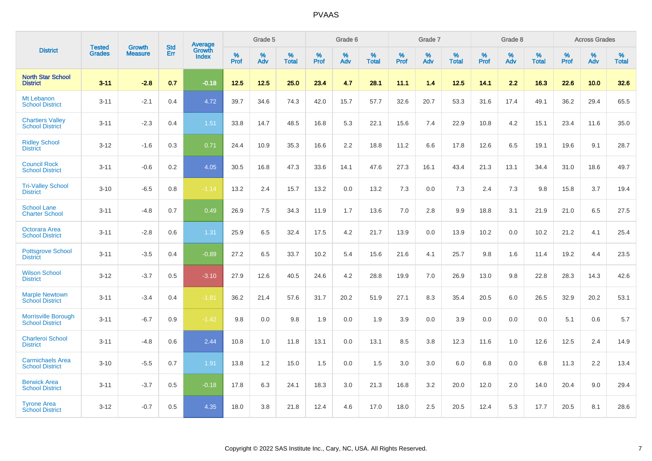|                                                      |                                |                                 | <b>Std</b> | Average                |           | Grade 5  |                   |           | Grade 6  |                   |              | Grade 7  |                   |           | Grade 8  |                   |           | <b>Across Grades</b> |            |
|------------------------------------------------------|--------------------------------|---------------------------------|------------|------------------------|-----------|----------|-------------------|-----------|----------|-------------------|--------------|----------|-------------------|-----------|----------|-------------------|-----------|----------------------|------------|
| <b>District</b>                                      | <b>Tested</b><br><b>Grades</b> | <b>Growth</b><br><b>Measure</b> | Err        | Growth<br><b>Index</b> | %<br>Prof | %<br>Adv | %<br><b>Total</b> | %<br>Prof | %<br>Adv | %<br><b>Total</b> | $\%$<br>Prof | %<br>Adv | %<br><b>Total</b> | %<br>Prof | %<br>Adv | %<br><b>Total</b> | %<br>Prof | %<br>Adv             | %<br>Total |
| <b>North Star School</b><br><b>District</b>          | $3 - 11$                       | $-2.8$                          | 0.7        | $-0.18$                | 12.5      | 12.5     | 25.0              | 23.4      | 4.7      | 28.1              | 11.1         | 1.4      | 12.5              | 14.1      | 2.2      | 16.3              | 22.6      | 10.0                 | 32.6       |
| Mt Lebanon<br><b>School District</b>                 | $3 - 11$                       | $-2.1$                          | 0.4        | 4.72                   | 39.7      | 34.6     | 74.3              | 42.0      | 15.7     | 57.7              | 32.6         | 20.7     | 53.3              | 31.6      | 17.4     | 49.1              | 36.2      | 29.4                 | 65.5       |
| <b>Chartiers Valley</b><br><b>School District</b>    | $3 - 11$                       | $-2.3$                          | 0.4        | 1.51                   | 33.8      | 14.7     | 48.5              | 16.8      | 5.3      | 22.1              | 15.6         | 7.4      | 22.9              | 10.8      | 4.2      | 15.1              | 23.4      | 11.6                 | 35.0       |
| <b>Ridley School</b><br><b>District</b>              | $3 - 12$                       | $-1.6$                          | 0.3        | 0.71                   | 24.4      | 10.9     | 35.3              | 16.6      | 2.2      | 18.8              | 11.2         | 6.6      | 17.8              | 12.6      | 6.5      | 19.1              | 19.6      | 9.1                  | 28.7       |
| <b>Council Rock</b><br><b>School District</b>        | $3 - 11$                       | $-0.6$                          | 0.2        | 4.05                   | 30.5      | 16.8     | 47.3              | 33.6      | 14.1     | 47.6              | 27.3         | 16.1     | 43.4              | 21.3      | 13.1     | 34.4              | 31.0      | 18.6                 | 49.7       |
| <b>Tri-Valley School</b><br><b>District</b>          | $3 - 10$                       | $-6.5$                          | 0.8        | $-1.14$                | 13.2      | 2.4      | 15.7              | 13.2      | 0.0      | 13.2              | 7.3          | 0.0      | 7.3               | 2.4       | 7.3      | 9.8               | 15.8      | 3.7                  | 19.4       |
| <b>School Lane</b><br><b>Charter School</b>          | $3 - 11$                       | $-4.8$                          | 0.7        | 0.49                   | 26.9      | 7.5      | 34.3              | 11.9      | 1.7      | 13.6              | 7.0          | 2.8      | 9.9               | 18.8      | 3.1      | 21.9              | 21.0      | 6.5                  | 27.5       |
| Octorara Area<br><b>School District</b>              | $3 - 11$                       | $-2.8$                          | 0.6        | 1.31                   | 25.9      | 6.5      | 32.4              | 17.5      | 4.2      | 21.7              | 13.9         | 0.0      | 13.9              | 10.2      | 0.0      | 10.2              | 21.2      | 4.1                  | 25.4       |
| <b>Pottsgrove School</b><br><b>District</b>          | $3 - 11$                       | $-3.5$                          | 0.4        | $-0.89$                | 27.2      | 6.5      | 33.7              | 10.2      | 5.4      | 15.6              | 21.6         | 4.1      | 25.7              | 9.8       | 1.6      | 11.4              | 19.2      | 4.4                  | 23.5       |
| <b>Wilson School</b><br><b>District</b>              | $3 - 12$                       | $-3.7$                          | 0.5        | $-3.10$                | 27.9      | 12.6     | 40.5              | 24.6      | 4.2      | 28.8              | 19.9         | 7.0      | 26.9              | 13.0      | 9.8      | 22.8              | 28.3      | 14.3                 | 42.6       |
| <b>Marple Newtown</b><br><b>School District</b>      | $3 - 11$                       | $-3.4$                          | 0.4        | $-1.81$                | 36.2      | 21.4     | 57.6              | 31.7      | 20.2     | 51.9              | 27.1         | 8.3      | 35.4              | 20.5      | 6.0      | 26.5              | 32.9      | 20.2                 | 53.1       |
| <b>Morrisville Borough</b><br><b>School District</b> | $3 - 11$                       | $-6.7$                          | 0.9        | $-1.42$                | 9.8       | 0.0      | 9.8               | 1.9       | 0.0      | 1.9               | 3.9          | 0.0      | 3.9               | 0.0       | 0.0      | 0.0               | 5.1       | 0.6                  | 5.7        |
| <b>Charleroi School</b><br><b>District</b>           | $3 - 11$                       | $-4.8$                          | 0.6        | 2.44                   | 10.8      | 1.0      | 11.8              | 13.1      | 0.0      | 13.1              | 8.5          | 3.8      | 12.3              | 11.6      | 1.0      | 12.6              | 12.5      | 2.4                  | 14.9       |
| <b>Carmichaels Area</b><br><b>School District</b>    | $3 - 10$                       | $-5.5$                          | 0.7        | 1.91                   | 13.8      | 1.2      | 15.0              | 1.5       | 0.0      | 1.5               | 3.0          | 3.0      | 6.0               | 6.8       | 0.0      | 6.8               | 11.3      | 2.2                  | 13.4       |
| <b>Berwick Area</b><br><b>School District</b>        | $3 - 11$                       | $-3.7$                          | 0.5        | $-0.18$                | 17.8      | 6.3      | 24.1              | 18.3      | 3.0      | 21.3              | 16.8         | 3.2      | 20.0              | 12.0      | 2.0      | 14.0              | 20.4      | 9.0                  | 29.4       |
| <b>Tyrone Area</b><br><b>School District</b>         | $3 - 12$                       | $-0.7$                          | 0.5        | 4.35                   | 18.0      | 3.8      | 21.8              | 12.4      | 4.6      | 17.0              | 18.0         | 2.5      | 20.5              | 12.4      | 5.3      | 17.7              | 20.5      | 8.1                  | 28.6       |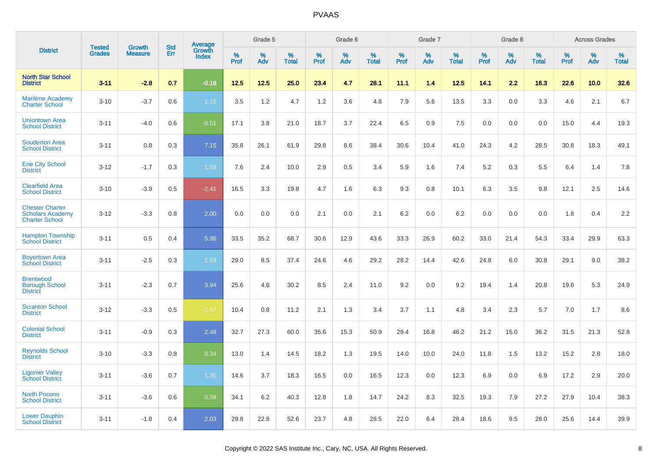|                                                                            | <b>Tested</b> | <b>Growth</b>  | <b>Std</b> | Average                |              | Grade 5  |                   |              | Grade 6  |                   |              | Grade 7  |                   |              | Grade 8  |                   |              | <b>Across Grades</b> |                   |
|----------------------------------------------------------------------------|---------------|----------------|------------|------------------------|--------------|----------|-------------------|--------------|----------|-------------------|--------------|----------|-------------------|--------------|----------|-------------------|--------------|----------------------|-------------------|
| <b>District</b>                                                            | <b>Grades</b> | <b>Measure</b> | Err        | Growth<br><b>Index</b> | $\%$<br>Prof | %<br>Adv | %<br><b>Total</b> | $\%$<br>Prof | %<br>Adv | %<br><b>Total</b> | $\%$<br>Prof | %<br>Adv | %<br><b>Total</b> | $\%$<br>Prof | %<br>Adv | %<br><b>Total</b> | $\%$<br>Prof | %<br>Adv             | %<br><b>Total</b> |
| <b>North Star School</b><br><b>District</b>                                | $3 - 11$      | $-2.8$         | 0.7        | $-0.18$                | 12.5         | 12.5     | 25.0              | 23.4         | 4.7      | 28.1              | 11.1         | 1.4      | 12.5              | 14.1         | 2.2      | 16.3              | 22.6         | 10.0                 | 32.6              |
| <b>Maritime Academy</b><br><b>Charter School</b>                           | $3 - 10$      | $-3.7$         | 0.6        | 1.10                   | 3.5          | 1.2      | 4.7               | 1.2          | 3.6      | 4.8               | 7.9          | 5.6      | 13.5              | 3.3          | 0.0      | 3.3               | 4.6          | 2.1                  | 6.7               |
| <b>Uniontown Area</b><br><b>School District</b>                            | $3 - 11$      | $-4.0$         | 0.6        | $-0.51$                | 17.1         | 3.8      | 21.0              | 18.7         | 3.7      | 22.4              | 6.5          | 0.9      | 7.5               | 0.0          | 0.0      | 0.0               | 15.0         | 4.4                  | 19.3              |
| <b>Souderton Area</b><br><b>School District</b>                            | $3 - 11$      | 0.8            | 0.3        | 7.15                   | 35.8         | 26.1     | 61.9              | 29.8         | 8.6      | 38.4              | 30.6         | 10.4     | 41.0              | 24.3         | 4.2      | 28.5              | 30.8         | 18.3                 | 49.1              |
| <b>Erie City School</b><br><b>District</b>                                 | $3 - 12$      | $-1.7$         | 0.3        | 1.03                   | 7.6          | 2.4      | 10.0              | 2.9          | 0.5      | 3.4               | 5.9          | 1.6      | 7.4               | 5.2          | 0.3      | 5.5               | 6.4          | 1.4                  | 7.8               |
| <b>Clearfield Area</b><br><b>School District</b>                           | $3 - 10$      | $-3.9$         | 0.5        | $-2.41$                | 16.5         | 3.3      | 19.8              | 4.7          | 1.6      | 6.3               | 9.3          | 0.8      | 10.1              | 6.3          | 3.5      | 9.8               | 12.1         | 2.5                  | 14.6              |
| <b>Chester Charter</b><br><b>Scholars Academy</b><br><b>Charter School</b> | $3 - 12$      | $-3.3$         | 0.8        | 2.00                   | 0.0          | 0.0      | 0.0               | 2.1          | 0.0      | 2.1               | 6.2          | 0.0      | 6.2               | 0.0          | 0.0      | 0.0               | 1.8          | 0.4                  | 2.2               |
| <b>Hampton Township</b><br><b>School District</b>                          | $3 - 11$      | 0.5            | 0.4        | 5.96                   | 33.5         | 35.2     | 68.7              | 30.6         | 12.9     | 43.6              | 33.3         | 26.9     | 60.2              | 33.0         | 21.4     | 54.3              | 33.4         | 29.9                 | 63.3              |
| <b>Boyertown Area</b><br><b>School District</b>                            | $3 - 11$      | $-2.5$         | 0.3        | 1.59                   | 29.0         | 8.5      | 37.4              | 24.6         | 4.6      | 29.2              | 28.2         | 14.4     | 42.6              | 24.8         | 6.0      | 30.8              | 29.1         | 9.0                  | 38.2              |
| <b>Brentwood</b><br><b>Borough School</b><br><b>District</b>               | $3 - 11$      | $-2.3$         | 0.7        | 3.94                   | 25.6         | 4.6      | 30.2              | 8.5          | 2.4      | 11.0              | 9.2          | 0.0      | 9.2               | 19.4         | 1.4      | 20.8              | 19.6         | 5.3                  | 24.9              |
| <b>Scranton School</b><br><b>District</b>                                  | $3 - 12$      | $-3.3$         | 0.5        | $-1.47$                | 10.4         | 0.8      | 11.2              | 2.1          | 1.3      | 3.4               | 3.7          | 1.1      | 4.8               | 3.4          | 2.3      | 5.7               | 7.0          | 1.7                  | 8.6               |
| <b>Colonial School</b><br><b>District</b>                                  | $3 - 11$      | $-0.9$         | 0.3        | 2.48                   | 32.7         | 27.3     | 60.0              | 35.6         | 15.3     | 50.9              | 29.4         | 16.8     | 46.2              | 21.2         | 15.0     | 36.2              | 31.5         | 21.3                 | 52.8              |
| <b>Reynolds School</b><br><b>District</b>                                  | $3 - 10$      | $-3.3$         | 0.8        | 0.34                   | 13.0         | 1.4      | 14.5              | 18.2         | 1.3      | 19.5              | 14.0         | 10.0     | 24.0              | 11.8         | 1.5      | 13.2              | 15.2         | 2.8                  | 18.0              |
| <b>Ligonier Valley</b><br><b>School District</b>                           | $3 - 11$      | $-3.6$         | 0.7        | 1.35                   | 14.6         | 3.7      | 18.3              | 16.5         | 0.0      | 16.5              | 12.3         | 0.0      | 12.3              | 6.9          | 0.0      | 6.9               | 17.2         | 2.9                  | 20.0              |
| <b>North Pocono</b><br><b>School District</b>                              | $3 - 11$      | $-3.6$         | 0.6        | 0.08                   | 34.1         | 6.2      | 40.3              | 12.8         | 1.8      | 14.7              | 24.2         | 8.3      | 32.5              | 19.3         | 7.9      | 27.2              | 27.9         | 10.4                 | 38.3              |
| <b>Lower Dauphin</b><br><b>School District</b>                             | $3 - 11$      | $-1.8$         | 0.4        | 2.03                   | 29.8         | 22.8     | 52.6              | 23.7         | 4.8      | 28.5              | 22.0         | 6.4      | 28.4              | 18.6         | 9.5      | 28.0              | 25.6         | 14.4                 | 39.9              |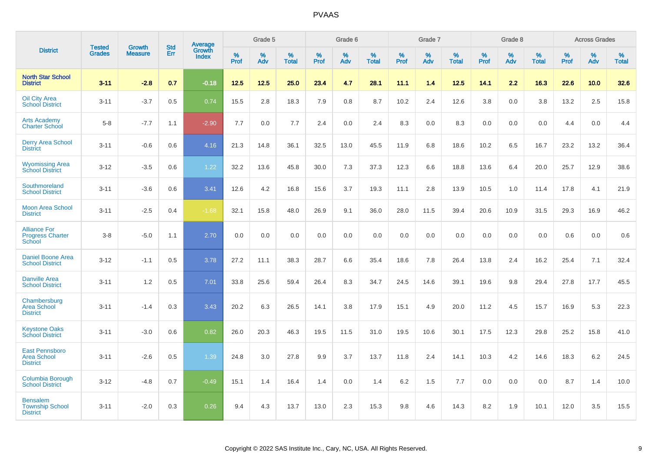|                                                                |                                |                                 | <b>Std</b> | Average                |           | Grade 5  |                   |           | Grade 6  |                   |           | Grade 7  |                   |           | Grade 8  |                   |           | <b>Across Grades</b> |                   |
|----------------------------------------------------------------|--------------------------------|---------------------------------|------------|------------------------|-----------|----------|-------------------|-----------|----------|-------------------|-----------|----------|-------------------|-----------|----------|-------------------|-----------|----------------------|-------------------|
| <b>District</b>                                                | <b>Tested</b><br><b>Grades</b> | <b>Growth</b><br><b>Measure</b> | Err        | Growth<br><b>Index</b> | %<br>Prof | %<br>Adv | %<br><b>Total</b> | %<br>Prof | %<br>Adv | %<br><b>Total</b> | %<br>Prof | %<br>Adv | %<br><b>Total</b> | %<br>Prof | %<br>Adv | %<br><b>Total</b> | %<br>Prof | %<br>Adv             | %<br><b>Total</b> |
| <b>North Star School</b><br><b>District</b>                    | $3 - 11$                       | $-2.8$                          | 0.7        | $-0.18$                | 12.5      | 12.5     | 25.0              | 23.4      | 4.7      | 28.1              | 11.1      | 1.4      | 12.5              | 14.1      | 2.2      | 16.3              | 22.6      | 10.0                 | 32.6              |
| <b>Oil City Area</b><br><b>School District</b>                 | $3 - 11$                       | $-3.7$                          | 0.5        | 0.74                   | 15.5      | 2.8      | 18.3              | 7.9       | 0.8      | 8.7               | 10.2      | 2.4      | 12.6              | 3.8       | 0.0      | 3.8               | 13.2      | 2.5                  | 15.8              |
| <b>Arts Academy</b><br><b>Charter School</b>                   | $5-8$                          | $-7.7$                          | 1.1        | $-2.90$                | 7.7       | 0.0      | 7.7               | 2.4       | 0.0      | 2.4               | 8.3       | 0.0      | 8.3               | 0.0       | 0.0      | 0.0               | 4.4       | 0.0                  | 4.4               |
| <b>Derry Area School</b><br><b>District</b>                    | $3 - 11$                       | $-0.6$                          | 0.6        | 4.16                   | 21.3      | 14.8     | 36.1              | 32.5      | 13.0     | 45.5              | 11.9      | 6.8      | 18.6              | 10.2      | 6.5      | 16.7              | 23.2      | 13.2                 | 36.4              |
| <b>Wyomissing Area</b><br><b>School District</b>               | $3 - 12$                       | $-3.5$                          | 0.6        | 1.22                   | 32.2      | 13.6     | 45.8              | 30.0      | 7.3      | 37.3              | 12.3      | 6.6      | 18.8              | 13.6      | 6.4      | 20.0              | 25.7      | 12.9                 | 38.6              |
| Southmoreland<br><b>School District</b>                        | $3 - 11$                       | $-3.6$                          | 0.6        | 3.41                   | 12.6      | 4.2      | 16.8              | 15.6      | 3.7      | 19.3              | 11.1      | 2.8      | 13.9              | 10.5      | 1.0      | 11.4              | 17.8      | 4.1                  | 21.9              |
| <b>Moon Area School</b><br><b>District</b>                     | $3 - 11$                       | $-2.5$                          | 0.4        | $-1.68$                | 32.1      | 15.8     | 48.0              | 26.9      | 9.1      | 36.0              | 28.0      | 11.5     | 39.4              | 20.6      | 10.9     | 31.5              | 29.3      | 16.9                 | 46.2              |
| <b>Alliance For</b><br><b>Progress Charter</b><br>School       | $3 - 8$                        | $-5.0$                          | 1.1        | 2.70                   | 0.0       | 0.0      | 0.0               | 0.0       | 0.0      | 0.0               | 0.0       | 0.0      | 0.0               | 0.0       | 0.0      | 0.0               | 0.6       | 0.0                  | 0.6               |
| <b>Daniel Boone Area</b><br><b>School District</b>             | $3 - 12$                       | $-1.1$                          | 0.5        | 3.78                   | 27.2      | 11.1     | 38.3              | 28.7      | 6.6      | 35.4              | 18.6      | 7.8      | 26.4              | 13.8      | 2.4      | 16.2              | 25.4      | 7.1                  | 32.4              |
| <b>Danville Area</b><br><b>School District</b>                 | $3 - 11$                       | 1.2                             | 0.5        | 7.01                   | 33.8      | 25.6     | 59.4              | 26.4      | 8.3      | 34.7              | 24.5      | 14.6     | 39.1              | 19.6      | 9.8      | 29.4              | 27.8      | 17.7                 | 45.5              |
| Chambersburg<br><b>Area School</b><br><b>District</b>          | $3 - 11$                       | $-1.4$                          | 0.3        | 3.43                   | 20.2      | 6.3      | 26.5              | 14.1      | 3.8      | 17.9              | 15.1      | 4.9      | 20.0              | 11.2      | 4.5      | 15.7              | 16.9      | 5.3                  | 22.3              |
| <b>Keystone Oaks</b><br><b>School District</b>                 | $3 - 11$                       | $-3.0$                          | 0.6        | 0.82                   | 26.0      | 20.3     | 46.3              | 19.5      | 11.5     | 31.0              | 19.5      | 10.6     | 30.1              | 17.5      | 12.3     | 29.8              | 25.2      | 15.8                 | 41.0              |
| <b>East Pennsboro</b><br><b>Area School</b><br><b>District</b> | $3 - 11$                       | $-2.6$                          | 0.5        | 1.39                   | 24.8      | 3.0      | 27.8              | 9.9       | 3.7      | 13.7              | 11.8      | 2.4      | 14.1              | 10.3      | 4.2      | 14.6              | 18.3      | $6.2\,$              | 24.5              |
| Columbia Borough<br><b>School District</b>                     | $3 - 12$                       | $-4.8$                          | 0.7        | $-0.49$                | 15.1      | 1.4      | 16.4              | 1.4       | 0.0      | 1.4               | 6.2       | 1.5      | 7.7               | 0.0       | 0.0      | 0.0               | 8.7       | 1.4                  | 10.0              |
| <b>Bensalem</b><br><b>Township School</b><br><b>District</b>   | $3 - 11$                       | $-2.0$                          | 0.3        | 0.26                   | 9.4       | 4.3      | 13.7              | 13.0      | 2.3      | 15.3              | 9.8       | 4.6      | 14.3              | 8.2       | 1.9      | 10.1              | 12.0      | 3.5                  | 15.5              |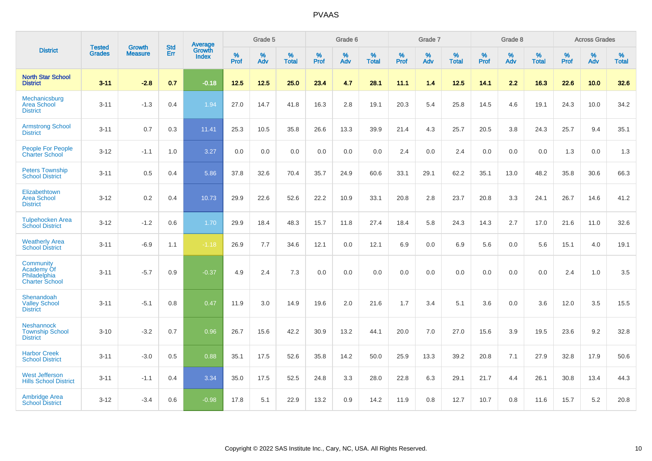|                                                                  | <b>Tested</b> |                          | <b>Std</b> | Average                |           | Grade 5  |                   |           | Grade 6  |                   |           | Grade 7  |                   |           | Grade 8  |                   |           | <b>Across Grades</b> |                   |
|------------------------------------------------------------------|---------------|--------------------------|------------|------------------------|-----------|----------|-------------------|-----------|----------|-------------------|-----------|----------|-------------------|-----------|----------|-------------------|-----------|----------------------|-------------------|
| <b>District</b>                                                  | <b>Grades</b> | Growth<br><b>Measure</b> | Err        | Growth<br><b>Index</b> | %<br>Prof | %<br>Adv | %<br><b>Total</b> | %<br>Prof | %<br>Adv | %<br><b>Total</b> | %<br>Prof | %<br>Adv | %<br><b>Total</b> | %<br>Prof | %<br>Adv | %<br><b>Total</b> | %<br>Prof | %<br>Adv             | %<br><b>Total</b> |
| <b>North Star School</b><br><b>District</b>                      | $3 - 11$      | $-2.8$                   | 0.7        | $-0.18$                | 12.5      | 12.5     | 25.0              | 23.4      | 4.7      | 28.1              | 11.1      | 1.4      | 12.5              | 14.1      | 2.2      | 16.3              | 22.6      | 10.0                 | 32.6              |
| Mechanicsburg<br><b>Area School</b><br><b>District</b>           | $3 - 11$      | $-1.3$                   | 0.4        | 1.94                   | 27.0      | 14.7     | 41.8              | 16.3      | 2.8      | 19.1              | 20.3      | 5.4      | 25.8              | 14.5      | 4.6      | 19.1              | 24.3      | 10.0                 | 34.2              |
| <b>Armstrong School</b><br><b>District</b>                       | $3 - 11$      | 0.7                      | 0.3        | 11.41                  | 25.3      | 10.5     | 35.8              | 26.6      | 13.3     | 39.9              | 21.4      | 4.3      | 25.7              | 20.5      | 3.8      | 24.3              | 25.7      | 9.4                  | 35.1              |
| People For People<br><b>Charter School</b>                       | $3 - 12$      | $-1.1$                   | 1.0        | 3.27                   | 0.0       | 0.0      | 0.0               | 0.0       | 0.0      | 0.0               | 2.4       | 0.0      | 2.4               | 0.0       | 0.0      | 0.0               | 1.3       | 0.0                  | 1.3               |
| <b>Peters Township</b><br><b>School District</b>                 | $3 - 11$      | 0.5                      | 0.4        | 5.86                   | 37.8      | 32.6     | 70.4              | 35.7      | 24.9     | 60.6              | 33.1      | 29.1     | 62.2              | 35.1      | 13.0     | 48.2              | 35.8      | 30.6                 | 66.3              |
| Elizabethtown<br><b>Area School</b><br><b>District</b>           | $3 - 12$      | 0.2                      | 0.4        | 10.73                  | 29.9      | 22.6     | 52.6              | 22.2      | 10.9     | 33.1              | 20.8      | 2.8      | 23.7              | 20.8      | 3.3      | 24.1              | 26.7      | 14.6                 | 41.2              |
| <b>Tulpehocken Area</b><br><b>School District</b>                | $3 - 12$      | $-1.2$                   | 0.6        | 1.70                   | 29.9      | 18.4     | 48.3              | 15.7      | 11.8     | 27.4              | 18.4      | 5.8      | 24.3              | 14.3      | 2.7      | 17.0              | 21.6      | 11.0                 | 32.6              |
| <b>Weatherly Area</b><br><b>School District</b>                  | $3 - 11$      | $-6.9$                   | 1.1        | $-1.18$                | 26.9      | 7.7      | 34.6              | 12.1      | 0.0      | 12.1              | 6.9       | 0.0      | 6.9               | 5.6       | 0.0      | 5.6               | 15.1      | 4.0                  | 19.1              |
| Community<br>Academy Of<br>Philadelphia<br><b>Charter School</b> | $3 - 11$      | $-5.7$                   | 0.9        | $-0.37$                | 4.9       | 2.4      | 7.3               | 0.0       | 0.0      | 0.0               | 0.0       | 0.0      | 0.0               | 0.0       | 0.0      | 0.0               | 2.4       | 1.0                  | 3.5               |
| Shenandoah<br><b>Valley School</b><br><b>District</b>            | $3 - 11$      | $-5.1$                   | 0.8        | 0.47                   | 11.9      | 3.0      | 14.9              | 19.6      | 2.0      | 21.6              | 1.7       | 3.4      | 5.1               | 3.6       | 0.0      | 3.6               | 12.0      | 3.5                  | 15.5              |
| <b>Neshannock</b><br><b>Township School</b><br><b>District</b>   | $3 - 10$      | $-3.2$                   | 0.7        | 0.96                   | 26.7      | 15.6     | 42.2              | 30.9      | 13.2     | 44.1              | 20.0      | 7.0      | 27.0              | 15.6      | 3.9      | 19.5              | 23.6      | 9.2                  | 32.8              |
| <b>Harbor Creek</b><br><b>School District</b>                    | $3 - 11$      | $-3.0$                   | 0.5        | 0.88                   | 35.1      | 17.5     | 52.6              | 35.8      | 14.2     | 50.0              | 25.9      | 13.3     | 39.2              | 20.8      | 7.1      | 27.9              | 32.8      | 17.9                 | 50.6              |
| <b>West Jefferson</b><br><b>Hills School District</b>            | $3 - 11$      | $-1.1$                   | 0.4        | 3.34                   | 35.0      | 17.5     | 52.5              | 24.8      | 3.3      | 28.0              | 22.8      | 6.3      | 29.1              | 21.7      | 4.4      | 26.1              | 30.8      | 13.4                 | 44.3              |
| <b>Ambridge Area</b><br><b>School District</b>                   | $3 - 12$      | $-3.4$                   | 0.6        | $-0.98$                | 17.8      | 5.1      | 22.9              | 13.2      | 0.9      | 14.2              | 11.9      | 0.8      | 12.7              | 10.7      | 0.8      | 11.6              | 15.7      | 5.2                  | 20.8              |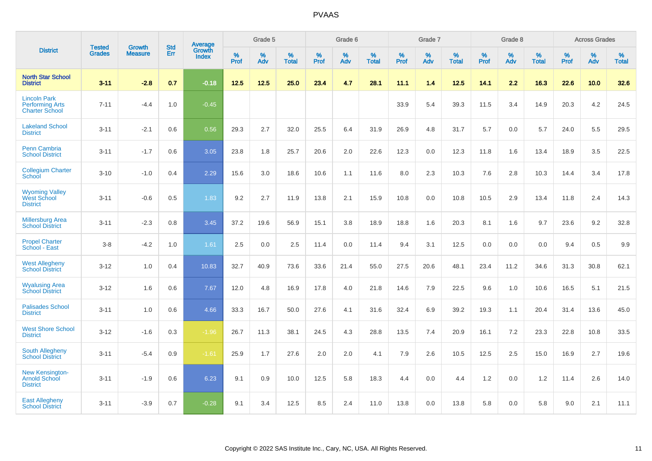|                                                                        | <b>Tested</b> | <b>Growth</b>  | <b>Std</b> | Average                       |              | Grade 5  |                   |           | Grade 6  |                   |           | Grade 7  |                   |           | Grade 8  |                   |           | <b>Across Grades</b> |                   |
|------------------------------------------------------------------------|---------------|----------------|------------|-------------------------------|--------------|----------|-------------------|-----------|----------|-------------------|-----------|----------|-------------------|-----------|----------|-------------------|-----------|----------------------|-------------------|
| <b>District</b>                                                        | <b>Grades</b> | <b>Measure</b> | Err        | <b>Growth</b><br><b>Index</b> | $\%$<br>Prof | %<br>Adv | %<br><b>Total</b> | %<br>Prof | %<br>Adv | %<br><b>Total</b> | %<br>Prof | %<br>Adv | %<br><b>Total</b> | %<br>Prof | %<br>Adv | %<br><b>Total</b> | %<br>Prof | %<br>Adv             | %<br><b>Total</b> |
| <b>North Star School</b><br><b>District</b>                            | $3 - 11$      | $-2.8$         | 0.7        | $-0.18$                       | 12.5         | 12.5     | 25.0              | 23.4      | 4.7      | 28.1              | 11.1      | 1.4      | 12.5              | 14.1      | 2.2      | 16.3              | 22.6      | 10.0                 | 32.6              |
| <b>Lincoln Park</b><br><b>Performing Arts</b><br><b>Charter School</b> | $7 - 11$      | $-4.4$         | 1.0        | $-0.45$                       |              |          |                   |           |          |                   | 33.9      | 5.4      | 39.3              | 11.5      | 3.4      | 14.9              | 20.3      | 4.2                  | 24.5              |
| <b>Lakeland School</b><br><b>District</b>                              | $3 - 11$      | $-2.1$         | 0.6        | 0.56                          | 29.3         | 2.7      | 32.0              | 25.5      | 6.4      | 31.9              | 26.9      | 4.8      | 31.7              | 5.7       | 0.0      | 5.7               | 24.0      | 5.5                  | 29.5              |
| <b>Penn Cambria</b><br><b>School District</b>                          | $3 - 11$      | $-1.7$         | 0.6        | 3.05                          | 23.8         | 1.8      | 25.7              | 20.6      | 2.0      | 22.6              | 12.3      | 0.0      | 12.3              | 11.8      | 1.6      | 13.4              | 18.9      | 3.5                  | 22.5              |
| <b>Collegium Charter</b><br>School                                     | $3 - 10$      | $-1.0$         | 0.4        | 2.29                          | 15.6         | 3.0      | 18.6              | 10.6      | 1.1      | 11.6              | 8.0       | 2.3      | 10.3              | 7.6       | 2.8      | 10.3              | 14.4      | 3.4                  | 17.8              |
| <b>Wyoming Valley</b><br>West School<br><b>District</b>                | $3 - 11$      | $-0.6$         | 0.5        | 1.83                          | 9.2          | 2.7      | 11.9              | 13.8      | 2.1      | 15.9              | 10.8      | 0.0      | 10.8              | 10.5      | 2.9      | 13.4              | 11.8      | 2.4                  | 14.3              |
| <b>Millersburg Area</b><br><b>School District</b>                      | $3 - 11$      | $-2.3$         | 0.8        | 3.45                          | 37.2         | 19.6     | 56.9              | 15.1      | 3.8      | 18.9              | 18.8      | 1.6      | 20.3              | 8.1       | 1.6      | 9.7               | 23.6      | 9.2                  | 32.8              |
| <b>Propel Charter</b><br>School - East                                 | $3 - 8$       | $-4.2$         | 1.0        | 1.61                          | 2.5          | 0.0      | 2.5               | 11.4      | 0.0      | 11.4              | 9.4       | 3.1      | 12.5              | 0.0       | 0.0      | 0.0               | 9.4       | 0.5                  | 9.9               |
| <b>West Allegheny</b><br><b>School District</b>                        | $3 - 12$      | 1.0            | 0.4        | 10.83                         | 32.7         | 40.9     | 73.6              | 33.6      | 21.4     | 55.0              | 27.5      | 20.6     | 48.1              | 23.4      | 11.2     | 34.6              | 31.3      | 30.8                 | 62.1              |
| <b>Wyalusing Area</b><br><b>School District</b>                        | $3 - 12$      | 1.6            | 0.6        | 7.67                          | 12.0         | 4.8      | 16.9              | 17.8      | 4.0      | 21.8              | 14.6      | 7.9      | 22.5              | 9.6       | 1.0      | 10.6              | 16.5      | 5.1                  | 21.5              |
| <b>Palisades School</b><br><b>District</b>                             | $3 - 11$      | 1.0            | 0.6        | 4.66                          | 33.3         | 16.7     | 50.0              | 27.6      | 4.1      | 31.6              | 32.4      | 6.9      | 39.2              | 19.3      | 1.1      | 20.4              | 31.4      | 13.6                 | 45.0              |
| <b>West Shore School</b><br><b>District</b>                            | $3 - 12$      | $-1.6$         | 0.3        | $-1.96$                       | 26.7         | 11.3     | 38.1              | 24.5      | 4.3      | 28.8              | 13.5      | 7.4      | 20.9              | 16.1      | 7.2      | 23.3              | 22.8      | 10.8                 | 33.5              |
| <b>South Allegheny</b><br><b>School District</b>                       | $3 - 11$      | $-5.4$         | 0.9        | $-1.61$                       | 25.9         | 1.7      | 27.6              | 2.0       | 2.0      | 4.1               | 7.9       | 2.6      | 10.5              | 12.5      | 2.5      | 15.0              | 16.9      | 2.7                  | 19.6              |
| <b>New Kensington-</b><br><b>Arnold School</b><br><b>District</b>      | $3 - 11$      | $-1.9$         | 0.6        | 6.23                          | 9.1          | 0.9      | 10.0              | 12.5      | 5.8      | 18.3              | 4.4       | $0.0\,$  | 4.4               | 1.2       | 0.0      | 1.2               | 11.4      | 2.6                  | 14.0              |
| <b>East Allegheny</b><br><b>School District</b>                        | $3 - 11$      | $-3.9$         | 0.7        | $-0.28$                       | 9.1          | 3.4      | 12.5              | 8.5       | 2.4      | 11.0              | 13.8      | 0.0      | 13.8              | 5.8       | 0.0      | 5.8               | 9.0       | 2.1                  | 11.1              |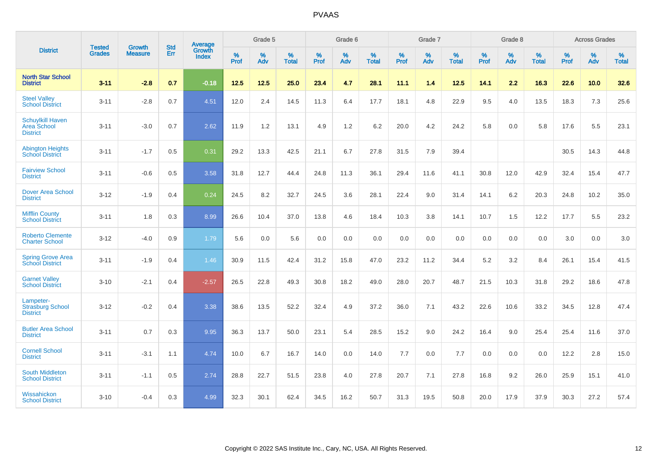|                                                           | <b>Tested</b> | <b>Growth</b>  | <b>Std</b> | Average                |                     | Grade 5  |                   |                     | Grade 6  |                   |              | Grade 7  |                   |                     | Grade 8  |                   |                     | <b>Across Grades</b> |                   |
|-----------------------------------------------------------|---------------|----------------|------------|------------------------|---------------------|----------|-------------------|---------------------|----------|-------------------|--------------|----------|-------------------|---------------------|----------|-------------------|---------------------|----------------------|-------------------|
| <b>District</b>                                           | <b>Grades</b> | <b>Measure</b> | Err        | Growth<br><b>Index</b> | $\%$<br><b>Prof</b> | %<br>Adv | %<br><b>Total</b> | $\%$<br><b>Prof</b> | %<br>Adv | %<br><b>Total</b> | $\%$<br>Prof | %<br>Adv | %<br><b>Total</b> | $\%$<br><b>Prof</b> | %<br>Adv | %<br><b>Total</b> | $\%$<br><b>Prof</b> | %<br>Adv             | %<br><b>Total</b> |
| <b>North Star School</b><br><b>District</b>               | $3 - 11$      | $-2.8$         | 0.7        | $-0.18$                | $12.5$              | $12.5$   | 25.0              | 23.4                | 4.7      | 28.1              | 11.1         | 1.4      | $12.5$            | 14.1                | 2.2      | 16.3              | 22.6                | 10.0                 | 32.6              |
| <b>Steel Valley</b><br><b>School District</b>             | $3 - 11$      | $-2.8$         | 0.7        | 4.51                   | 12.0                | 2.4      | 14.5              | 11.3                | 6.4      | 17.7              | 18.1         | 4.8      | 22.9              | 9.5                 | 4.0      | 13.5              | 18.3                | $7.3$                | 25.6              |
| <b>Schuylkill Haven</b><br>Area School<br><b>District</b> | $3 - 11$      | $-3.0$         | 0.7        | 2.62                   | 11.9                | 1.2      | 13.1              | 4.9                 | 1.2      | 6.2               | 20.0         | 4.2      | 24.2              | 5.8                 | 0.0      | 5.8               | 17.6                | 5.5                  | 23.1              |
| <b>Abington Heights</b><br><b>School District</b>         | $3 - 11$      | $-1.7$         | 0.5        | 0.31                   | 29.2                | 13.3     | 42.5              | 21.1                | 6.7      | 27.8              | 31.5         | 7.9      | 39.4              |                     |          |                   | 30.5                | 14.3                 | 44.8              |
| <b>Fairview School</b><br><b>District</b>                 | $3 - 11$      | $-0.6$         | 0.5        | 3.58                   | 31.8                | 12.7     | 44.4              | 24.8                | 11.3     | 36.1              | 29.4         | 11.6     | 41.1              | 30.8                | 12.0     | 42.9              | 32.4                | 15.4                 | 47.7              |
| Dover Area School<br><b>District</b>                      | $3 - 12$      | $-1.9$         | 0.4        | 0.24                   | 24.5                | 8.2      | 32.7              | 24.5                | 3.6      | 28.1              | 22.4         | 9.0      | 31.4              | 14.1                | 6.2      | 20.3              | 24.8                | 10.2                 | 35.0              |
| <b>Mifflin County</b><br><b>School District</b>           | $3 - 11$      | 1.8            | 0.3        | 8.99                   | 26.6                | 10.4     | 37.0              | 13.8                | 4.6      | 18.4              | 10.3         | 3.8      | 14.1              | 10.7                | 1.5      | 12.2              | 17.7                | 5.5                  | 23.2              |
| <b>Roberto Clemente</b><br><b>Charter School</b>          | $3 - 12$      | $-4.0$         | 0.9        | 1.79                   | 5.6                 | 0.0      | 5.6               | 0.0                 | 0.0      | 0.0               | 0.0          | 0.0      | 0.0               | 0.0                 | 0.0      | 0.0               | 3.0                 | 0.0                  | 3.0               |
| <b>Spring Grove Area</b><br><b>School District</b>        | $3 - 11$      | $-1.9$         | 0.4        | 1.46                   | 30.9                | 11.5     | 42.4              | 31.2                | 15.8     | 47.0              | 23.2         | 11.2     | 34.4              | 5.2                 | 3.2      | 8.4               | 26.1                | 15.4                 | 41.5              |
| <b>Garnet Valley</b><br><b>School District</b>            | $3 - 10$      | $-2.1$         | 0.4        | $-2.57$                | 26.5                | 22.8     | 49.3              | 30.8                | 18.2     | 49.0              | 28.0         | 20.7     | 48.7              | 21.5                | 10.3     | 31.8              | 29.2                | 18.6                 | 47.8              |
| Lampeter-<br><b>Strasburg School</b><br><b>District</b>   | $3 - 12$      | $-0.2$         | 0.4        | 3.38                   | 38.6                | 13.5     | 52.2              | 32.4                | 4.9      | 37.2              | 36.0         | 7.1      | 43.2              | 22.6                | 10.6     | 33.2              | 34.5                | 12.8                 | 47.4              |
| <b>Butler Area School</b><br><b>District</b>              | $3 - 11$      | 0.7            | 0.3        | 9.95                   | 36.3                | 13.7     | 50.0              | 23.1                | 5.4      | 28.5              | 15.2         | 9.0      | 24.2              | 16.4                | 9.0      | 25.4              | 25.4                | 11.6                 | 37.0              |
| <b>Cornell School</b><br><b>District</b>                  | $3 - 11$      | $-3.1$         | 1.1        | 4.74                   | 10.0                | 6.7      | 16.7              | 14.0                | 0.0      | 14.0              | $7.7$        | 0.0      | 7.7               | 0.0                 | 0.0      | 0.0               | 12.2                | 2.8                  | 15.0              |
| <b>South Middleton</b><br><b>School District</b>          | $3 - 11$      | $-1.1$         | 0.5        | 2.74                   | 28.8                | 22.7     | 51.5              | 23.8                | 4.0      | 27.8              | 20.7         | 7.1      | 27.8              | 16.8                | 9.2      | 26.0              | 25.9                | 15.1                 | 41.0              |
| Wissahickon<br><b>School District</b>                     | $3 - 10$      | $-0.4$         | 0.3        | 4.99                   | 32.3                | 30.1     | 62.4              | 34.5                | 16.2     | 50.7              | 31.3         | 19.5     | 50.8              | 20.0                | 17.9     | 37.9              | 30.3                | 27.2                 | 57.4              |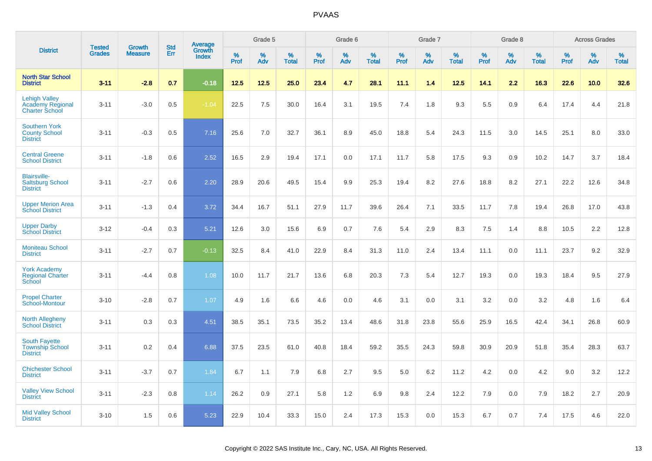|                                                                          | <b>Tested</b> | <b>Growth</b>  | <b>Std</b> |                                          |              | Grade 5  |                   |              | Grade 6  |                   |              | Grade 7  |                   |           | Grade 8  |                   |              | <b>Across Grades</b> |                   |
|--------------------------------------------------------------------------|---------------|----------------|------------|------------------------------------------|--------------|----------|-------------------|--------------|----------|-------------------|--------------|----------|-------------------|-----------|----------|-------------------|--------------|----------------------|-------------------|
| <b>District</b>                                                          | <b>Grades</b> | <b>Measure</b> | Err        | <b>Average</b><br>Growth<br><b>Index</b> | $\%$<br>Prof | %<br>Adv | %<br><b>Total</b> | $\%$<br>Prof | %<br>Adv | %<br><b>Total</b> | $\%$<br>Prof | %<br>Adv | %<br><b>Total</b> | %<br>Prof | %<br>Adv | %<br><b>Total</b> | $\%$<br>Prof | %<br>Adv             | %<br><b>Total</b> |
| <b>North Star School</b><br><b>District</b>                              | $3 - 11$      | $-2.8$         | 0.7        | $-0.18$                                  | 12.5         | 12.5     | 25.0              | 23.4         | 4.7      | 28.1              | 11.1         | 1.4      | 12.5              | 14.1      | 2.2      | 16.3              | 22.6         | 10.0                 | 32.6              |
| <b>Lehigh Valley</b><br><b>Academy Regional</b><br><b>Charter School</b> | $3 - 11$      | $-3.0$         | 0.5        | $-1.04$                                  | 22.5         | 7.5      | 30.0              | 16.4         | 3.1      | 19.5              | 7.4          | 1.8      | 9.3               | 5.5       | 0.9      | 6.4               | 17.4         | 4.4                  | 21.8              |
| <b>Southern York</b><br><b>County School</b><br><b>District</b>          | $3 - 11$      | $-0.3$         | 0.5        | 7.16                                     | 25.6         | 7.0      | 32.7              | 36.1         | 8.9      | 45.0              | 18.8         | 5.4      | 24.3              | 11.5      | 3.0      | 14.5              | 25.1         | 8.0                  | 33.0              |
| <b>Central Greene</b><br><b>School District</b>                          | $3 - 11$      | $-1.8$         | 0.6        | 2.52                                     | 16.5         | 2.9      | 19.4              | 17.1         | 0.0      | 17.1              | 11.7         | 5.8      | 17.5              | 9.3       | 0.9      | 10.2              | 14.7         | 3.7                  | 18.4              |
| <b>Blairsville-</b><br><b>Saltsburg School</b><br><b>District</b>        | $3 - 11$      | $-2.7$         | 0.6        | 2.20                                     | 28.9         | 20.6     | 49.5              | 15.4         | 9.9      | 25.3              | 19.4         | 8.2      | 27.6              | 18.8      | 8.2      | 27.1              | 22.2         | 12.6                 | 34.8              |
| <b>Upper Merion Area</b><br><b>School District</b>                       | $3 - 11$      | $-1.3$         | 0.4        | 3.72                                     | 34.4         | 16.7     | 51.1              | 27.9         | 11.7     | 39.6              | 26.4         | 7.1      | 33.5              | 11.7      | 7.8      | 19.4              | 26.8         | 17.0                 | 43.8              |
| <b>Upper Darby</b><br><b>School District</b>                             | $3 - 12$      | $-0.4$         | 0.3        | 5.21                                     | 12.6         | 3.0      | 15.6              | 6.9          | 0.7      | 7.6               | 5.4          | 2.9      | 8.3               | $7.5\,$   | 1.4      | 8.8               | 10.5         | 2.2                  | 12.8              |
| <b>Moniteau School</b><br><b>District</b>                                | $3 - 11$      | $-2.7$         | 0.7        | $-0.13$                                  | 32.5         | 8.4      | 41.0              | 22.9         | 8.4      | 31.3              | 11.0         | 2.4      | 13.4              | 11.1      | 0.0      | 11.1              | 23.7         | 9.2                  | 32.9              |
| <b>York Academy</b><br><b>Regional Charter</b><br>School                 | $3 - 11$      | $-4.4$         | 0.8        | 1.08                                     | 10.0         | 11.7     | 21.7              | 13.6         | 6.8      | 20.3              | 7.3          | 5.4      | 12.7              | 19.3      | 0.0      | 19.3              | 18.4         | 9.5                  | 27.9              |
| <b>Propel Charter</b><br>School-Montour                                  | $3 - 10$      | $-2.8$         | 0.7        | 1.07                                     | 4.9          | 1.6      | 6.6               | 4.6          | 0.0      | 4.6               | 3.1          | 0.0      | 3.1               | 3.2       | 0.0      | 3.2               | 4.8          | 1.6                  | 6.4               |
| <b>North Allegheny</b><br><b>School District</b>                         | $3 - 11$      | 0.3            | 0.3        | 4.51                                     | 38.5         | 35.1     | 73.5              | 35.2         | 13.4     | 48.6              | 31.8         | 23.8     | 55.6              | 25.9      | 16.5     | 42.4              | 34.1         | 26.8                 | 60.9              |
| <b>South Fayette</b><br><b>Township School</b><br><b>District</b>        | $3 - 11$      | 0.2            | 0.4        | 6.88                                     | 37.5         | 23.5     | 61.0              | 40.8         | 18.4     | 59.2              | 35.5         | 24.3     | 59.8              | 30.9      | 20.9     | 51.8              | 35.4         | 28.3                 | 63.7              |
| <b>Chichester School</b><br><b>District</b>                              | $3 - 11$      | $-3.7$         | 0.7        | 1.84                                     | 6.7          | 1.1      | 7.9               | 6.8          | 2.7      | 9.5               | 5.0          | 6.2      | 11.2              | 4.2       | 0.0      | 4.2               | 9.0          | 3.2                  | 12.2              |
| <b>Valley View School</b><br><b>District</b>                             | $3 - 11$      | $-2.3$         | 0.8        | 1.14                                     | 26.2         | 0.9      | 27.1              | 5.8          | $1.2$    | 6.9               | 9.8          | 2.4      | 12.2              | 7.9       | 0.0      | 7.9               | 18.2         | 2.7                  | 20.9              |
| <b>Mid Valley School</b><br><b>District</b>                              | $3 - 10$      | 1.5            | 0.6        | 5.23                                     | 22.9         | 10.4     | 33.3              | 15.0         | 2.4      | 17.3              | 15.3         | 0.0      | 15.3              | 6.7       | 0.7      | 7.4               | 17.5         | 4.6                  | 22.0              |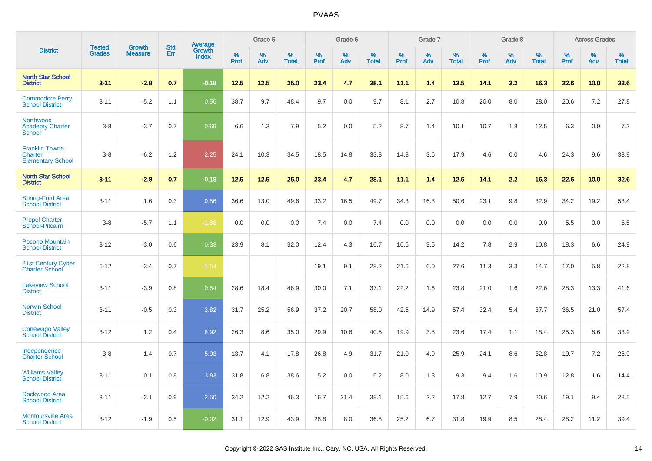|                                                              | <b>Tested</b> |                                 | <b>Std</b> | Average                |              | Grade 5  |                   |              | Grade 6  |                   |              | Grade 7  |                   |              | Grade 8  |                   |              | <b>Across Grades</b> |                   |
|--------------------------------------------------------------|---------------|---------------------------------|------------|------------------------|--------------|----------|-------------------|--------------|----------|-------------------|--------------|----------|-------------------|--------------|----------|-------------------|--------------|----------------------|-------------------|
| <b>District</b>                                              | <b>Grades</b> | <b>Growth</b><br><b>Measure</b> | Err        | Growth<br><b>Index</b> | $\%$<br>Prof | %<br>Adv | %<br><b>Total</b> | $\%$<br>Prof | %<br>Adv | %<br><b>Total</b> | $\%$<br>Prof | %<br>Adv | %<br><b>Total</b> | $\%$<br>Prof | %<br>Adv | %<br><b>Total</b> | $\%$<br>Prof | %<br>Adv             | %<br><b>Total</b> |
| <b>North Star School</b><br><b>District</b>                  | $3 - 11$      | $-2.8$                          | 0.7        | $-0.18$                | 12.5         | 12.5     | 25.0              | 23.4         | 4.7      | 28.1              | 11.1         | 1.4      | 12.5              | 14.1         | 2.2      | 16.3              | 22.6         | 10.0                 | 32.6              |
| <b>Commodore Perry</b><br><b>School District</b>             | $3 - 11$      | $-5.2$                          | 1.1        | 0.56                   | 38.7         | 9.7      | 48.4              | 9.7          | 0.0      | 9.7               | 8.1          | 2.7      | 10.8              | 20.0         | 8.0      | 28.0              | 20.6         | 7.2                  | 27.8              |
| Northwood<br><b>Academy Charter</b><br><b>School</b>         | $3 - 8$       | $-3.7$                          | 0.7        | $-0.69$                | 6.6          | 1.3      | 7.9               | 5.2          | 0.0      | 5.2               | 8.7          | 1.4      | 10.1              | 10.7         | 1.8      | 12.5              | 6.3          | 0.9                  | 7.2               |
| <b>Franklin Towne</b><br>Charter<br><b>Elementary School</b> | $3 - 8$       | $-6.2$                          | 1.2        | $-2.25$                | 24.1         | 10.3     | 34.5              | 18.5         | 14.8     | 33.3              | 14.3         | 3.6      | 17.9              | 4.6          | 0.0      | 4.6               | 24.3         | 9.6                  | 33.9              |
| <b>North Star School</b><br><b>District</b>                  | $3 - 11$      | $-2.8$                          | 0.7        | $-0.18$                | 12.5         | 12.5     | 25.0              | 23.4         | 4.7      | 28.1              | 11.1         | 14       | 12.5              | 14.1         | 2.2      | 16.3              | 22.6         | 10.0                 | 32.6              |
| Spring-Ford Area<br><b>School District</b>                   | $3 - 11$      | 1.6                             | 0.3        | 9.56                   | 36.6         | 13.0     | 49.6              | 33.2         | 16.5     | 49.7              | 34.3         | 16.3     | 50.6              | 23.1         | 9.8      | 32.9              | 34.2         | 19.2                 | 53.4              |
| <b>Propel Charter</b><br>School-Pitcairn                     | $3 - 8$       | $-5.7$                          | 1.1        | $-1.88$                | 0.0          | 0.0      | 0.0               | 7.4          | 0.0      | 7.4               | 0.0          | 0.0      | 0.0               | 0.0          | 0.0      | 0.0               | 5.5          | 0.0                  | 5.5               |
| Pocono Mountain<br><b>School District</b>                    | $3 - 12$      | $-3.0$                          | 0.6        | 0.33                   | 23.9         | 8.1      | 32.0              | 12.4         | 4.3      | 16.7              | 10.6         | 3.5      | 14.2              | 7.8          | 2.9      | 10.8              | 18.3         | 6.6                  | 24.9              |
| 21st Century Cyber<br><b>Charter School</b>                  | $6 - 12$      | $-3.4$                          | 0.7        | $-1.54$                |              |          |                   | 19.1         | 9.1      | 28.2              | 21.6         | 6.0      | 27.6              | 11.3         | 3.3      | 14.7              | 17.0         | 5.8                  | 22.8              |
| <b>Lakeview School</b><br><b>District</b>                    | $3 - 11$      | $-3.9$                          | 0.8        | 0.54                   | 28.6         | 18.4     | 46.9              | 30.0         | 7.1      | 37.1              | 22.2         | 1.6      | 23.8              | 21.0         | 1.6      | 22.6              | 28.3         | 13.3                 | 41.6              |
| Norwin School<br><b>District</b>                             | $3 - 11$      | $-0.5$                          | 0.3        | 3.82                   | 31.7         | 25.2     | 56.9              | 37.2         | 20.7     | 58.0              | 42.6         | 14.9     | 57.4              | 32.4         | 5.4      | 37.7              | 36.5         | 21.0                 | 57.4              |
| <b>Conewago Valley</b><br><b>School District</b>             | $3 - 12$      | 1.2                             | 0.4        | 6.92                   | 26.3         | 8.6      | 35.0              | 29.9         | 10.6     | 40.5              | 19.9         | 3.8      | 23.6              | 17.4         | 1.1      | 18.4              | 25.3         | 8.6                  | 33.9              |
| Independence<br><b>Charter School</b>                        | $3 - 8$       | 1.4                             | 0.7        | 5.93                   | 13.7         | 4.1      | 17.8              | 26.8         | 4.9      | 31.7              | 21.0         | 4.9      | 25.9              | 24.1         | 8.6      | 32.8              | 19.7         | 7.2                  | 26.9              |
| <b>Williams Valley</b><br><b>School District</b>             | $3 - 11$      | 0.1                             | 0.8        | 3.83                   | 31.8         | 6.8      | 38.6              | 5.2          | 0.0      | 5.2               | 8.0          | 1.3      | 9.3               | 9.4          | 1.6      | 10.9              | 12.8         | 1.6                  | 14.4              |
| <b>Rockwood Area</b><br><b>School District</b>               | $3 - 11$      | $-2.1$                          | 0.9        | 2.50                   | 34.2         | 12.2     | 46.3              | 16.7         | 21.4     | 38.1              | 15.6         | 2.2      | 17.8              | 12.7         | 7.9      | 20.6              | 19.1         | 9.4                  | 28.5              |
| <b>Montoursville Area</b><br><b>School District</b>          | $3 - 12$      | $-1.9$                          | 0.5        | $-0.02$                | 31.1         | 12.9     | 43.9              | 28.8         | 8.0      | 36.8              | 25.2         | 6.7      | 31.8              | 19.9         | 8.5      | 28.4              | 28.2         | 11.2                 | 39.4              |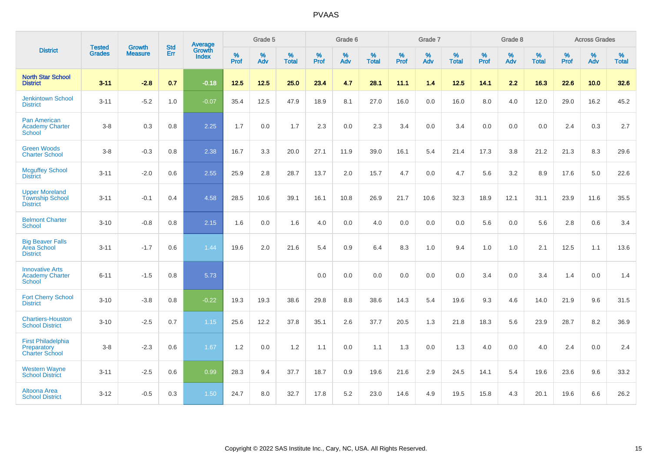|                                                                    | <b>Tested</b> | <b>Growth</b>  | <b>Std</b> | Average                |                     | Grade 5  |                   |                     | Grade 6  |                   |              | Grade 7  |                   |                     | Grade 8  |                   |                     | <b>Across Grades</b> |                   |
|--------------------------------------------------------------------|---------------|----------------|------------|------------------------|---------------------|----------|-------------------|---------------------|----------|-------------------|--------------|----------|-------------------|---------------------|----------|-------------------|---------------------|----------------------|-------------------|
| <b>District</b>                                                    | <b>Grades</b> | <b>Measure</b> | <b>Err</b> | Growth<br><b>Index</b> | $\%$<br><b>Prof</b> | %<br>Adv | %<br><b>Total</b> | $\%$<br><b>Prof</b> | %<br>Adv | %<br><b>Total</b> | $\%$<br>Prof | %<br>Adv | %<br><b>Total</b> | $\%$<br><b>Prof</b> | %<br>Adv | %<br><b>Total</b> | $\%$<br><b>Prof</b> | %<br>Adv             | %<br><b>Total</b> |
| <b>North Star School</b><br><b>District</b>                        | $3 - 11$      | $-2.8$         | 0.7        | $-0.18$                | 12.5                | $12.5$   | 25.0              | 23.4                | 4.7      | 28.1              | 11.1         | 1.4      | 12.5              | 14.1                | 2.2      | 16.3              | 22.6                | 10.0                 | 32.6              |
| <b>Jenkintown School</b><br><b>District</b>                        | $3 - 11$      | $-5.2$         | 1.0        | $-0.07$                | 35.4                | 12.5     | 47.9              | 18.9                | 8.1      | 27.0              | 16.0         | 0.0      | 16.0              | 8.0                 | 4.0      | 12.0              | 29.0                | 16.2                 | 45.2              |
| <b>Pan American</b><br><b>Academy Charter</b><br><b>School</b>     | $3 - 8$       | 0.3            | 0.8        | 2.25                   | 1.7                 | 0.0      | 1.7               | 2.3                 | 0.0      | 2.3               | 3.4          | 0.0      | 3.4               | 0.0                 | 0.0      | 0.0               | 2.4                 | 0.3                  | 2.7               |
| <b>Green Woods</b><br><b>Charter School</b>                        | $3 - 8$       | $-0.3$         | 0.8        | 2.38                   | 16.7                | 3.3      | 20.0              | 27.1                | 11.9     | 39.0              | 16.1         | 5.4      | 21.4              | 17.3                | 3.8      | 21.2              | 21.3                | 8.3                  | 29.6              |
| <b>Mcguffey School</b><br><b>District</b>                          | $3 - 11$      | $-2.0$         | 0.6        | 2.55                   | 25.9                | 2.8      | 28.7              | 13.7                | 2.0      | 15.7              | 4.7          | 0.0      | 4.7               | 5.6                 | 3.2      | 8.9               | 17.6                | 5.0                  | 22.6              |
| <b>Upper Moreland</b><br><b>Township School</b><br><b>District</b> | $3 - 11$      | $-0.1$         | 0.4        | 4.58                   | 28.5                | 10.6     | 39.1              | 16.1                | 10.8     | 26.9              | 21.7         | 10.6     | 32.3              | 18.9                | 12.1     | 31.1              | 23.9                | 11.6                 | 35.5              |
| <b>Belmont Charter</b><br><b>School</b>                            | $3 - 10$      | $-0.8$         | 0.8        | 2.15                   | 1.6                 | $0.0\,$  | 1.6               | 4.0                 | 0.0      | 4.0               | 0.0          | 0.0      | 0.0               | 5.6                 | $0.0\,$  | 5.6               | 2.8                 | 0.6                  | 3.4               |
| <b>Big Beaver Falls</b><br>Area School<br><b>District</b>          | $3 - 11$      | $-1.7$         | 0.6        | 1.44                   | 19.6                | 2.0      | 21.6              | 5.4                 | 0.9      | 6.4               | 8.3          | 1.0      | 9.4               | 1.0                 | 1.0      | 2.1               | 12.5                | 1.1                  | 13.6              |
| <b>Innovative Arts</b><br><b>Academy Charter</b><br>School         | $6 - 11$      | $-1.5$         | 0.8        | 5.73                   |                     |          |                   | 0.0                 | 0.0      | 0.0               | 0.0          | 0.0      | 0.0               | 3.4                 | 0.0      | 3.4               | 1.4                 | 0.0                  | 1.4               |
| <b>Fort Cherry School</b><br><b>District</b>                       | $3 - 10$      | $-3.8$         | 0.8        | $-0.22$                | 19.3                | 19.3     | 38.6              | 29.8                | 8.8      | 38.6              | 14.3         | 5.4      | 19.6              | 9.3                 | 4.6      | 14.0              | 21.9                | 9.6                  | 31.5              |
| <b>Chartiers-Houston</b><br><b>School District</b>                 | $3 - 10$      | $-2.5$         | 0.7        | 1.15                   | 25.6                | 12.2     | 37.8              | 35.1                | 2.6      | 37.7              | 20.5         | 1.3      | 21.8              | 18.3                | 5.6      | 23.9              | 28.7                | 8.2                  | 36.9              |
| <b>First Philadelphia</b><br>Preparatory<br><b>Charter School</b>  | $3 - 8$       | $-2.3$         | 0.6        | 1.67                   | 1.2                 | 0.0      | 1.2               | 1.1                 | 0.0      | 1.1               | 1.3          | 0.0      | 1.3               | 4.0                 | 0.0      | 4.0               | 2.4                 | 0.0                  | 2.4               |
| <b>Western Wayne</b><br><b>School District</b>                     | $3 - 11$      | $-2.5$         | 0.6        | 0.99                   | 28.3                | 9.4      | 37.7              | 18.7                | 0.9      | 19.6              | 21.6         | 2.9      | 24.5              | 14.1                | 5.4      | 19.6              | 23.6                | 9.6                  | 33.2              |
| Altoona Area<br><b>School District</b>                             | $3 - 12$      | $-0.5$         | 0.3        | 1.50                   | 24.7                | 8.0      | 32.7              | 17.8                | 5.2      | 23.0              | 14.6         | 4.9      | 19.5              | 15.8                | 4.3      | 20.1              | 19.6                | 6.6                  | 26.2              |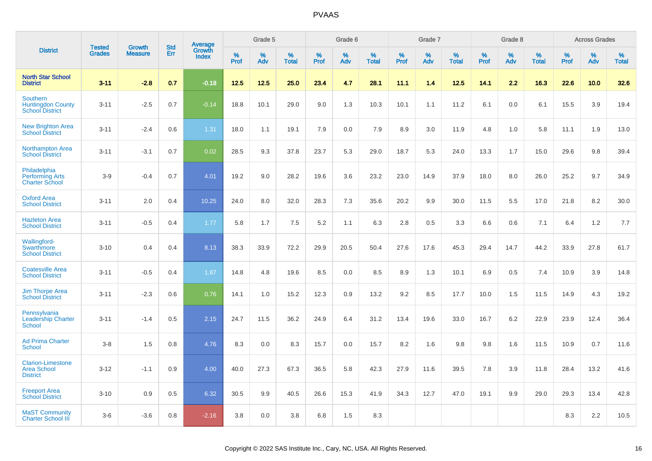|                                                                   | <b>Tested</b> | <b>Growth</b>  | <b>Std</b> | Average                |              | Grade 5  |                   |              | Grade 6  |                   |           | Grade 7  |                   |           | Grade 8  |                   |              | <b>Across Grades</b> |                   |
|-------------------------------------------------------------------|---------------|----------------|------------|------------------------|--------------|----------|-------------------|--------------|----------|-------------------|-----------|----------|-------------------|-----------|----------|-------------------|--------------|----------------------|-------------------|
| <b>District</b>                                                   | <b>Grades</b> | <b>Measure</b> | Err        | Growth<br><b>Index</b> | $\%$<br>Prof | %<br>Adv | %<br><b>Total</b> | $\%$<br>Prof | %<br>Adv | %<br><b>Total</b> | %<br>Prof | %<br>Adv | %<br><b>Total</b> | %<br>Prof | %<br>Adv | %<br><b>Total</b> | $\%$<br>Prof | %<br>Adv             | %<br><b>Total</b> |
| <b>North Star School</b><br><b>District</b>                       | $3 - 11$      | $-2.8$         | 0.7        | $-0.18$                | 12.5         | 12.5     | 25.0              | 23.4         | 4.7      | 28.1              | 11.1      | 1.4      | 12.5              | 14.1      | 2.2      | 16.3              | 22.6         | 10.0                 | 32.6              |
| Southern<br><b>Huntingdon County</b><br><b>School District</b>    | $3 - 11$      | $-2.5$         | 0.7        | $-0.14$                | 18.8         | 10.1     | 29.0              | 9.0          | 1.3      | 10.3              | 10.1      | 1.1      | 11.2              | 6.1       | 0.0      | 6.1               | 15.5         | 3.9                  | 19.4              |
| <b>New Brighton Area</b><br><b>School District</b>                | $3 - 11$      | $-2.4$         | 0.6        | 1.31                   | 18.0         | 1.1      | 19.1              | 7.9          | 0.0      | 7.9               | 8.9       | 3.0      | 11.9              | 4.8       | 1.0      | 5.8               | 11.1         | 1.9                  | 13.0              |
| <b>Northampton Area</b><br><b>School District</b>                 | $3 - 11$      | $-3.1$         | 0.7        | 0.02                   | 28.5         | 9.3      | 37.8              | 23.7         | 5.3      | 29.0              | 18.7      | 5.3      | 24.0              | 13.3      | 1.7      | 15.0              | 29.6         | 9.8                  | 39.4              |
| Philadelphia<br><b>Performing Arts</b><br><b>Charter School</b>   | $3-9$         | $-0.4$         | 0.7        | 4.01                   | 19.2         | 9.0      | 28.2              | 19.6         | 3.6      | 23.2              | 23.0      | 14.9     | 37.9              | 18.0      | 8.0      | 26.0              | 25.2         | 9.7                  | 34.9              |
| <b>Oxford Area</b><br><b>School District</b>                      | $3 - 11$      | 2.0            | 0.4        | 10.25                  | 24.0         | 8.0      | 32.0              | 28.3         | 7.3      | 35.6              | 20.2      | 9.9      | 30.0              | 11.5      | 5.5      | 17.0              | 21.8         | 8.2                  | 30.0              |
| <b>Hazleton Area</b><br><b>School District</b>                    | $3 - 11$      | $-0.5$         | 0.4        | 1.77                   | 5.8          | 1.7      | 7.5               | 5.2          | 1.1      | 6.3               | 2.8       | 0.5      | 3.3               | 6.6       | 0.6      | 7.1               | 6.4          | 1.2                  | 7.7               |
| <b>Wallingford-</b><br>Swarthmore<br><b>School District</b>       | $3 - 10$      | 0.4            | 0.4        | 8.13                   | 38.3         | 33.9     | 72.2              | 29.9         | 20.5     | 50.4              | 27.6      | 17.6     | 45.3              | 29.4      | 14.7     | 44.2              | 33.9         | 27.8                 | 61.7              |
| <b>Coatesville Area</b><br><b>School District</b>                 | $3 - 11$      | $-0.5$         | 0.4        | 1.87                   | 14.8         | 4.8      | 19.6              | 8.5          | 0.0      | 8.5               | $8.9\,$   | 1.3      | 10.1              | 6.9       | 0.5      | 7.4               | 10.9         | 3.9                  | 14.8              |
| <b>Jim Thorpe Area</b><br><b>School District</b>                  | $3 - 11$      | $-2.3$         | 0.6        | 0.76                   | 14.1         | 1.0      | 15.2              | 12.3         | 0.9      | 13.2              | 9.2       | 8.5      | 17.7              | 10.0      | 1.5      | 11.5              | 14.9         | 4.3                  | 19.2              |
| Pennsylvania<br><b>Leadership Charter</b><br><b>School</b>        | $3 - 11$      | $-1.4$         | 0.5        | 2.15                   | 24.7         | 11.5     | 36.2              | 24.9         | 6.4      | 31.2              | 13.4      | 19.6     | 33.0              | 16.7      | 6.2      | 22.9              | 23.9         | 12.4                 | 36.4              |
| <b>Ad Prima Charter</b><br><b>School</b>                          | $3-8$         | 1.5            | 0.8        | 4.76                   | 8.3          | 0.0      | 8.3               | 15.7         | 0.0      | 15.7              | 8.2       | 1.6      | 9.8               | 9.8       | 1.6      | 11.5              | 10.9         | 0.7                  | 11.6              |
| <b>Clarion-Limestone</b><br><b>Area School</b><br><b>District</b> | $3 - 12$      | $-1.1$         | 0.9        | 4.00                   | 40.0         | 27.3     | 67.3              | 36.5         | 5.8      | 42.3              | 27.9      | 11.6     | 39.5              | 7.8       | 3.9      | 11.8              | 28.4         | 13.2                 | 41.6              |
| <b>Freeport Area</b><br><b>School District</b>                    | $3 - 10$      | 0.9            | 0.5        | 6.32                   | 30.5         | 9.9      | 40.5              | 26.6         | 15.3     | 41.9              | 34.3      | 12.7     | 47.0              | 19.1      | 9.9      | 29.0              | 29.3         | 13.4                 | 42.8              |
| <b>MaST Community</b><br><b>Charter School III</b>                | $3-6$         | $-3.6$         | 0.8        | $-2.16$                | 3.8          | 0.0      | 3.8               | 6.8          | 1.5      | 8.3               |           |          |                   |           |          |                   | 8.3          | 2.2                  | 10.5              |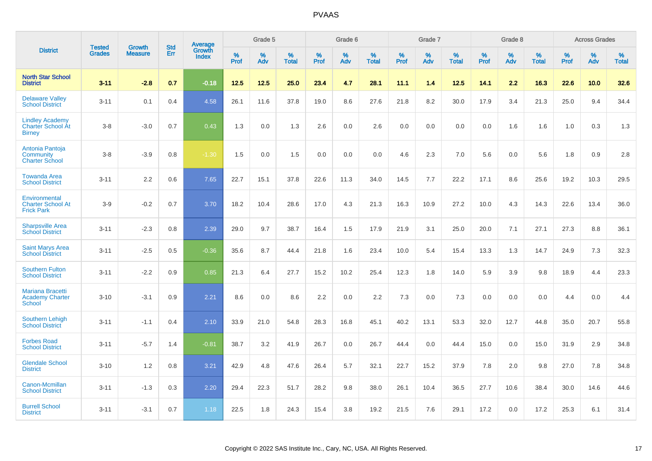|                                                                     |                                | <b>Growth</b>  | <b>Std</b> |                                          |              | Grade 5  |                   |           | Grade 6  |                   |           | Grade 7  |                   |              | Grade 8  |                   |              | <b>Across Grades</b> |                   |
|---------------------------------------------------------------------|--------------------------------|----------------|------------|------------------------------------------|--------------|----------|-------------------|-----------|----------|-------------------|-----------|----------|-------------------|--------------|----------|-------------------|--------------|----------------------|-------------------|
| <b>District</b>                                                     | <b>Tested</b><br><b>Grades</b> | <b>Measure</b> | <b>Err</b> | <b>Average</b><br>Growth<br><b>Index</b> | $\%$<br>Prof | %<br>Adv | %<br><b>Total</b> | %<br>Prof | %<br>Adv | %<br><b>Total</b> | %<br>Prof | %<br>Adv | %<br><b>Total</b> | $\%$<br>Prof | %<br>Adv | %<br><b>Total</b> | $\%$<br>Prof | %<br>Adv             | %<br><b>Total</b> |
| <b>North Star School</b><br><b>District</b>                         | $3 - 11$                       | $-2.8$         | 0.7        | $-0.18$                                  | 12.5         | 12.5     | 25.0              | 23.4      | 4.7      | 28.1              | 11.1      | 1.4      | 12.5              | 14.1         | 2.2      | 16.3              | 22.6         | 10.0                 | 32.6              |
| <b>Delaware Valley</b><br><b>School District</b>                    | $3 - 11$                       | 0.1            | 0.4        | 4.58                                     | 26.1         | 11.6     | 37.8              | 19.0      | 8.6      | 27.6              | 21.8      | 8.2      | 30.0              | 17.9         | 3.4      | 21.3              | 25.0         | 9.4                  | 34.4              |
| <b>Lindley Academy</b><br><b>Charter School At</b><br><b>Birney</b> | $3 - 8$                        | $-3.0$         | 0.7        | 0.43                                     | 1.3          | 0.0      | 1.3               | 2.6       | 0.0      | 2.6               | 0.0       | 0.0      | 0.0               | 0.0          | 1.6      | 1.6               | 1.0          | 0.3                  | 1.3               |
| Antonia Pantoja<br>Community<br><b>Charter School</b>               | $3 - 8$                        | $-3.9$         | 0.8        | $-1.30$                                  | 1.5          | 0.0      | 1.5               | 0.0       | 0.0      | 0.0               | 4.6       | 2.3      | 7.0               | 5.6          | 0.0      | 5.6               | 1.8          | 0.9                  | 2.8               |
| <b>Towanda Area</b><br><b>School District</b>                       | $3 - 11$                       | 2.2            | 0.6        | 7.65                                     | 22.7         | 15.1     | 37.8              | 22.6      | 11.3     | 34.0              | 14.5      | 7.7      | 22.2              | 17.1         | 8.6      | 25.6              | 19.2         | 10.3                 | 29.5              |
| Environmental<br><b>Charter School At</b><br><b>Frick Park</b>      | $3-9$                          | $-0.2$         | 0.7        | 3.70                                     | 18.2         | 10.4     | 28.6              | 17.0      | 4.3      | 21.3              | 16.3      | 10.9     | 27.2              | 10.0         | 4.3      | 14.3              | 22.6         | 13.4                 | 36.0              |
| <b>Sharpsville Area</b><br><b>School District</b>                   | $3 - 11$                       | $-2.3$         | 0.8        | 2.39                                     | 29.0         | 9.7      | 38.7              | 16.4      | 1.5      | 17.9              | 21.9      | 3.1      | 25.0              | 20.0         | 7.1      | 27.1              | 27.3         | 8.8                  | 36.1              |
| <b>Saint Marys Area</b><br><b>School District</b>                   | $3 - 11$                       | $-2.5$         | 0.5        | $-0.36$                                  | 35.6         | 8.7      | 44.4              | 21.8      | 1.6      | 23.4              | 10.0      | 5.4      | 15.4              | 13.3         | 1.3      | 14.7              | 24.9         | 7.3                  | 32.3              |
| <b>Southern Fulton</b><br><b>School District</b>                    | $3 - 11$                       | $-2.2$         | 0.9        | 0.85                                     | 21.3         | 6.4      | 27.7              | 15.2      | 10.2     | 25.4              | 12.3      | 1.8      | 14.0              | 5.9          | 3.9      | 9.8               | 18.9         | 4.4                  | 23.3              |
| <b>Mariana Bracetti</b><br><b>Academy Charter</b><br><b>School</b>  | $3 - 10$                       | $-3.1$         | 0.9        | 2.21                                     | 8.6          | 0.0      | 8.6               | 2.2       | 0.0      | 2.2               | 7.3       | 0.0      | 7.3               | 0.0          | 0.0      | 0.0               | 4.4          | 0.0                  | 4.4               |
| <b>Southern Lehigh</b><br><b>School District</b>                    | $3 - 11$                       | $-1.1$         | 0.4        | 2.10                                     | 33.9         | 21.0     | 54.8              | 28.3      | 16.8     | 45.1              | 40.2      | 13.1     | 53.3              | 32.0         | 12.7     | 44.8              | 35.0         | 20.7                 | 55.8              |
| <b>Forbes Road</b><br><b>School District</b>                        | $3 - 11$                       | $-5.7$         | 1.4        | $-0.81$                                  | 38.7         | 3.2      | 41.9              | 26.7      | 0.0      | 26.7              | 44.4      | 0.0      | 44.4              | 15.0         | 0.0      | 15.0              | 31.9         | 2.9                  | 34.8              |
| <b>Glendale School</b><br><b>District</b>                           | $3 - 10$                       | 1.2            | 0.8        | 3.21                                     | 42.9         | 4.8      | 47.6              | 26.4      | 5.7      | 32.1              | 22.7      | 15.2     | 37.9              | 7.8          | 2.0      | 9.8               | 27.0         | 7.8                  | 34.8              |
| Canon-Mcmillan<br><b>School District</b>                            | $3 - 11$                       | $-1.3$         | 0.3        | 2.20                                     | 29.4         | 22.3     | 51.7              | 28.2      | 9.8      | 38.0              | 26.1      | 10.4     | 36.5              | 27.7         | 10.6     | 38.4              | 30.0         | 14.6                 | 44.6              |
| <b>Burrell School</b><br><b>District</b>                            | $3 - 11$                       | $-3.1$         | 0.7        | 1.18                                     | 22.5         | 1.8      | 24.3              | 15.4      | 3.8      | 19.2              | 21.5      | 7.6      | 29.1              | 17.2         | 0.0      | 17.2              | 25.3         | 6.1                  | 31.4              |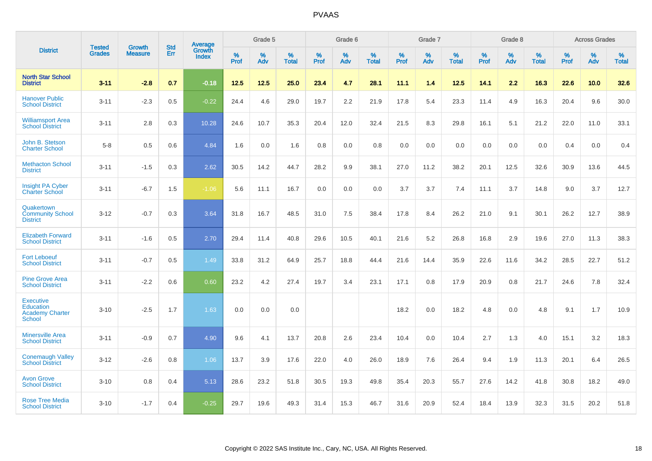|                                                                          |                                |                                 | <b>Std</b> | Average                       |           | Grade 5  |                   |           | Grade 6  |                   |           | Grade 7  |                   |           | Grade 8  |                   |           | <b>Across Grades</b> |                   |
|--------------------------------------------------------------------------|--------------------------------|---------------------------------|------------|-------------------------------|-----------|----------|-------------------|-----------|----------|-------------------|-----------|----------|-------------------|-----------|----------|-------------------|-----------|----------------------|-------------------|
| <b>District</b>                                                          | <b>Tested</b><br><b>Grades</b> | <b>Growth</b><br><b>Measure</b> | Err        | <b>Growth</b><br><b>Index</b> | %<br>Prof | %<br>Adv | %<br><b>Total</b> | %<br>Prof | %<br>Adv | %<br><b>Total</b> | %<br>Prof | %<br>Adv | %<br><b>Total</b> | %<br>Prof | %<br>Adv | %<br><b>Total</b> | %<br>Prof | %<br>Adv             | %<br><b>Total</b> |
| <b>North Star School</b><br><b>District</b>                              | $3 - 11$                       | $-2.8$                          | 0.7        | $-0.18$                       | 12.5      | 12.5     | 25.0              | 23.4      | 4.7      | 28.1              | 11.1      | 1.4      | 12.5              | 14.1      | 2.2      | 16.3              | 22.6      | 10.0                 | 32.6              |
| <b>Hanover Public</b><br><b>School District</b>                          | $3 - 11$                       | $-2.3$                          | 0.5        | $-0.22$                       | 24.4      | 4.6      | 29.0              | 19.7      | 2.2      | 21.9              | 17.8      | 5.4      | 23.3              | 11.4      | 4.9      | 16.3              | 20.4      | 9.6                  | 30.0              |
| <b>Williamsport Area</b><br><b>School District</b>                       | $3 - 11$                       | 2.8                             | 0.3        | 10.28                         | 24.6      | 10.7     | 35.3              | 20.4      | 12.0     | 32.4              | 21.5      | 8.3      | 29.8              | 16.1      | 5.1      | 21.2              | 22.0      | 11.0                 | 33.1              |
| John B. Stetson<br><b>Charter School</b>                                 | $5 - 8$                        | 0.5                             | 0.6        | 4.84                          | 1.6       | 0.0      | 1.6               | 0.8       | 0.0      | 0.8               | 0.0       | 0.0      | 0.0               | 0.0       | 0.0      | 0.0               | 0.4       | 0.0                  | 0.4               |
| <b>Methacton School</b><br><b>District</b>                               | $3 - 11$                       | $-1.5$                          | 0.3        | 2.62                          | 30.5      | 14.2     | 44.7              | 28.2      | 9.9      | 38.1              | 27.0      | 11.2     | 38.2              | 20.1      | 12.5     | 32.6              | 30.9      | 13.6                 | 44.5              |
| <b>Insight PA Cyber</b><br><b>Charter School</b>                         | $3 - 11$                       | $-6.7$                          | 1.5        | $-1.06$                       | 5.6       | 11.1     | 16.7              | 0.0       | 0.0      | 0.0               | 3.7       | 3.7      | 7.4               | 11.1      | 3.7      | 14.8              | 9.0       | 3.7                  | 12.7              |
| Quakertown<br><b>Community School</b><br><b>District</b>                 | $3 - 12$                       | $-0.7$                          | 0.3        | 3.64                          | 31.8      | 16.7     | 48.5              | 31.0      | 7.5      | 38.4              | 17.8      | 8.4      | 26.2              | 21.0      | 9.1      | 30.1              | 26.2      | 12.7                 | 38.9              |
| <b>Elizabeth Forward</b><br><b>School District</b>                       | $3 - 11$                       | $-1.6$                          | 0.5        | 2.70                          | 29.4      | 11.4     | 40.8              | 29.6      | 10.5     | 40.1              | 21.6      | 5.2      | 26.8              | 16.8      | 2.9      | 19.6              | 27.0      | 11.3                 | 38.3              |
| <b>Fort Leboeuf</b><br><b>School District</b>                            | $3 - 11$                       | $-0.7$                          | 0.5        | 1.49                          | 33.8      | 31.2     | 64.9              | 25.7      | 18.8     | 44.4              | 21.6      | 14.4     | 35.9              | 22.6      | 11.6     | 34.2              | 28.5      | 22.7                 | 51.2              |
| <b>Pine Grove Area</b><br><b>School District</b>                         | $3 - 11$                       | $-2.2$                          | 0.6        | 0.60                          | 23.2      | 4.2      | 27.4              | 19.7      | 3.4      | 23.1              | 17.1      | 0.8      | 17.9              | 20.9      | 0.8      | 21.7              | 24.6      | 7.8                  | 32.4              |
| <b>Executive</b><br>Education<br><b>Academy Charter</b><br><b>School</b> | $3 - 10$                       | $-2.5$                          | 1.7        | 1.63                          | 0.0       | 0.0      | 0.0               |           |          |                   | 18.2      | 0.0      | 18.2              | 4.8       | 0.0      | 4.8               | 9.1       | 1.7                  | 10.9              |
| <b>Minersville Area</b><br><b>School District</b>                        | $3 - 11$                       | $-0.9$                          | 0.7        | 4.90                          | 9.6       | 4.1      | 13.7              | 20.8      | 2.6      | 23.4              | 10.4      | 0.0      | 10.4              | 2.7       | 1.3      | 4.0               | 15.1      | 3.2                  | 18.3              |
| <b>Conemaugh Valley</b><br><b>School District</b>                        | $3 - 12$                       | $-2.6$                          | 0.8        | 1.06                          | 13.7      | 3.9      | 17.6              | 22.0      | 4.0      | 26.0              | 18.9      | 7.6      | 26.4              | 9.4       | 1.9      | 11.3              | 20.1      | 6.4                  | 26.5              |
| <b>Avon Grove</b><br><b>School District</b>                              | $3 - 10$                       | 0.8                             | 0.4        | 5.13                          | 28.6      | 23.2     | 51.8              | 30.5      | 19.3     | 49.8              | 35.4      | 20.3     | 55.7              | 27.6      | 14.2     | 41.8              | 30.8      | 18.2                 | 49.0              |
| <b>Rose Tree Media</b><br><b>School District</b>                         | $3 - 10$                       | $-1.7$                          | 0.4        | $-0.25$                       | 29.7      | 19.6     | 49.3              | 31.4      | 15.3     | 46.7              | 31.6      | 20.9     | 52.4              | 18.4      | 13.9     | 32.3              | 31.5      | 20.2                 | 51.8              |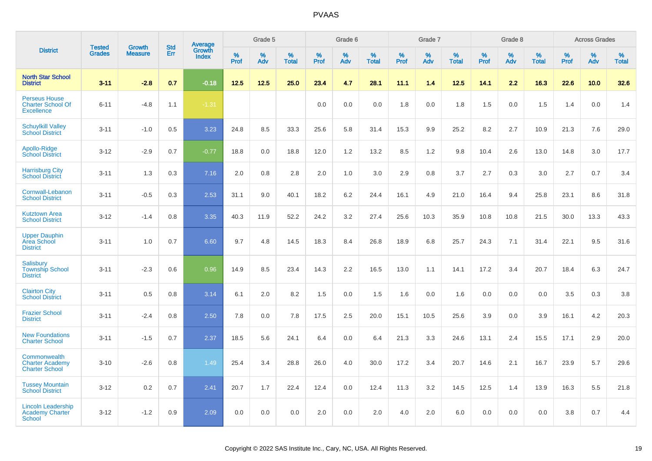|                                                                       |                                | <b>Growth</b>  | <b>Std</b> | Average                |                     | Grade 5  |                   |                  | Grade 6  |                   |                  | Grade 7  |                   |           | Grade 8  |                   |              | <b>Across Grades</b> |                   |
|-----------------------------------------------------------------------|--------------------------------|----------------|------------|------------------------|---------------------|----------|-------------------|------------------|----------|-------------------|------------------|----------|-------------------|-----------|----------|-------------------|--------------|----------------------|-------------------|
| <b>District</b>                                                       | <b>Tested</b><br><b>Grades</b> | <b>Measure</b> | Err        | Growth<br><b>Index</b> | $\%$<br><b>Prof</b> | %<br>Adv | %<br><b>Total</b> | %<br><b>Prof</b> | %<br>Adv | %<br><b>Total</b> | %<br><b>Prof</b> | %<br>Adv | %<br><b>Total</b> | %<br>Prof | %<br>Adv | %<br><b>Total</b> | $\%$<br>Prof | %<br>Adv             | %<br><b>Total</b> |
| <b>North Star School</b><br><b>District</b>                           | $3 - 11$                       | $-2.8$         | 0.7        | $-0.18$                | $12.5$              | 12.5     | 25.0              | 23.4             | 4.7      | 28.1              | 11.1             | 1.4      | $12.5$            | 14.1      | 2.2      | 16.3              | 22.6         | 10.0                 | 32.6              |
| <b>Perseus House</b><br><b>Charter School Of</b><br><b>Excellence</b> | $6 - 11$                       | $-4.8$         | 1.1        | $-1.31$                |                     |          |                   | 0.0              | 0.0      | 0.0               | 1.8              | 0.0      | 1.8               | 1.5       | 0.0      | 1.5               | 1.4          | 0.0                  | 1.4               |
| <b>Schuylkill Valley</b><br><b>School District</b>                    | $3 - 11$                       | $-1.0$         | 0.5        | 3.23                   | 24.8                | 8.5      | 33.3              | 25.6             | 5.8      | 31.4              | 15.3             | 9.9      | 25.2              | 8.2       | 2.7      | 10.9              | 21.3         | 7.6                  | 29.0              |
| Apollo-Ridge<br><b>School District</b>                                | $3 - 12$                       | $-2.9$         | 0.7        | $-0.77$                | 18.8                | 0.0      | 18.8              | 12.0             | 1.2      | 13.2              | 8.5              | 1.2      | 9.8               | 10.4      | 2.6      | 13.0              | 14.8         | 3.0                  | 17.7              |
| <b>Harrisburg City</b><br><b>School District</b>                      | $3 - 11$                       | 1.3            | 0.3        | 7.16                   | 2.0                 | 0.8      | 2.8               | 2.0              | 1.0      | 3.0               | 2.9              | 0.8      | 3.7               | 2.7       | 0.3      | 3.0               | 2.7          | 0.7                  | 3.4               |
| Cornwall-Lebanon<br><b>School District</b>                            | $3 - 11$                       | $-0.5$         | 0.3        | 2.53                   | 31.1                | 9.0      | 40.1              | 18.2             | 6.2      | 24.4              | 16.1             | 4.9      | 21.0              | 16.4      | 9.4      | 25.8              | 23.1         | 8.6                  | 31.8              |
| <b>Kutztown Area</b><br><b>School District</b>                        | $3 - 12$                       | $-1.4$         | 0.8        | 3.35                   | 40.3                | 11.9     | 52.2              | 24.2             | 3.2      | 27.4              | 25.6             | 10.3     | 35.9              | 10.8      | 10.8     | 21.5              | 30.0         | 13.3                 | 43.3              |
| <b>Upper Dauphin</b><br>Area School<br><b>District</b>                | $3 - 11$                       | 1.0            | 0.7        | 6.60                   | 9.7                 | 4.8      | 14.5              | 18.3             | 8.4      | 26.8              | 18.9             | 6.8      | 25.7              | 24.3      | 7.1      | 31.4              | 22.1         | 9.5                  | 31.6              |
| Salisbury<br><b>Township School</b><br><b>District</b>                | $3 - 11$                       | $-2.3$         | 0.6        | 0.96                   | 14.9                | 8.5      | 23.4              | 14.3             | 2.2      | 16.5              | 13.0             | 1.1      | 14.1              | 17.2      | 3.4      | 20.7              | 18.4         | 6.3                  | 24.7              |
| <b>Clairton City</b><br><b>School District</b>                        | $3 - 11$                       | 0.5            | 0.8        | 3.14                   | 6.1                 | 2.0      | 8.2               | 1.5              | 0.0      | 1.5               | 1.6              | 0.0      | 1.6               | 0.0       | 0.0      | 0.0               | 3.5          | 0.3                  | 3.8               |
| <b>Frazier School</b><br><b>District</b>                              | $3 - 11$                       | $-2.4$         | 0.8        | 2.50                   | 7.8                 | 0.0      | 7.8               | 17.5             | 2.5      | 20.0              | 15.1             | 10.5     | 25.6              | 3.9       | 0.0      | 3.9               | 16.1         | 4.2                  | 20.3              |
| <b>New Foundations</b><br><b>Charter School</b>                       | $3 - 11$                       | $-1.5$         | 0.7        | 2.37                   | 18.5                | 5.6      | 24.1              | 6.4              | 0.0      | 6.4               | 21.3             | 3.3      | 24.6              | 13.1      | 2.4      | 15.5              | 17.1         | 2.9                  | 20.0              |
| Commonwealth<br><b>Charter Academy</b><br><b>Charter School</b>       | $3 - 10$                       | $-2.6$         | 0.8        | 1.49                   | 25.4                | 3.4      | 28.8              | 26.0             | 4.0      | 30.0              | 17.2             | 3.4      | 20.7              | 14.6      | 2.1      | 16.7              | 23.9         | 5.7                  | 29.6              |
| <b>Tussey Mountain</b><br><b>School District</b>                      | $3 - 12$                       | 0.2            | 0.7        | 2.41                   | 20.7                | 1.7      | 22.4              | 12.4             | 0.0      | 12.4              | 11.3             | 3.2      | 14.5              | 12.5      | 1.4      | 13.9              | 16.3         | 5.5                  | 21.8              |
| <b>Lincoln Leadership</b><br><b>Academy Charter</b><br><b>School</b>  | $3 - 12$                       | $-1.2$         | 0.9        | 2.09                   | 0.0                 | 0.0      | 0.0               | 2.0              | 0.0      | 2.0               | 4.0              | 2.0      | 6.0               | 0.0       | 0.0      | 0.0               | 3.8          | 0.7                  | 4.4               |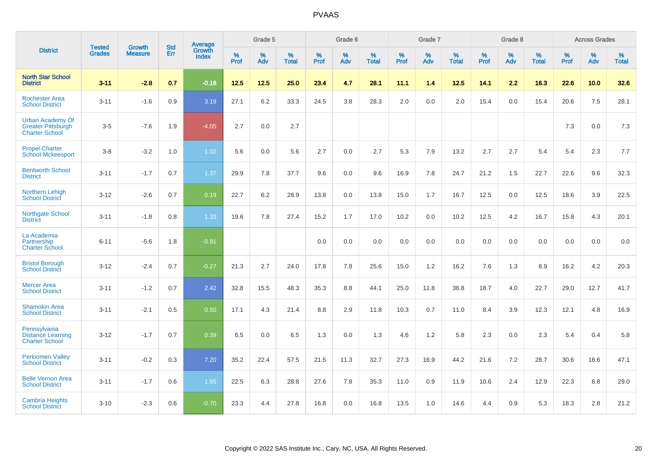|                                                                               | <b>Tested</b> | <b>Growth</b>  | <b>Std</b> | Average                       |           | Grade 5  |                   |           | Grade 6  |                   |           | Grade 7  |                   |           | Grade 8  |                   |           | <b>Across Grades</b> |                   |
|-------------------------------------------------------------------------------|---------------|----------------|------------|-------------------------------|-----------|----------|-------------------|-----------|----------|-------------------|-----------|----------|-------------------|-----------|----------|-------------------|-----------|----------------------|-------------------|
| <b>District</b>                                                               | <b>Grades</b> | <b>Measure</b> | Err        | <b>Growth</b><br><b>Index</b> | %<br>Prof | %<br>Adv | %<br><b>Total</b> | %<br>Prof | %<br>Adv | %<br><b>Total</b> | %<br>Prof | %<br>Adv | %<br><b>Total</b> | %<br>Prof | %<br>Adv | %<br><b>Total</b> | %<br>Prof | %<br>Adv             | %<br><b>Total</b> |
| <b>North Star School</b><br><b>District</b>                                   | $3 - 11$      | $-2.8$         | 0.7        | $-0.18$                       | 12.5      | 12.5     | 25.0              | 23.4      | 4.7      | 28.1              | 11.1      | 1.4      | 12.5              | 14.1      | 2.2      | 16.3              | 22.6      | 10.0                 | 32.6              |
| <b>Rochester Area</b><br><b>School District</b>                               | $3 - 11$      | $-1.6$         | 0.9        | 3.19                          | 27.1      | 6.2      | 33.3              | 24.5      | 3.8      | 28.3              | 2.0       | 0.0      | 2.0               | 15.4      | 0.0      | 15.4              | 20.6      | 7.5                  | 28.1              |
| <b>Urban Academy Of</b><br><b>Greater Pittsburgh</b><br><b>Charter School</b> | $3-5$         | $-7.6$         | 1.9        | $-4.05$                       | 2.7       | 0.0      | 2.7               |           |          |                   |           |          |                   |           |          |                   | 7.3       | 0.0                  | 7.3               |
| <b>Propel Charter</b><br><b>School-Mckeesport</b>                             | $3 - 8$       | $-3.2$         | 1.0        | 1.02                          | 5.6       | 0.0      | 5.6               | 2.7       | 0.0      | 2.7               | 5.3       | 7.9      | 13.2              | 2.7       | 2.7      | 5.4               | 5.4       | 2.3                  | 7.7               |
| <b>Bentworth School</b><br><b>District</b>                                    | $3 - 11$      | $-1.7$         | 0.7        | 1.37                          | 29.9      | 7.8      | 37.7              | 9.6       | 0.0      | 9.6               | 16.9      | 7.8      | 24.7              | 21.2      | 1.5      | 22.7              | 22.6      | 9.6                  | 32.3              |
| <b>Northern Lehigh</b><br><b>School District</b>                              | $3 - 12$      | $-2.6$         | 0.7        | 0.19                          | 22.7      | 6.2      | 28.9              | 13.8      | 0.0      | 13.8              | 15.0      | 1.7      | 16.7              | 12.5      | 0.0      | 12.5              | 18.6      | 3.9                  | 22.5              |
| <b>Northgate School</b><br><b>District</b>                                    | $3 - 11$      | $-1.8$         | 0.8        | 1.33                          | 19.6      | 7.8      | 27.4              | 15.2      | 1.7      | 17.0              | 10.2      | 0.0      | 10.2              | 12.5      | 4.2      | 16.7              | 15.8      | 4.3                  | 20.1              |
| La Academia<br>Partnership<br><b>Charter School</b>                           | $6 - 11$      | $-5.6$         | 1.8        | $-0.91$                       |           |          |                   | 0.0       | 0.0      | 0.0               | 0.0       | 0.0      | 0.0               | 0.0       | 0.0      | 0.0               | 0.0       | 0.0                  | 0.0               |
| <b>Bristol Borough</b><br><b>School District</b>                              | $3 - 12$      | $-2.4$         | 0.7        | $-0.27$                       | 21.3      | 2.7      | 24.0              | 17.8      | 7.8      | 25.6              | 15.0      | 1.2      | 16.2              | 7.6       | 1.3      | 8.9               | 16.2      | 4.2                  | 20.3              |
| <b>Mercer Area</b><br><b>School District</b>                                  | $3 - 11$      | $-1.2$         | 0.7        | 2.42                          | 32.8      | 15.5     | 48.3              | 35.3      | 8.8      | 44.1              | 25.0      | 11.8     | 36.8              | 18.7      | 4.0      | 22.7              | 29.0      | 12.7                 | 41.7              |
| <b>Shamokin Area</b><br><b>School District</b>                                | $3 - 11$      | $-2.1$         | 0.5        | 0.50                          | 17.1      | 4.3      | 21.4              | 8.8       | 2.9      | 11.8              | 10.3      | 0.7      | 11.0              | 8.4       | 3.9      | 12.3              | 12.1      | 4.8                  | 16.9              |
| Pennsylvania<br><b>Distance Learning</b><br><b>Charter School</b>             | $3 - 12$      | $-1.7$         | 0.7        | 0.39                          | 6.5       | 0.0      | 6.5               | 1.3       | 0.0      | 1.3               | 4.6       | 1.2      | 5.8               | 2.3       | 0.0      | 2.3               | 5.4       | 0.4                  | 5.8               |
| <b>Perkiomen Valley</b><br><b>School District</b>                             | $3 - 11$      | $-0.2$         | 0.3        | 7.20                          | 35.2      | 22.4     | 57.5              | 21.5      | 11.3     | 32.7              | 27.3      | 16.9     | 44.2              | 21.6      | 7.2      | 28.7              | 30.6      | 16.6                 | 47.1              |
| <b>Belle Vernon Area</b><br><b>School District</b>                            | $3 - 11$      | $-1.7$         | 0.6        | 1.65                          | 22.5      | 6.3      | 28.8              | 27.6      | 7.8      | 35.3              | 11.0      | 0.9      | 11.9              | 10.6      | 2.4      | 12.9              | 22.3      | 6.8                  | 29.0              |
| <b>Cambria Heights</b><br><b>School District</b>                              | $3 - 10$      | $-2.3$         | 0.6        | $-0.70$                       | 23.3      | 4.4      | 27.8              | 16.8      | 0.0      | 16.8              | 13.5      | 1.0      | 14.6              | 4.4       | 0.9      | 5.3               | 18.3      | 2.8                  | 21.2              |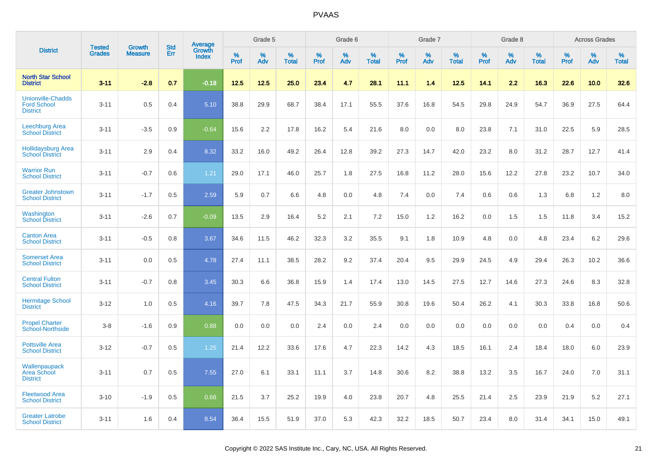|                                                                   | <b>Tested</b> |                                 | <b>Std</b> | Average                |              | Grade 5  |                   |              | Grade 6  |                   |              | Grade 7  |                   |              | Grade 8  |                   |              | <b>Across Grades</b> |                   |
|-------------------------------------------------------------------|---------------|---------------------------------|------------|------------------------|--------------|----------|-------------------|--------------|----------|-------------------|--------------|----------|-------------------|--------------|----------|-------------------|--------------|----------------------|-------------------|
| <b>District</b>                                                   | <b>Grades</b> | <b>Growth</b><br><b>Measure</b> | Err        | Growth<br><b>Index</b> | $\%$<br>Prof | %<br>Adv | %<br><b>Total</b> | $\%$<br>Prof | %<br>Adv | %<br><b>Total</b> | $\%$<br>Prof | %<br>Adv | %<br><b>Total</b> | $\%$<br>Prof | %<br>Adv | %<br><b>Total</b> | $\%$<br>Prof | %<br>Adv             | %<br><b>Total</b> |
| <b>North Star School</b><br><b>District</b>                       | $3 - 11$      | $-2.8$                          | 0.7        | $-0.18$                | 12.5         | 12.5     | 25.0              | 23.4         | 4.7      | 28.1              | 11.1         | 1.4      | 12.5              | 14.1         | 2.2      | 16.3              | 22.6         | 10.0                 | 32.6              |
| <b>Unionville-Chadds</b><br><b>Ford School</b><br><b>District</b> | $3 - 11$      | 0.5                             | 0.4        | 5.10                   | 38.8         | 29.9     | 68.7              | 38.4         | 17.1     | 55.5              | 37.6         | 16.8     | 54.5              | 29.8         | 24.9     | 54.7              | 36.9         | 27.5                 | 64.4              |
| <b>Leechburg Area</b><br><b>School District</b>                   | $3 - 11$      | $-3.5$                          | 0.9        | $-0.64$                | 15.6         | 2.2      | 17.8              | 16.2         | 5.4      | 21.6              | 8.0          | 0.0      | 8.0               | 23.8         | 7.1      | 31.0              | 22.5         | 5.9                  | 28.5              |
| <b>Hollidaysburg Area</b><br><b>School District</b>               | $3 - 11$      | 2.9                             | 0.4        | 8.32                   | 33.2         | 16.0     | 49.2              | 26.4         | 12.8     | 39.2              | 27.3         | 14.7     | 42.0              | 23.2         | 8.0      | 31.2              | 28.7         | 12.7                 | 41.4              |
| <b>Warrior Run</b><br><b>School District</b>                      | $3 - 11$      | $-0.7$                          | 0.6        | 1.21                   | 29.0         | 17.1     | 46.0              | 25.7         | 1.8      | 27.5              | 16.8         | 11.2     | 28.0              | 15.6         | 12.2     | 27.8              | 23.2         | 10.7                 | 34.0              |
| <b>Greater Johnstown</b><br><b>School District</b>                | $3 - 11$      | $-1.7$                          | 0.5        | 2.59                   | 5.9          | 0.7      | 6.6               | 4.8          | 0.0      | 4.8               | 7.4          | 0.0      | 7.4               | 0.6          | 0.6      | 1.3               | 6.8          | 1.2                  | 8.0               |
| Washington<br><b>School District</b>                              | $3 - 11$      | $-2.6$                          | 0.7        | $-0.09$                | 13.5         | 2.9      | 16.4              | 5.2          | 2.1      | 7.2               | 15.0         | 1.2      | 16.2              | 0.0          | 1.5      | 1.5               | 11.8         | 3.4                  | 15.2              |
| <b>Canton Area</b><br><b>School District</b>                      | $3 - 11$      | $-0.5$                          | 0.8        | 3.67                   | 34.6         | 11.5     | 46.2              | 32.3         | 3.2      | 35.5              | 9.1          | 1.8      | 10.9              | 4.8          | 0.0      | 4.8               | 23.4         | 6.2                  | 29.6              |
| <b>Somerset Area</b><br><b>School District</b>                    | $3 - 11$      | 0.0                             | 0.5        | 4.78                   | 27.4         | 11.1     | 38.5              | 28.2         | 9.2      | 37.4              | 20.4         | 9.5      | 29.9              | 24.5         | 4.9      | 29.4              | 26.3         | 10.2                 | 36.6              |
| <b>Central Fulton</b><br><b>School District</b>                   | $3 - 11$      | $-0.7$                          | 0.8        | 3.45                   | 30.3         | 6.6      | 36.8              | 15.9         | 1.4      | 17.4              | 13.0         | 14.5     | 27.5              | 12.7         | 14.6     | 27.3              | 24.6         | 8.3                  | 32.8              |
| <b>Hermitage School</b><br><b>District</b>                        | $3 - 12$      | 1.0                             | 0.5        | 4.16                   | 39.7         | 7.8      | 47.5              | 34.3         | 21.7     | 55.9              | 30.8         | 19.6     | 50.4              | 26.2         | 4.1      | 30.3              | 33.8         | 16.8                 | 50.6              |
| <b>Propel Charter</b><br><b>School-Northside</b>                  | $3 - 8$       | $-1.6$                          | 0.9        | 0.88                   | 0.0          | 0.0      | 0.0               | 2.4          | 0.0      | 2.4               | 0.0          | 0.0      | 0.0               | 0.0          | 0.0      | 0.0               | 0.4          | 0.0                  | 0.4               |
| <b>Pottsville Area</b><br><b>School District</b>                  | $3 - 12$      | $-0.7$                          | 0.5        | 1.25                   | 21.4         | 12.2     | 33.6              | 17.6         | 4.7      | 22.3              | 14.2         | 4.3      | 18.5              | 16.1         | 2.4      | 18.4              | 18.0         | 6.0                  | 23.9              |
| Wallenpaupack<br><b>Area School</b><br><b>District</b>            | $3 - 11$      | 0.7                             | 0.5        | 7.55                   | 27.0         | 6.1      | 33.1              | 11.1         | 3.7      | 14.8              | 30.6         | 8.2      | 38.8              | 13.2         | 3.5      | 16.7              | 24.0         | 7.0                  | 31.1              |
| <b>Fleetwood Area</b><br><b>School District</b>                   | $3 - 10$      | $-1.9$                          | 0.5        | 0.68                   | 21.5         | 3.7      | 25.2              | 19.9         | 4.0      | 23.8              | 20.7         | 4.8      | 25.5              | 21.4         | 2.5      | 23.9              | 21.9         | 5.2                  | 27.1              |
| <b>Greater Latrobe</b><br><b>School District</b>                  | $3 - 11$      | 1.6                             | 0.4        | 8.54                   | 36.4         | 15.5     | 51.9              | 37.0         | 5.3      | 42.3              | 32.2         | 18.5     | 50.7              | 23.4         | 8.0      | 31.4              | 34.1         | 15.0                 | 49.1              |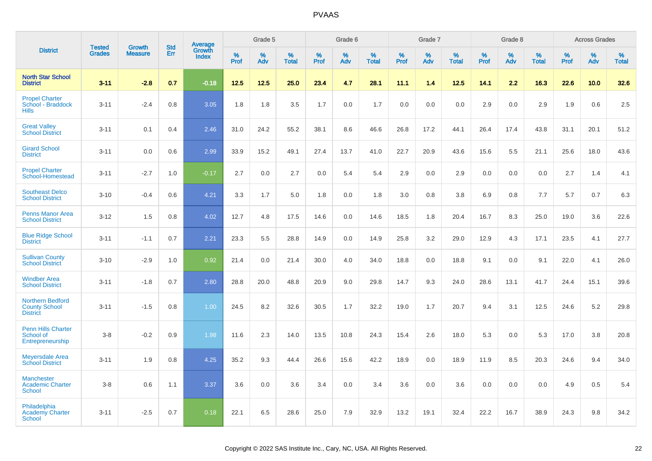|                                                                    |                                |                                 | <b>Std</b> | Average                |                     | Grade 5  |                   |                  | Grade 6  |                   |                  | Grade 7  |                   |           | Grade 8  |                   |                  | <b>Across Grades</b> |                   |
|--------------------------------------------------------------------|--------------------------------|---------------------------------|------------|------------------------|---------------------|----------|-------------------|------------------|----------|-------------------|------------------|----------|-------------------|-----------|----------|-------------------|------------------|----------------------|-------------------|
| <b>District</b>                                                    | <b>Tested</b><br><b>Grades</b> | <b>Growth</b><br><b>Measure</b> | Err        | Growth<br><b>Index</b> | $\%$<br><b>Prof</b> | %<br>Adv | %<br><b>Total</b> | %<br><b>Prof</b> | %<br>Adv | %<br><b>Total</b> | %<br><b>Prof</b> | %<br>Adv | %<br><b>Total</b> | %<br>Prof | %<br>Adv | %<br><b>Total</b> | %<br><b>Prof</b> | %<br>Adv             | %<br><b>Total</b> |
| <b>North Star School</b><br><b>District</b>                        | $3 - 11$                       | $-2.8$                          | 0.7        | $-0.18$                | $12.5$              | 12.5     | 25.0              | 23.4             | 4.7      | 28.1              | 11.1             | 1.4      | 12.5              | 14.1      | 2.2      | 16.3              | 22.6             | 10.0                 | 32.6              |
| <b>Propel Charter</b><br>School - Braddock<br><b>Hills</b>         | $3 - 11$                       | $-2.4$                          | 0.8        | 3.05                   | 1.8                 | 1.8      | 3.5               | 1.7              | 0.0      | 1.7               | 0.0              | 0.0      | 0.0               | 2.9       | 0.0      | 2.9               | 1.9              | 0.6                  | 2.5               |
| <b>Great Valley</b><br><b>School District</b>                      | $3 - 11$                       | 0.1                             | 0.4        | 2.46                   | 31.0                | 24.2     | 55.2              | 38.1             | 8.6      | 46.6              | 26.8             | 17.2     | 44.1              | 26.4      | 17.4     | 43.8              | 31.1             | 20.1                 | 51.2              |
| <b>Girard School</b><br><b>District</b>                            | $3 - 11$                       | 0.0                             | 0.6        | 2.99                   | 33.9                | 15.2     | 49.1              | 27.4             | 13.7     | 41.0              | 22.7             | 20.9     | 43.6              | 15.6      | 5.5      | 21.1              | 25.6             | 18.0                 | 43.6              |
| <b>Propel Charter</b><br>School-Homestead                          | $3 - 11$                       | $-2.7$                          | 1.0        | $-0.17$                | 2.7                 | 0.0      | 2.7               | 0.0              | 5.4      | 5.4               | 2.9              | 0.0      | 2.9               | 0.0       | 0.0      | 0.0               | 2.7              | 1.4                  | 4.1               |
| <b>Southeast Delco</b><br><b>School District</b>                   | $3 - 10$                       | $-0.4$                          | 0.6        | 4.21                   | 3.3                 | 1.7      | 5.0               | 1.8              | 0.0      | 1.8               | 3.0              | 0.8      | 3.8               | 6.9       | 0.8      | 7.7               | 5.7              | 0.7                  | 6.3               |
| <b>Penns Manor Area</b><br><b>School District</b>                  | $3 - 12$                       | 1.5                             | 0.8        | 4.02                   | 12.7                | 4.8      | 17.5              | 14.6             | 0.0      | 14.6              | 18.5             | 1.8      | 20.4              | 16.7      | 8.3      | 25.0              | 19.0             | 3.6                  | 22.6              |
| <b>Blue Ridge School</b><br><b>District</b>                        | $3 - 11$                       | $-1.1$                          | 0.7        | 2.21                   | 23.3                | 5.5      | 28.8              | 14.9             | 0.0      | 14.9              | 25.8             | 3.2      | 29.0              | 12.9      | 4.3      | 17.1              | 23.5             | 4.1                  | 27.7              |
| <b>Sullivan County</b><br><b>School District</b>                   | $3 - 10$                       | $-2.9$                          | 1.0        | 0.92                   | 21.4                | 0.0      | 21.4              | 30.0             | 4.0      | 34.0              | 18.8             | 0.0      | 18.8              | 9.1       | 0.0      | 9.1               | 22.0             | 4.1                  | 26.0              |
| <b>Windber Area</b><br><b>School District</b>                      | $3 - 11$                       | $-1.8$                          | 0.7        | 2.80                   | 28.8                | 20.0     | 48.8              | 20.9             | 9.0      | 29.8              | 14.7             | 9.3      | 24.0              | 28.6      | 13.1     | 41.7              | 24.4             | 15.1                 | 39.6              |
| <b>Northern Bedford</b><br><b>County School</b><br><b>District</b> | $3 - 11$                       | $-1.5$                          | 0.8        | 1.00                   | 24.5                | 8.2      | 32.6              | 30.5             | 1.7      | 32.2              | 19.0             | 1.7      | 20.7              | 9.4       | 3.1      | 12.5              | 24.6             | 5.2                  | 29.8              |
| <b>Penn Hills Charter</b><br>School of<br>Entrepreneurship         | $3-8$                          | $-0.2$                          | 0.9        | 1.98                   | 11.6                | 2.3      | 14.0              | 13.5             | 10.8     | 24.3              | 15.4             | 2.6      | 18.0              | 5.3       | 0.0      | 5.3               | 17.0             | 3.8                  | 20.8              |
| <b>Meyersdale Area</b><br><b>School District</b>                   | $3 - 11$                       | 1.9                             | 0.8        | 4.25                   | 35.2                | 9.3      | 44.4              | 26.6             | 15.6     | 42.2              | 18.9             | 0.0      | 18.9              | 11.9      | 8.5      | 20.3              | 24.6             | 9.4                  | 34.0              |
| <b>Manchester</b><br><b>Academic Charter</b><br><b>School</b>      | $3-8$                          | 0.6                             | 1.1        | 3.37                   | 3.6                 | 0.0      | 3.6               | 3.4              | 0.0      | 3.4               | 3.6              | 0.0      | 3.6               | 0.0       | 0.0      | 0.0               | 4.9              | 0.5                  | 5.4               |
| Philadelphia<br><b>Academy Charter</b><br><b>School</b>            | $3 - 11$                       | $-2.5$                          | 0.7        | 0.18                   | 22.1                | 6.5      | 28.6              | 25.0             | 7.9      | 32.9              | 13.2             | 19.1     | 32.4              | 22.2      | 16.7     | 38.9              | 24.3             | 9.8                  | 34.2              |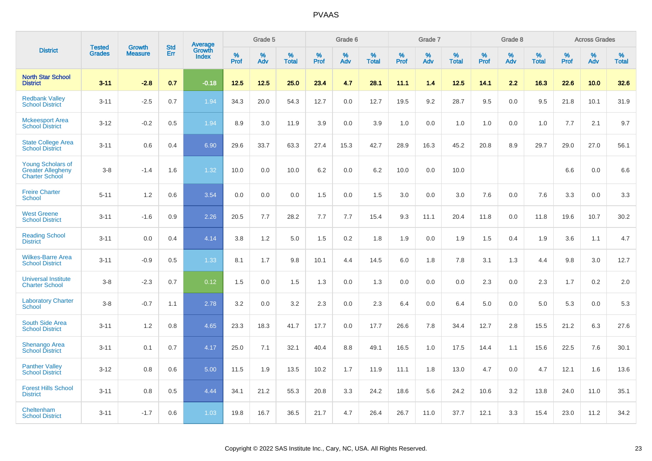|                                                                               |                                | <b>Growth</b>  | <b>Std</b> | Average                |                     | Grade 5  |                      |                     | Grade 6  |                      |              | Grade 7  |                      |              | Grade 8  |                      |                  | <b>Across Grades</b> |                      |
|-------------------------------------------------------------------------------|--------------------------------|----------------|------------|------------------------|---------------------|----------|----------------------|---------------------|----------|----------------------|--------------|----------|----------------------|--------------|----------|----------------------|------------------|----------------------|----------------------|
| <b>District</b>                                                               | <b>Tested</b><br><b>Grades</b> | <b>Measure</b> | Err        | Growth<br><b>Index</b> | $\%$<br><b>Prof</b> | %<br>Adv | $\%$<br><b>Total</b> | $\%$<br><b>Prof</b> | %<br>Adv | $\%$<br><b>Total</b> | $\%$<br>Prof | %<br>Adv | $\%$<br><b>Total</b> | $\%$<br>Prof | %<br>Adv | $\%$<br><b>Total</b> | %<br><b>Prof</b> | %<br>Adv             | $\%$<br><b>Total</b> |
| <b>North Star School</b><br><b>District</b>                                   | $3 - 11$                       | $-2.8$         | 0.7        | $-0.18$                | 12.5                | 12.5     | 25.0                 | 23.4                | 4.7      | 28.1                 | 11.1         | 1.4      | 12.5                 | 14.1         | 2.2      | 16.3                 | 22.6             | 10.0                 | 32.6                 |
| <b>Redbank Valley</b><br><b>School District</b>                               | $3 - 11$                       | $-2.5$         | 0.7        | 1.94                   | 34.3                | 20.0     | 54.3                 | 12.7                | 0.0      | 12.7                 | 19.5         | 9.2      | 28.7                 | 9.5          | 0.0      | 9.5                  | 21.8             | 10.1                 | 31.9                 |
| <b>Mckeesport Area</b><br><b>School District</b>                              | $3-12$                         | $-0.2$         | 0.5        | 1.94                   | 8.9                 | 3.0      | 11.9                 | 3.9                 | 0.0      | 3.9                  | 1.0          | 0.0      | 1.0                  | 1.0          | 0.0      | 1.0                  | 7.7              | 2.1                  | 9.7                  |
| <b>State College Area</b><br><b>School District</b>                           | $3 - 11$                       | 0.6            | 0.4        | 6.90                   | 29.6                | 33.7     | 63.3                 | 27.4                | 15.3     | 42.7                 | 28.9         | 16.3     | 45.2                 | 20.8         | 8.9      | 29.7                 | 29.0             | 27.0                 | 56.1                 |
| <b>Young Scholars of</b><br><b>Greater Allegheny</b><br><b>Charter School</b> | $3-8$                          | $-1.4$         | 1.6        | 1.32                   | 10.0                | 0.0      | 10.0                 | $6.2\,$             | 0.0      | 6.2                  | 10.0         | 0.0      | 10.0                 |              |          |                      | 6.6              | 0.0                  | 6.6                  |
| <b>Freire Charter</b><br><b>School</b>                                        | $5 - 11$                       | 1.2            | 0.6        | 3.54                   | 0.0                 | 0.0      | 0.0                  | 1.5                 | 0.0      | 1.5                  | 3.0          | 0.0      | 3.0                  | 7.6          | 0.0      | 7.6                  | 3.3              | 0.0                  | 3.3                  |
| <b>West Greene</b><br><b>School District</b>                                  | $3 - 11$                       | $-1.6$         | 0.9        | 2.26                   | 20.5                | 7.7      | 28.2                 | 7.7                 | 7.7      | 15.4                 | 9.3          | 11.1     | 20.4                 | 11.8         | 0.0      | 11.8                 | 19.6             | 10.7                 | 30.2                 |
| <b>Reading School</b><br><b>District</b>                                      | $3 - 11$                       | 0.0            | 0.4        | 4.14                   | 3.8                 | 1.2      | 5.0                  | 1.5                 | 0.2      | 1.8                  | 1.9          | 0.0      | 1.9                  | 1.5          | 0.4      | 1.9                  | 3.6              | 1.1                  | 4.7                  |
| <b>Wilkes-Barre Area</b><br><b>School District</b>                            | $3 - 11$                       | $-0.9$         | 0.5        | 1.33                   | 8.1                 | 1.7      | 9.8                  | 10.1                | 4.4      | 14.5                 | $6.0\,$      | 1.8      | 7.8                  | 3.1          | 1.3      | 4.4                  | 9.8              | 3.0                  | 12.7                 |
| <b>Universal Institute</b><br><b>Charter School</b>                           | $3-8$                          | $-2.3$         | 0.7        | 0.12                   | 1.5                 | 0.0      | 1.5                  | 1.3                 | 0.0      | 1.3                  | 0.0          | 0.0      | 0.0                  | 2.3          | 0.0      | 2.3                  | 1.7              | $0.2\,$              | 2.0                  |
| <b>Laboratory Charter</b><br><b>School</b>                                    | $3-8$                          | $-0.7$         | 1.1        | 2.78                   | 3.2                 | 0.0      | 3.2                  | 2.3                 | 0.0      | 2.3                  | 6.4          | 0.0      | 6.4                  | 5.0          | 0.0      | 5.0                  | 5.3              | 0.0                  | 5.3                  |
| South Side Area<br><b>School District</b>                                     | $3 - 11$                       | 1.2            | 0.8        | 4.65                   | 23.3                | 18.3     | 41.7                 | 17.7                | 0.0      | 17.7                 | 26.6         | 7.8      | 34.4                 | 12.7         | 2.8      | 15.5                 | 21.2             | 6.3                  | 27.6                 |
| <b>Shenango Area</b><br><b>School District</b>                                | $3 - 11$                       | 0.1            | 0.7        | 4.17                   | 25.0                | 7.1      | 32.1                 | 40.4                | 8.8      | 49.1                 | 16.5         | 1.0      | 17.5                 | 14.4         | 1.1      | 15.6                 | 22.5             | 7.6                  | 30.1                 |
| <b>Panther Valley</b><br><b>School District</b>                               | $3 - 12$                       | 0.8            | 0.6        | 5.00                   | 11.5                | 1.9      | 13.5                 | 10.2                | 1.7      | 11.9                 | 11.1         | 1.8      | 13.0                 | 4.7          | 0.0      | 4.7                  | 12.1             | 1.6                  | 13.6                 |
| <b>Forest Hills School</b><br><b>District</b>                                 | $3 - 11$                       | 0.8            | 0.5        | 4.44                   | 34.1                | 21.2     | 55.3                 | 20.8                | 3.3      | 24.2                 | 18.6         | 5.6      | 24.2                 | 10.6         | 3.2      | 13.8                 | 24.0             | 11.0                 | 35.1                 |
| Cheltenham<br><b>School District</b>                                          | $3 - 11$                       | $-1.7$         | 0.6        | 1.03                   | 19.8                | 16.7     | 36.5                 | 21.7                | 4.7      | 26.4                 | 26.7         | 11.0     | 37.7                 | 12.1         | 3.3      | 15.4                 | 23.0             | 11.2                 | 34.2                 |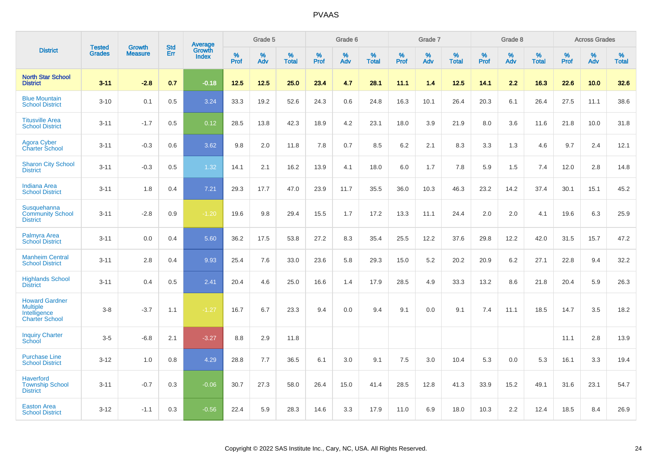|                                                                                   | <b>Tested</b> | <b>Growth</b>  | <b>Std</b> | <b>Average</b><br>Growth |              | Grade 5  |                   |              | Grade 6  |                   |              | Grade 7  |                   |           | Grade 8  |                   |                  | <b>Across Grades</b> |                   |
|-----------------------------------------------------------------------------------|---------------|----------------|------------|--------------------------|--------------|----------|-------------------|--------------|----------|-------------------|--------------|----------|-------------------|-----------|----------|-------------------|------------------|----------------------|-------------------|
| <b>District</b>                                                                   | <b>Grades</b> | <b>Measure</b> | Err        | <b>Index</b>             | $\%$<br>Prof | %<br>Adv | %<br><b>Total</b> | $\%$<br>Prof | %<br>Adv | %<br><b>Total</b> | $\%$<br>Prof | %<br>Adv | %<br><b>Total</b> | %<br>Prof | %<br>Adv | %<br><b>Total</b> | %<br><b>Prof</b> | $\%$<br>Adv          | %<br><b>Total</b> |
| <b>North Star School</b><br><b>District</b>                                       | $3 - 11$      | $-2.8$         | 0.7        | $-0.18$                  | 12.5         | 12.5     | 25.0              | 23.4         | 4.7      | 28.1              | 11.1         | 1.4      | 12.5              | 14.1      | 2.2      | 16.3              | 22.6             | 10.0                 | 32.6              |
| <b>Blue Mountain</b><br><b>School District</b>                                    | $3 - 10$      | 0.1            | 0.5        | 3.24                     | 33.3         | 19.2     | 52.6              | 24.3         | 0.6      | 24.8              | 16.3         | 10.1     | 26.4              | 20.3      | 6.1      | 26.4              | 27.5             | 11.1                 | 38.6              |
| <b>Titusville Area</b><br><b>School District</b>                                  | $3 - 11$      | $-1.7$         | 0.5        | 0.12                     | 28.5         | 13.8     | 42.3              | 18.9         | 4.2      | 23.1              | 18.0         | 3.9      | 21.9              | 8.0       | 3.6      | 11.6              | 21.8             | 10.0                 | 31.8              |
| <b>Agora Cyber</b><br><b>Charter School</b>                                       | $3 - 11$      | $-0.3$         | 0.6        | 3.62                     | 9.8          | 2.0      | 11.8              | 7.8          | 0.7      | 8.5               | 6.2          | 2.1      | 8.3               | 3.3       | 1.3      | 4.6               | 9.7              | 2.4                  | 12.1              |
| <b>Sharon City School</b><br><b>District</b>                                      | $3 - 11$      | $-0.3$         | 0.5        | 1.32                     | 14.1         | 2.1      | 16.2              | 13.9         | 4.1      | 18.0              | 6.0          | 1.7      | 7.8               | 5.9       | 1.5      | 7.4               | 12.0             | 2.8                  | 14.8              |
| <b>Indiana Area</b><br><b>School District</b>                                     | $3 - 11$      | 1.8            | 0.4        | $7.21$                   | 29.3         | 17.7     | 47.0              | 23.9         | 11.7     | 35.5              | 36.0         | 10.3     | 46.3              | 23.2      | 14.2     | 37.4              | 30.1             | 15.1                 | 45.2              |
| Susquehanna<br><b>Community School</b><br><b>District</b>                         | $3 - 11$      | $-2.8$         | 0.9        | $-1.20$                  | 19.6         | 9.8      | 29.4              | 15.5         | 1.7      | 17.2              | 13.3         | 11.1     | 24.4              | 2.0       | 2.0      | 4.1               | 19.6             | 6.3                  | 25.9              |
| Palmyra Area<br><b>School District</b>                                            | $3 - 11$      | 0.0            | 0.4        | 5.60                     | 36.2         | 17.5     | 53.8              | 27.2         | 8.3      | 35.4              | 25.5         | 12.2     | 37.6              | 29.8      | 12.2     | 42.0              | 31.5             | 15.7                 | 47.2              |
| <b>Manheim Central</b><br><b>School District</b>                                  | $3 - 11$      | 2.8            | 0.4        | 9.93                     | 25.4         | 7.6      | 33.0              | 23.6         | 5.8      | 29.3              | 15.0         | 5.2      | 20.2              | 20.9      | 6.2      | 27.1              | 22.8             | 9.4                  | 32.2              |
| <b>Highlands School</b><br><b>District</b>                                        | $3 - 11$      | 0.4            | 0.5        | 2.41                     | 20.4         | 4.6      | 25.0              | 16.6         | 1.4      | 17.9              | 28.5         | 4.9      | 33.3              | 13.2      | 8.6      | 21.8              | 20.4             | 5.9                  | 26.3              |
| <b>Howard Gardner</b><br><b>Multiple</b><br>Intelligence<br><b>Charter School</b> | $3 - 8$       | $-3.7$         | 1.1        | $-1.27$                  | 16.7         | 6.7      | 23.3              | 9.4          | 0.0      | 9.4               | 9.1          | 0.0      | 9.1               | 7.4       | 11.1     | 18.5              | 14.7             | 3.5                  | 18.2              |
| <b>Inquiry Charter</b><br>School                                                  | $3-5$         | $-6.8$         | 2.1        | $-3.27$                  | 8.8          | 2.9      | 11.8              |              |          |                   |              |          |                   |           |          |                   | 11.1             | 2.8                  | 13.9              |
| <b>Purchase Line</b><br><b>School District</b>                                    | $3 - 12$      | 1.0            | 0.8        | 4.29                     | 28.8         | 7.7      | 36.5              | 6.1          | 3.0      | 9.1               | 7.5          | 3.0      | 10.4              | 5.3       | 0.0      | 5.3               | 16.1             | 3.3                  | 19.4              |
| <b>Haverford</b><br><b>Township School</b><br><b>District</b>                     | $3 - 11$      | $-0.7$         | 0.3        | $-0.06$                  | 30.7         | 27.3     | 58.0              | 26.4         | 15.0     | 41.4              | 28.5         | 12.8     | 41.3              | 33.9      | 15.2     | 49.1              | 31.6             | 23.1                 | 54.7              |
| <b>Easton Area</b><br><b>School District</b>                                      | $3 - 12$      | $-1.1$         | 0.3        | $-0.56$                  | 22.4         | 5.9      | 28.3              | 14.6         | 3.3      | 17.9              | 11.0         | 6.9      | 18.0              | 10.3      | 2.2      | 12.4              | 18.5             | 8.4                  | 26.9              |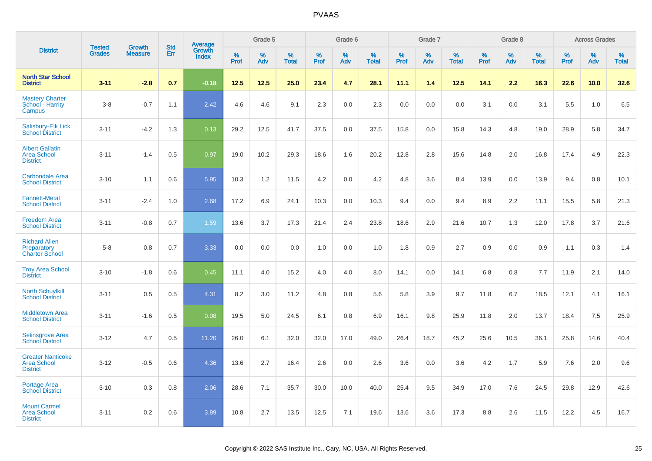|                                                                   |                                |                                 |                   |                                          |                     | Grade 5  |                   |                  | Grade 6  |                   |                  | Grade 7  |                   |           | Grade 8  |                   |              | <b>Across Grades</b> |                   |
|-------------------------------------------------------------------|--------------------------------|---------------------------------|-------------------|------------------------------------------|---------------------|----------|-------------------|------------------|----------|-------------------|------------------|----------|-------------------|-----------|----------|-------------------|--------------|----------------------|-------------------|
| <b>District</b>                                                   | <b>Tested</b><br><b>Grades</b> | <b>Growth</b><br><b>Measure</b> | <b>Std</b><br>Err | <b>Average</b><br>Growth<br><b>Index</b> | $\%$<br><b>Prof</b> | %<br>Adv | %<br><b>Total</b> | %<br><b>Prof</b> | %<br>Adv | %<br><b>Total</b> | %<br><b>Prof</b> | %<br>Adv | %<br><b>Total</b> | %<br>Prof | %<br>Adv | %<br><b>Total</b> | $\%$<br>Prof | %<br>Adv             | %<br><b>Total</b> |
| <b>North Star School</b><br><b>District</b>                       | $3 - 11$                       | $-2.8$                          | 0.7               | $-0.18$                                  | $12.5$              | $12.5$   | 25.0              | 23.4             | 4.7      | 28.1              | 11.1             | 1.4      | $12.5$            | 14.1      | 2.2      | 16.3              | 22.6         | 10.0                 | 32.6              |
| <b>Mastery Charter</b><br>School - Harrity<br>Campus              | $3-8$                          | $-0.7$                          | 1.1               | 2.42                                     | 4.6                 | 4.6      | 9.1               | 2.3              | 0.0      | 2.3               | 0.0              | 0.0      | 0.0               | 3.1       | 0.0      | 3.1               | 5.5          | 1.0                  | 6.5               |
| Salisbury-Elk Lick<br><b>School District</b>                      | $3 - 11$                       | $-4.2$                          | 1.3               | 0.13                                     | 29.2                | 12.5     | 41.7              | 37.5             | 0.0      | 37.5              | 15.8             | 0.0      | 15.8              | 14.3      | 4.8      | 19.0              | 28.9         | 5.8                  | 34.7              |
| <b>Albert Gallatin</b><br><b>Area School</b><br><b>District</b>   | $3 - 11$                       | $-1.4$                          | 0.5               | 0.97                                     | 19.0                | 10.2     | 29.3              | 18.6             | 1.6      | 20.2              | 12.8             | 2.8      | 15.6              | 14.8      | 2.0      | 16.8              | 17.4         | 4.9                  | 22.3              |
| <b>Carbondale Area</b><br><b>School District</b>                  | $3 - 10$                       | 1.1                             | 0.6               | 5.95                                     | 10.3                | 1.2      | 11.5              | 4.2              | 0.0      | 4.2               | 4.8              | 3.6      | 8.4               | 13.9      | 0.0      | 13.9              | 9.4          | 0.8                  | 10.1              |
| <b>Fannett-Metal</b><br><b>School District</b>                    | $3 - 11$                       | $-2.4$                          | 1.0               | 2.68                                     | 17.2                | 6.9      | 24.1              | 10.3             | 0.0      | 10.3              | 9.4              | 0.0      | 9.4               | 8.9       | 2.2      | 11.1              | 15.5         | 5.8                  | 21.3              |
| <b>Freedom Area</b><br><b>School District</b>                     | $3 - 11$                       | $-0.8$                          | 0.7               | 1.59                                     | 13.6                | 3.7      | 17.3              | 21.4             | 2.4      | 23.8              | 18.6             | 2.9      | 21.6              | 10.7      | 1.3      | 12.0              | 17.8         | 3.7                  | 21.6              |
| <b>Richard Allen</b><br>Preparatory<br><b>Charter School</b>      | $5-8$                          | 0.8                             | 0.7               | 3.33                                     | 0.0                 | 0.0      | 0.0               | 1.0              | 0.0      | 1.0               | 1.8              | 0.9      | 2.7               | 0.9       | 0.0      | 0.9               | 1.1          | 0.3                  | 1.4               |
| <b>Troy Area School</b><br><b>District</b>                        | $3 - 10$                       | $-1.8$                          | 0.6               | 0.45                                     | 11.1                | 4.0      | 15.2              | 4.0              | 4.0      | 8.0               | 14.1             | 0.0      | 14.1              | 6.8       | 0.8      | 7.7               | 11.9         | 2.1                  | 14.0              |
| <b>North Schuylkill</b><br><b>School District</b>                 | $3 - 11$                       | 0.5                             | 0.5               | 4.31                                     | 8.2                 | 3.0      | 11.2              | 4.8              | 0.8      | 5.6               | 5.8              | 3.9      | 9.7               | 11.8      | 6.7      | 18.5              | 12.1         | 4.1                  | 16.1              |
| <b>Middletown Area</b><br><b>School District</b>                  | $3 - 11$                       | $-1.6$                          | 0.5               | 0.08                                     | 19.5                | 5.0      | 24.5              | 6.1              | 0.8      | 6.9               | 16.1             | 9.8      | 25.9              | 11.8      | 2.0      | 13.7              | 18.4         | 7.5                  | 25.9              |
| <b>Selinsgrove Area</b><br><b>School District</b>                 | $3 - 12$                       | 4.7                             | 0.5               | 11.20                                    | 26.0                | 6.1      | 32.0              | 32.0             | 17.0     | 49.0              | 26.4             | 18.7     | 45.2              | 25.6      | 10.5     | 36.1              | 25.8         | 14.6                 | 40.4              |
| <b>Greater Nanticoke</b><br><b>Area School</b><br><b>District</b> | $3 - 12$                       | $-0.5$                          | 0.6               | 4.36                                     | 13.6                | 2.7      | 16.4              | 2.6              | 0.0      | 2.6               | 3.6              | 0.0      | 3.6               | 4.2       | 1.7      | 5.9               | 7.6          | 2.0                  | 9.6               |
| Portage Area<br><b>School District</b>                            | $3 - 10$                       | 0.3                             | 0.8               | 2.06                                     | 28.6                | 7.1      | 35.7              | 30.0             | 10.0     | 40.0              | 25.4             | 9.5      | 34.9              | 17.0      | 7.6      | 24.5              | 29.8         | 12.9                 | 42.6              |
| <b>Mount Carmel</b><br><b>Area School</b><br><b>District</b>      | $3 - 11$                       | 0.2                             | 0.6               | 3.89                                     | 10.8                | 2.7      | 13.5              | 12.5             | 7.1      | 19.6              | 13.6             | 3.6      | 17.3              | 8.8       | 2.6      | 11.5              | 12.2         | 4.5                  | 16.7              |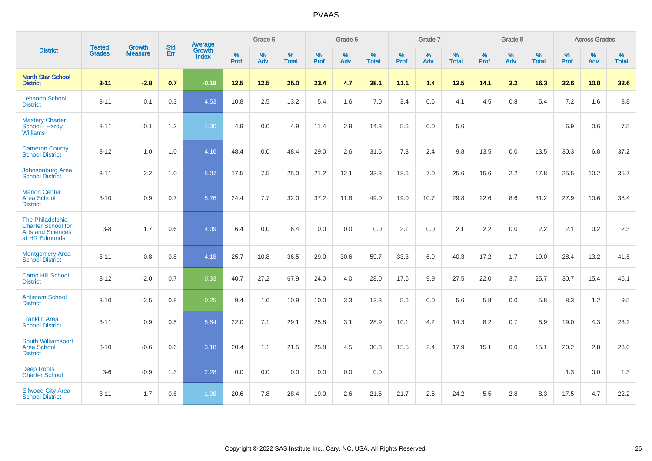|                                                                                            | <b>Tested</b> | <b>Growth</b>  | <b>Std</b> | Average                |                     | Grade 5  |                   |                     | Grade 6  |                   |              | Grade 7  |                   |                     | Grade 8  |                   |                     | <b>Across Grades</b> |                   |
|--------------------------------------------------------------------------------------------|---------------|----------------|------------|------------------------|---------------------|----------|-------------------|---------------------|----------|-------------------|--------------|----------|-------------------|---------------------|----------|-------------------|---------------------|----------------------|-------------------|
| <b>District</b>                                                                            | <b>Grades</b> | <b>Measure</b> | <b>Err</b> | Growth<br><b>Index</b> | $\%$<br><b>Prof</b> | %<br>Adv | %<br><b>Total</b> | $\%$<br><b>Prof</b> | %<br>Adv | %<br><b>Total</b> | $\%$<br>Prof | %<br>Adv | %<br><b>Total</b> | $\%$<br><b>Prof</b> | %<br>Adv | %<br><b>Total</b> | $\%$<br><b>Prof</b> | %<br>Adv             | %<br><b>Total</b> |
| <b>North Star School</b><br><b>District</b>                                                | $3 - 11$      | $-2.8$         | 0.7        | $-0.18$                | 12.5                | $12.5$   | 25.0              | 23.4                | 4.7      | 28.1              | 11.1         | 1.4      | 12.5              | 14.1                | 2.2      | 16.3              | 22.6                | 10.0                 | 32.6              |
| <b>Lebanon School</b><br><b>District</b>                                                   | $3 - 11$      | 0.1            | 0.3        | 4.53                   | 10.8                | 2.5      | 13.2              | 5.4                 | 1.6      | 7.0               | 3.4          | 0.6      | 4.1               | 4.5                 | 0.8      | 5.4               | 7.2                 | 1.6                  | 8.8               |
| <b>Mastery Charter</b><br>School - Hardy<br><b>Williams</b>                                | $3 - 11$      | $-0.1$         | 1.2        | 1.30                   | 4.9                 | 0.0      | 4.9               | 11.4                | 2.9      | 14.3              | 5.6          | 0.0      | 5.6               |                     |          |                   | 6.9                 | 0.6                  | 7.5               |
| <b>Cameron County</b><br><b>School District</b>                                            | $3 - 12$      | 1.0            | 1.0        | 4.16                   | 48.4                | 0.0      | 48.4              | 29.0                | 2.6      | 31.6              | 7.3          | 2.4      | 9.8               | 13.5                | 0.0      | 13.5              | 30.3                | 6.8                  | 37.2              |
| Johnsonburg Area<br><b>School District</b>                                                 | $3 - 11$      | 2.2            | 1.0        | 5.07                   | 17.5                | 7.5      | 25.0              | 21.2                | 12.1     | 33.3              | 18.6         | 7.0      | 25.6              | 15.6                | 2.2      | 17.8              | 25.5                | 10.2                 | 35.7              |
| <b>Marion Center</b><br>Area School<br><b>District</b>                                     | $3 - 10$      | 0.9            | 0.7        | 5.76                   | 24.4                | 7.7      | 32.0              | 37.2                | 11.8     | 49.0              | 19.0         | 10.7     | 29.8              | 22.6                | 8.6      | 31.2              | 27.9                | 10.6                 | 38.4              |
| The Philadelphia<br><b>Charter School for</b><br><b>Arts and Sciences</b><br>at HR Edmunds | $3 - 8$       | 1.7            | 0.6        | 4.09                   | 6.4                 | 0.0      | 6.4               | 0.0                 | 0.0      | 0.0               | 2.1          | 0.0      | 2.1               | 2.2                 | 0.0      | 2.2               | 2.1                 | $0.2\,$              | 2.3               |
| <b>Montgomery Area</b><br><b>School District</b>                                           | $3 - 11$      | 0.8            | 0.8        | 4.18                   | 25.7                | 10.8     | 36.5              | 29.0                | 30.6     | 59.7              | 33.3         | 6.9      | 40.3              | 17.2                | 1.7      | 19.0              | 28.4                | 13.2                 | 41.6              |
| <b>Camp Hill School</b><br><b>District</b>                                                 | $3 - 12$      | $-2.0$         | 0.7        | $-0.33$                | 40.7                | 27.2     | 67.9              | 24.0                | 4.0      | 28.0              | 17.6         | 9.9      | 27.5              | 22.0                | 3.7      | 25.7              | 30.7                | 15.4                 | 46.1              |
| <b>Antietam School</b><br><b>District</b>                                                  | $3 - 10$      | $-2.5$         | 0.8        | $-0.25$                | 9.4                 | 1.6      | 10.9              | 10.0                | 3.3      | 13.3              | 5.6          | 0.0      | 5.6               | 5.8                 | 0.0      | 5.8               | 8.3                 | 1.2                  | 9.5               |
| <b>Franklin Area</b><br><b>School District</b>                                             | $3 - 11$      | 0.9            | 0.5        | 5.84                   | 22.0                | 7.1      | 29.1              | 25.8                | 3.1      | 28.9              | 10.1         | 4.2      | 14.3              | 8.2                 | 0.7      | 8.9               | 19.0                | 4.3                  | 23.2              |
| South Williamsport<br><b>Area School</b><br><b>District</b>                                | $3 - 10$      | $-0.6$         | 0.6        | 3.18                   | 20.4                | 1.1      | 21.5              | 25.8                | 4.5      | 30.3              | 15.5         | 2.4      | 17.9              | 15.1                | 0.0      | 15.1              | 20.2                | 2.8                  | 23.0              |
| <b>Deep Roots</b><br><b>Charter School</b>                                                 | $3-6$         | $-0.9$         | 1.3        | 2.28                   | 0.0                 | 0.0      | 0.0               | 0.0                 | 0.0      | 0.0               |              |          |                   |                     |          |                   | 1.3                 | 0.0                  | 1.3               |
| <b>Ellwood City Area</b><br><b>School District</b>                                         | $3 - 11$      | $-1.7$         | 0.6        | 1.08                   | 20.6                | 7.8      | 28.4              | 19.0                | 2.6      | 21.6              | 21.7         | 2.5      | 24.2              | 5.5                 | 2.8      | 8.3               | 17.5                | 4.7                  | 22.2              |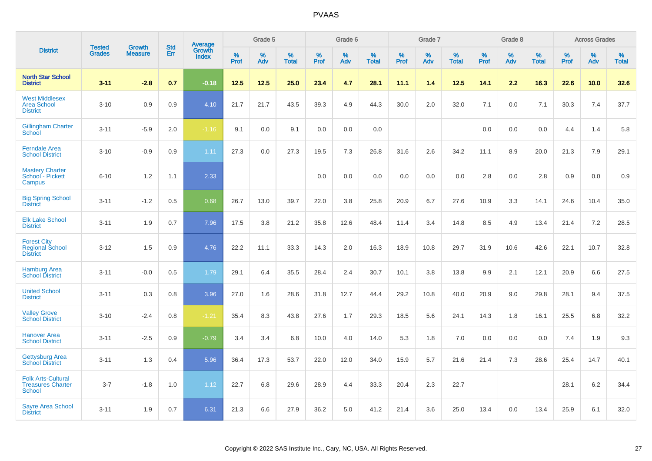|                                                                 |                                |                                 | <b>Std</b> | Average                |                     | Grade 5  |                   |                  | Grade 6  |                   |              | Grade 7  |                   |           | Grade 8  |                   |                     | <b>Across Grades</b> |                   |
|-----------------------------------------------------------------|--------------------------------|---------------------------------|------------|------------------------|---------------------|----------|-------------------|------------------|----------|-------------------|--------------|----------|-------------------|-----------|----------|-------------------|---------------------|----------------------|-------------------|
| <b>District</b>                                                 | <b>Tested</b><br><b>Grades</b> | <b>Growth</b><br><b>Measure</b> | Err        | Growth<br><b>Index</b> | $\%$<br><b>Prof</b> | %<br>Adv | %<br><b>Total</b> | %<br><b>Prof</b> | %<br>Adv | %<br><b>Total</b> | $\%$<br>Prof | %<br>Adv | %<br><b>Total</b> | %<br>Prof | %<br>Adv | %<br><b>Total</b> | $\%$<br><b>Prof</b> | $\%$<br>Adv          | %<br><b>Total</b> |
| <b>North Star School</b><br><b>District</b>                     | $3 - 11$                       | $-2.8$                          | 0.7        | $-0.18$                | 12.5                | 12.5     | 25.0              | 23.4             | 4.7      | 28.1              | 11.1         | 1.4      | 12.5              | 14.1      | 2.2      | 16.3              | 22.6                | 10.0                 | 32.6              |
| <b>West Middlesex</b><br><b>Area School</b><br><b>District</b>  | $3 - 10$                       | 0.9                             | 0.9        | 4.10                   | 21.7                | 21.7     | 43.5              | 39.3             | 4.9      | 44.3              | 30.0         | 2.0      | 32.0              | 7.1       | 0.0      | 7.1               | 30.3                | 7.4                  | 37.7              |
| <b>Gillingham Charter</b><br>School                             | $3 - 11$                       | $-5.9$                          | 2.0        | $-1.16$                | 9.1                 | 0.0      | 9.1               | 0.0              | 0.0      | 0.0               |              |          |                   | 0.0       | 0.0      | 0.0               | 4.4                 | 1.4                  | 5.8               |
| <b>Ferndale Area</b><br><b>School District</b>                  | $3 - 10$                       | $-0.9$                          | 0.9        | 1.11                   | 27.3                | 0.0      | 27.3              | 19.5             | 7.3      | 26.8              | 31.6         | 2.6      | 34.2              | 11.1      | 8.9      | 20.0              | 21.3                | 7.9                  | 29.1              |
| <b>Mastery Charter</b><br>School - Pickett<br>Campus            | $6 - 10$                       | 1.2                             | 1.1        | 2.33                   |                     |          |                   | 0.0              | 0.0      | 0.0               | 0.0          | 0.0      | 0.0               | 2.8       | 0.0      | 2.8               | 0.9                 | 0.0                  | 0.9               |
| <b>Big Spring School</b><br><b>District</b>                     | $3 - 11$                       | $-1.2$                          | 0.5        | 0.68                   | 26.7                | 13.0     | 39.7              | 22.0             | 3.8      | 25.8              | 20.9         | 6.7      | 27.6              | 10.9      | 3.3      | 14.1              | 24.6                | 10.4                 | 35.0              |
| <b>Elk Lake School</b><br><b>District</b>                       | $3 - 11$                       | 1.9                             | 0.7        | 7.96                   | 17.5                | 3.8      | 21.2              | 35.8             | 12.6     | 48.4              | 11.4         | 3.4      | 14.8              | 8.5       | 4.9      | 13.4              | 21.4                | 7.2                  | 28.5              |
| <b>Forest City</b><br><b>Regional School</b><br><b>District</b> | $3 - 12$                       | 1.5                             | 0.9        | 4.76                   | 22.2                | 11.1     | 33.3              | 14.3             | 2.0      | 16.3              | 18.9         | 10.8     | 29.7              | 31.9      | 10.6     | 42.6              | 22.1                | 10.7                 | 32.8              |
| <b>Hamburg Area</b><br><b>School District</b>                   | $3 - 11$                       | $-0.0$                          | 0.5        | 1.79                   | 29.1                | 6.4      | 35.5              | 28.4             | 2.4      | 30.7              | 10.1         | 3.8      | 13.8              | 9.9       | 2.1      | 12.1              | 20.9                | 6.6                  | 27.5              |
| <b>United School</b><br><b>District</b>                         | $3 - 11$                       | 0.3                             | 0.8        | 3.96                   | 27.0                | 1.6      | 28.6              | 31.8             | 12.7     | 44.4              | 29.2         | 10.8     | 40.0              | 20.9      | 9.0      | 29.8              | 28.1                | 9.4                  | 37.5              |
| <b>Valley Grove</b><br><b>School District</b>                   | $3 - 10$                       | $-2.4$                          | 0.8        | $-1.21$                | 35.4                | 8.3      | 43.8              | 27.6             | 1.7      | 29.3              | 18.5         | 5.6      | 24.1              | 14.3      | 1.8      | 16.1              | 25.5                | 6.8                  | 32.2              |
| <b>Hanover Area</b><br><b>School District</b>                   | $3 - 11$                       | $-2.5$                          | 0.9        | $-0.79$                | 3.4                 | 3.4      | 6.8               | 10.0             | 4.0      | 14.0              | 5.3          | 1.8      | 7.0               | 0.0       | 0.0      | 0.0               | 7.4                 | 1.9                  | 9.3               |
| <b>Gettysburg Area</b><br><b>School District</b>                | $3 - 11$                       | 1.3                             | 0.4        | 5.96                   | 36.4                | 17.3     | 53.7              | 22.0             | 12.0     | 34.0              | 15.9         | 5.7      | 21.6              | 21.4      | 7.3      | 28.6              | 25.4                | 14.7                 | 40.1              |
| <b>Folk Arts-Cultural</b><br><b>Treasures Charter</b><br>School | $3 - 7$                        | $-1.8$                          | 1.0        | 1.12                   | 22.7                | 6.8      | 29.6              | 28.9             | 4.4      | 33.3              | 20.4         | 2.3      | 22.7              |           |          |                   | 28.1                | 6.2                  | 34.4              |
| <b>Sayre Area School</b><br><b>District</b>                     | $3 - 11$                       | 1.9                             | 0.7        | 6.31                   | 21.3                | 6.6      | 27.9              | 36.2             | 5.0      | 41.2              | 21.4         | 3.6      | 25.0              | 13.4      | 0.0      | 13.4              | 25.9                | 6.1                  | 32.0              |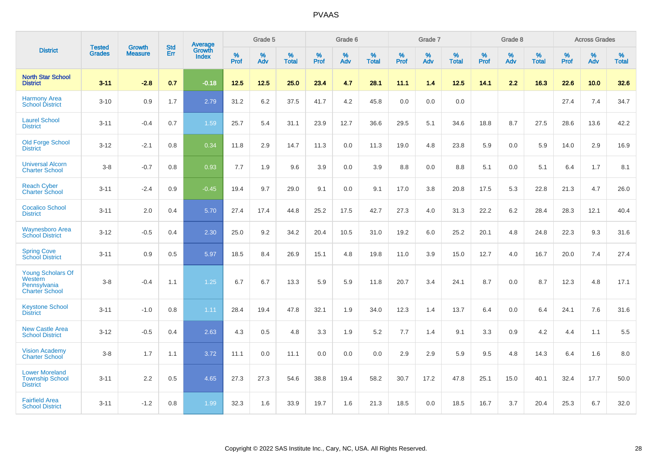|                                                                              |                                |                                 | <b>Std</b> | Average                       |           | Grade 5  |                   |           | Grade 6  |                   |           | Grade 7  |                   |           | Grade 8  |                   |           | <b>Across Grades</b> |                   |
|------------------------------------------------------------------------------|--------------------------------|---------------------------------|------------|-------------------------------|-----------|----------|-------------------|-----------|----------|-------------------|-----------|----------|-------------------|-----------|----------|-------------------|-----------|----------------------|-------------------|
| <b>District</b>                                                              | <b>Tested</b><br><b>Grades</b> | <b>Growth</b><br><b>Measure</b> | Err        | <b>Growth</b><br><b>Index</b> | %<br>Prof | %<br>Adv | %<br><b>Total</b> | %<br>Prof | %<br>Adv | %<br><b>Total</b> | %<br>Prof | %<br>Adv | %<br><b>Total</b> | %<br>Prof | %<br>Adv | %<br><b>Total</b> | %<br>Prof | %<br>Adv             | %<br><b>Total</b> |
| <b>North Star School</b><br><b>District</b>                                  | $3 - 11$                       | $-2.8$                          | 0.7        | $-0.18$                       | 12.5      | 12.5     | 25.0              | 23.4      | 4.7      | 28.1              | 11.1      | 1.4      | 12.5              | 14.1      | 2.2      | 16.3              | 22.6      | 10.0                 | 32.6              |
| <b>Harmony Area</b><br><b>School District</b>                                | $3 - 10$                       | 0.9                             | 1.7        | 2.79                          | 31.2      | 6.2      | 37.5              | 41.7      | 4.2      | 45.8              | 0.0       | 0.0      | 0.0               |           |          |                   | 27.4      | 7.4                  | 34.7              |
| <b>Laurel School</b><br><b>District</b>                                      | $3 - 11$                       | $-0.4$                          | 0.7        | 1.59                          | 25.7      | 5.4      | 31.1              | 23.9      | 12.7     | 36.6              | 29.5      | 5.1      | 34.6              | 18.8      | 8.7      | 27.5              | 28.6      | 13.6                 | 42.2              |
| <b>Old Forge School</b><br><b>District</b>                                   | $3 - 12$                       | $-2.1$                          | 0.8        | 0.34                          | 11.8      | 2.9      | 14.7              | 11.3      | 0.0      | 11.3              | 19.0      | 4.8      | 23.8              | 5.9       | 0.0      | 5.9               | 14.0      | 2.9                  | 16.9              |
| <b>Universal Alcorn</b><br><b>Charter School</b>                             | $3 - 8$                        | $-0.7$                          | 0.8        | 0.93                          | 7.7       | 1.9      | 9.6               | 3.9       | 0.0      | 3.9               | 8.8       | 0.0      | 8.8               | 5.1       | 0.0      | 5.1               | 6.4       | 1.7                  | 8.1               |
| <b>Reach Cyber</b><br><b>Charter School</b>                                  | $3 - 11$                       | $-2.4$                          | 0.9        | $-0.45$                       | 19.4      | 9.7      | 29.0              | 9.1       | 0.0      | 9.1               | 17.0      | 3.8      | 20.8              | 17.5      | 5.3      | 22.8              | 21.3      | 4.7                  | 26.0              |
| <b>Cocalico School</b><br><b>District</b>                                    | $3 - 11$                       | 2.0                             | 0.4        | 5.70                          | 27.4      | 17.4     | 44.8              | 25.2      | 17.5     | 42.7              | 27.3      | 4.0      | 31.3              | 22.2      | $6.2\,$  | 28.4              | 28.3      | 12.1                 | 40.4              |
| <b>Waynesboro Area</b><br><b>School District</b>                             | $3 - 12$                       | $-0.5$                          | 0.4        | 2.30                          | 25.0      | 9.2      | 34.2              | 20.4      | 10.5     | 31.0              | 19.2      | 6.0      | 25.2              | 20.1      | 4.8      | 24.8              | 22.3      | 9.3                  | 31.6              |
| <b>Spring Cove</b><br><b>School District</b>                                 | $3 - 11$                       | 0.9                             | 0.5        | 5.97                          | 18.5      | 8.4      | 26.9              | 15.1      | 4.8      | 19.8              | 11.0      | 3.9      | 15.0              | 12.7      | 4.0      | 16.7              | 20.0      | 7.4                  | 27.4              |
| <b>Young Scholars Of</b><br>Western<br>Pennsylvania<br><b>Charter School</b> | $3 - 8$                        | $-0.4$                          | 1.1        | 1.25                          | 6.7       | 6.7      | 13.3              | 5.9       | 5.9      | 11.8              | 20.7      | 3.4      | 24.1              | 8.7       | 0.0      | 8.7               | 12.3      | 4.8                  | 17.1              |
| <b>Keystone School</b><br><b>District</b>                                    | $3 - 11$                       | $-1.0$                          | 0.8        | 1.11                          | 28.4      | 19.4     | 47.8              | 32.1      | 1.9      | 34.0              | 12.3      | 1.4      | 13.7              | 6.4       | 0.0      | 6.4               | 24.1      | 7.6                  | 31.6              |
| <b>New Castle Area</b><br><b>School District</b>                             | $3 - 12$                       | $-0.5$                          | 0.4        | 2.63                          | 4.3       | 0.5      | 4.8               | 3.3       | 1.9      | 5.2               | 7.7       | 1.4      | 9.1               | 3.3       | 0.9      | 4.2               | 4.4       | 1.1                  | 5.5               |
| <b>Vision Academy</b><br>Charter School                                      | $3 - 8$                        | 1.7                             | 1.1        | 3.72                          | 11.1      | 0.0      | 11.1              | 0.0       | 0.0      | 0.0               | 2.9       | 2.9      | 5.9               | 9.5       | 4.8      | 14.3              | 6.4       | 1.6                  | 8.0               |
| <b>Lower Moreland</b><br><b>Township School</b><br><b>District</b>           | $3 - 11$                       | 2.2                             | 0.5        | 4.65                          | 27.3      | 27.3     | 54.6              | 38.8      | 19.4     | 58.2              | 30.7      | 17.2     | 47.8              | 25.1      | 15.0     | 40.1              | 32.4      | 17.7                 | 50.0              |
| <b>Fairfield Area</b><br><b>School District</b>                              | $3 - 11$                       | $-1.2$                          | 0.8        | 1.99                          | 32.3      | 1.6      | 33.9              | 19.7      | 1.6      | 21.3              | 18.5      | 0.0      | 18.5              | 16.7      | 3.7      | 20.4              | 25.3      | 6.7                  | 32.0              |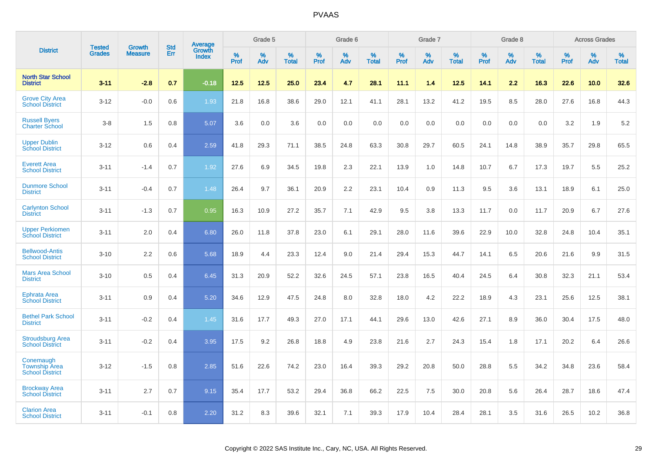|                                                             |                                | <b>Growth</b>  | <b>Std</b> | Average                |              | Grade 5     |                      |                     | Grade 6     |                      |              | Grade 7     |                      |              | Grade 8     |                   |                     | <b>Across Grades</b> |                      |
|-------------------------------------------------------------|--------------------------------|----------------|------------|------------------------|--------------|-------------|----------------------|---------------------|-------------|----------------------|--------------|-------------|----------------------|--------------|-------------|-------------------|---------------------|----------------------|----------------------|
| <b>District</b>                                             | <b>Tested</b><br><b>Grades</b> | <b>Measure</b> | Err        | Growth<br><b>Index</b> | $\%$<br>Prof | $\%$<br>Adv | $\%$<br><b>Total</b> | $\%$<br><b>Prof</b> | $\%$<br>Adv | $\%$<br><b>Total</b> | $\%$<br>Prof | $\%$<br>Adv | $\%$<br><b>Total</b> | $\%$<br>Prof | $\%$<br>Adv | %<br><b>Total</b> | $\%$<br><b>Prof</b> | $\%$<br>Adv          | $\%$<br><b>Total</b> |
| <b>North Star School</b><br><b>District</b>                 | $3 - 11$                       | $-2.8$         | 0.7        | $-0.18$                | 12.5         | 12.5        | 25.0                 | 23.4                | 4.7         | 28.1                 | 11.1         | 1.4         | 12.5                 | 14.1         | 2.2         | 16.3              | 22.6                | 10.0                 | 32.6                 |
| <b>Grove City Area</b><br><b>School District</b>            | $3 - 12$                       | $-0.0$         | 0.6        | 1.93                   | 21.8         | 16.8        | 38.6                 | 29.0                | 12.1        | 41.1                 | 28.1         | 13.2        | 41.2                 | 19.5         | 8.5         | 28.0              | 27.6                | 16.8                 | 44.3                 |
| <b>Russell Byers</b><br><b>Charter School</b>               | $3 - 8$                        | 1.5            | 0.8        | 5.07                   | 3.6          | 0.0         | 3.6                  | 0.0                 | 0.0         | 0.0                  | 0.0          | 0.0         | 0.0                  | 0.0          | 0.0         | 0.0               | 3.2                 | 1.9                  | 5.2                  |
| <b>Upper Dublin</b><br><b>School District</b>               | $3 - 12$                       | 0.6            | 0.4        | 2.59                   | 41.8         | 29.3        | 71.1                 | 38.5                | 24.8        | 63.3                 | 30.8         | 29.7        | 60.5                 | 24.1         | 14.8        | 38.9              | 35.7                | 29.8                 | 65.5                 |
| <b>Everett Area</b><br><b>School District</b>               | $3 - 11$                       | $-1.4$         | 0.7        | 1.92                   | 27.6         | 6.9         | 34.5                 | 19.8                | 2.3         | 22.1                 | 13.9         | 1.0         | 14.8                 | 10.7         | 6.7         | 17.3              | 19.7                | 5.5                  | 25.2                 |
| <b>Dunmore School</b><br><b>District</b>                    | $3 - 11$                       | $-0.4$         | 0.7        | 1.48                   | 26.4         | 9.7         | 36.1                 | 20.9                | 2.2         | 23.1                 | 10.4         | 0.9         | 11.3                 | 9.5          | 3.6         | 13.1              | 18.9                | 6.1                  | 25.0                 |
| <b>Carlynton School</b><br><b>District</b>                  | $3 - 11$                       | $-1.3$         | 0.7        | 0.95                   | 16.3         | 10.9        | 27.2                 | 35.7                | 7.1         | 42.9                 | 9.5          | 3.8         | 13.3                 | 11.7         | 0.0         | 11.7              | 20.9                | 6.7                  | 27.6                 |
| <b>Upper Perkiomen</b><br><b>School District</b>            | $3 - 11$                       | 2.0            | 0.4        | 6.80                   | 26.0         | 11.8        | 37.8                 | 23.0                | 6.1         | 29.1                 | 28.0         | 11.6        | 39.6                 | 22.9         | 10.0        | 32.8              | 24.8                | 10.4                 | 35.1                 |
| <b>Bellwood-Antis</b><br><b>School District</b>             | $3 - 10$                       | 2.2            | 0.6        | 5.68                   | 18.9         | 4.4         | 23.3                 | 12.4                | 9.0         | 21.4                 | 29.4         | 15.3        | 44.7                 | 14.1         | 6.5         | 20.6              | 21.6                | 9.9                  | 31.5                 |
| <b>Mars Area School</b><br><b>District</b>                  | $3 - 10$                       | 0.5            | 0.4        | 6.45                   | 31.3         | 20.9        | 52.2                 | 32.6                | 24.5        | 57.1                 | 23.8         | 16.5        | 40.4                 | 24.5         | 6.4         | 30.8              | 32.3                | 21.1                 | 53.4                 |
| Ephrata Area<br><b>School District</b>                      | $3 - 11$                       | 0.9            | 0.4        | 5.20                   | 34.6         | 12.9        | 47.5                 | 24.8                | 8.0         | 32.8                 | 18.0         | 4.2         | 22.2                 | 18.9         | 4.3         | 23.1              | 25.6                | 12.5                 | 38.1                 |
| <b>Bethel Park School</b><br><b>District</b>                | $3 - 11$                       | $-0.2$         | 0.4        | 1.45                   | 31.6         | 17.7        | 49.3                 | 27.0                | 17.1        | 44.1                 | 29.6         | 13.0        | 42.6                 | 27.1         | 8.9         | 36.0              | 30.4                | 17.5                 | 48.0                 |
| <b>Stroudsburg Area</b><br><b>School District</b>           | $3 - 11$                       | $-0.2$         | 0.4        | 3.95                   | 17.5         | 9.2         | 26.8                 | 18.8                | 4.9         | 23.8                 | 21.6         | 2.7         | 24.3                 | 15.4         | 1.8         | 17.1              | 20.2                | 6.4                  | 26.6                 |
| Conemaugh<br><b>Township Area</b><br><b>School District</b> | $3 - 12$                       | $-1.5$         | 0.8        | 2.85                   | 51.6         | 22.6        | 74.2                 | 23.0                | 16.4        | 39.3                 | 29.2         | 20.8        | 50.0                 | 28.8         | 5.5         | 34.2              | 34.8                | 23.6                 | 58.4                 |
| <b>Brockway Area</b><br><b>School District</b>              | $3 - 11$                       | 2.7            | 0.7        | 9.15                   | 35.4         | 17.7        | 53.2                 | 29.4                | 36.8        | 66.2                 | 22.5         | 7.5         | 30.0                 | 20.8         | 5.6         | 26.4              | 28.7                | 18.6                 | 47.4                 |
| <b>Clarion Area</b><br><b>School District</b>               | $3 - 11$                       | $-0.1$         | 0.8        | 2.20                   | 31.2         | 8.3         | 39.6                 | 32.1                | 7.1         | 39.3                 | 17.9         | 10.4        | 28.4                 | 28.1         | 3.5         | 31.6              | 26.5                | 10.2                 | 36.8                 |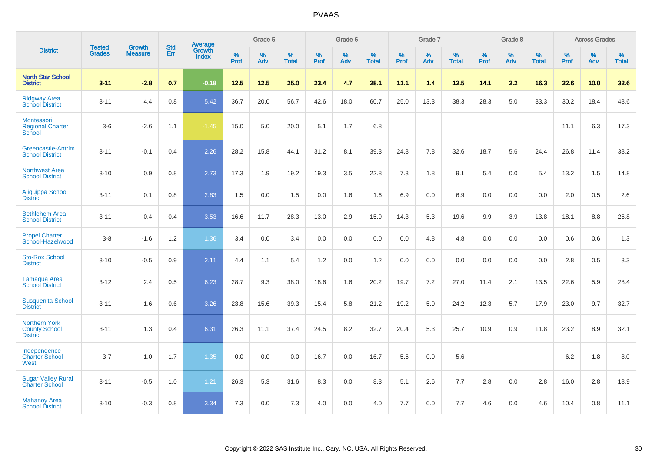|                                                                 | <b>Tested</b> | <b>Growth</b>  | <b>Std</b> | Average                       |              | Grade 5  |                   |           | Grade 6  |                   |           | Grade 7  |                   |           | Grade 8  |                   |           | <b>Across Grades</b> |                   |
|-----------------------------------------------------------------|---------------|----------------|------------|-------------------------------|--------------|----------|-------------------|-----------|----------|-------------------|-----------|----------|-------------------|-----------|----------|-------------------|-----------|----------------------|-------------------|
| <b>District</b>                                                 | <b>Grades</b> | <b>Measure</b> | Err        | <b>Growth</b><br><b>Index</b> | $\%$<br>Prof | %<br>Adv | %<br><b>Total</b> | %<br>Prof | %<br>Adv | %<br><b>Total</b> | %<br>Prof | %<br>Adv | %<br><b>Total</b> | %<br>Prof | %<br>Adv | %<br><b>Total</b> | %<br>Prof | %<br>Adv             | %<br><b>Total</b> |
| <b>North Star School</b><br><b>District</b>                     | $3 - 11$      | $-2.8$         | 0.7        | $-0.18$                       | 12.5         | 12.5     | 25.0              | 23.4      | 4.7      | 28.1              | 11.1      | 1.4      | 12.5              | 14.1      | 2.2      | 16.3              | 22.6      | 10.0                 | 32.6              |
| <b>Ridgway Area</b><br><b>School District</b>                   | $3 - 11$      | 4.4            | 0.8        | 5.42                          | 36.7         | 20.0     | 56.7              | 42.6      | 18.0     | 60.7              | 25.0      | 13.3     | 38.3              | 28.3      | 5.0      | 33.3              | 30.2      | 18.4                 | 48.6              |
| Montessori<br><b>Regional Charter</b><br>School                 | $3-6$         | $-2.6$         | 1.1        | $-1.45$                       | 15.0         | 5.0      | 20.0              | 5.1       | 1.7      | 6.8               |           |          |                   |           |          |                   | 11.1      | 6.3                  | 17.3              |
| <b>Greencastle-Antrim</b><br><b>School District</b>             | $3 - 11$      | $-0.1$         | 0.4        | 2.26                          | 28.2         | 15.8     | 44.1              | 31.2      | 8.1      | 39.3              | 24.8      | 7.8      | 32.6              | 18.7      | 5.6      | 24.4              | 26.8      | 11.4                 | 38.2              |
| <b>Northwest Area</b><br><b>School District</b>                 | $3 - 10$      | 0.9            | 0.8        | 2.73                          | 17.3         | 1.9      | 19.2              | 19.3      | 3.5      | 22.8              | 7.3       | 1.8      | 9.1               | 5.4       | 0.0      | 5.4               | 13.2      | 1.5                  | 14.8              |
| <b>Aliquippa School</b><br><b>District</b>                      | $3 - 11$      | 0.1            | 0.8        | 2.83                          | 1.5          | 0.0      | 1.5               | 0.0       | 1.6      | 1.6               | 6.9       | 0.0      | 6.9               | 0.0       | 0.0      | 0.0               | 2.0       | 0.5                  | 2.6               |
| <b>Bethlehem Area</b><br><b>School District</b>                 | $3 - 11$      | 0.4            | 0.4        | 3.53                          | 16.6         | 11.7     | 28.3              | 13.0      | 2.9      | 15.9              | 14.3      | 5.3      | 19.6              | 9.9       | 3.9      | 13.8              | 18.1      | 8.8                  | 26.8              |
| <b>Propel Charter</b><br>School-Hazelwood                       | $3 - 8$       | $-1.6$         | 1.2        | 1.36                          | 3.4          | 0.0      | 3.4               | 0.0       | 0.0      | 0.0               | 0.0       | 4.8      | 4.8               | 0.0       | 0.0      | 0.0               | 0.6       | 0.6                  | 1.3               |
| <b>Sto-Rox School</b><br><b>District</b>                        | $3 - 10$      | $-0.5$         | 0.9        | 2.11                          | 4.4          | 1.1      | 5.4               | 1.2       | 0.0      | 1.2               | 0.0       | 0.0      | 0.0               | 0.0       | 0.0      | 0.0               | 2.8       | 0.5                  | 3.3               |
| <b>Tamaqua Area</b><br><b>School District</b>                   | $3 - 12$      | 2.4            | 0.5        | 6.23                          | 28.7         | 9.3      | 38.0              | 18.6      | 1.6      | 20.2              | 19.7      | 7.2      | 27.0              | 11.4      | 2.1      | 13.5              | 22.6      | 5.9                  | 28.4              |
| <b>Susquenita School</b><br><b>District</b>                     | $3 - 11$      | 1.6            | 0.6        | 3.26                          | 23.8         | 15.6     | 39.3              | 15.4      | 5.8      | 21.2              | 19.2      | 5.0      | 24.2              | 12.3      | 5.7      | 17.9              | 23.0      | 9.7                  | 32.7              |
| <b>Northern York</b><br><b>County School</b><br><b>District</b> | $3 - 11$      | 1.3            | 0.4        | 6.31                          | 26.3         | 11.1     | 37.4              | 24.5      | 8.2      | 32.7              | 20.4      | 5.3      | 25.7              | 10.9      | 0.9      | 11.8              | 23.2      | 8.9                  | 32.1              |
| Independence<br><b>Charter School</b><br>West                   | $3 - 7$       | $-1.0$         | 1.7        | 1.35                          | 0.0          | 0.0      | 0.0               | 16.7      | 0.0      | 16.7              | 5.6       | 0.0      | 5.6               |           |          |                   | 6.2       | 1.8                  | 8.0               |
| <b>Sugar Valley Rural</b><br><b>Charter School</b>              | $3 - 11$      | $-0.5$         | 1.0        | 1.21                          | 26.3         | 5.3      | 31.6              | 8.3       | 0.0      | 8.3               | 5.1       | 2.6      | 7.7               | 2.8       | 0.0      | 2.8               | 16.0      | 2.8                  | 18.9              |
| <b>Mahanoy Area</b><br><b>School District</b>                   | $3 - 10$      | $-0.3$         | 0.8        | 3.34                          | 7.3          | 0.0      | 7.3               | 4.0       | 0.0      | 4.0               | 7.7       | 0.0      | 7.7               | 4.6       | 0.0      | 4.6               | 10.4      | 0.8                  | 11.1              |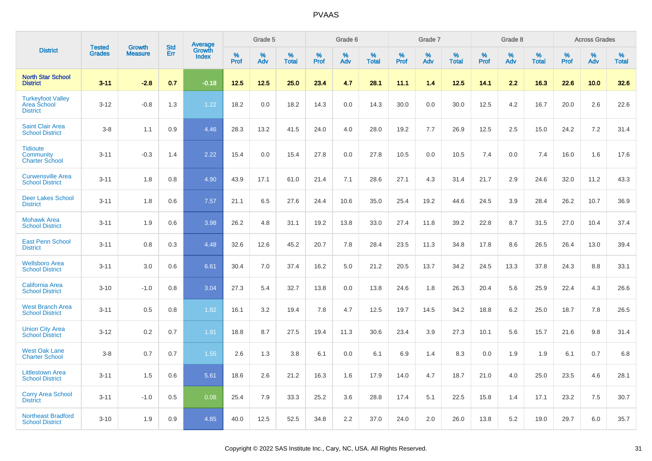|                                                            | <b>Tested</b> |                                 | <b>Std</b> |                                          |              | Grade 5  |                   |              | Grade 6  |                   |              | Grade 7  |                   |              | Grade 8  |                   |              | <b>Across Grades</b> |                   |
|------------------------------------------------------------|---------------|---------------------------------|------------|------------------------------------------|--------------|----------|-------------------|--------------|----------|-------------------|--------------|----------|-------------------|--------------|----------|-------------------|--------------|----------------------|-------------------|
| <b>District</b>                                            | <b>Grades</b> | <b>Growth</b><br><b>Measure</b> | Err        | <b>Average</b><br>Growth<br><b>Index</b> | $\%$<br>Prof | %<br>Adv | %<br><b>Total</b> | $\%$<br>Prof | %<br>Adv | %<br><b>Total</b> | $\%$<br>Prof | %<br>Adv | %<br><b>Total</b> | $\%$<br>Prof | %<br>Adv | %<br><b>Total</b> | $\%$<br>Prof | %<br>Adv             | %<br><b>Total</b> |
| <b>North Star School</b><br><b>District</b>                | $3 - 11$      | $-2.8$                          | 0.7        | $-0.18$                                  | 12.5         | 12.5     | 25.0              | 23.4         | 4.7      | 28.1              | 11.1         | 1.4      | 12.5              | 14.1         | 2.2      | 16.3              | 22.6         | 10.0                 | 32.6              |
| <b>Turkeyfoot Valley</b><br>Area School<br><b>District</b> | $3 - 12$      | $-0.8$                          | 1.3        | 1.22                                     | 18.2         | 0.0      | 18.2              | 14.3         | 0.0      | 14.3              | 30.0         | 0.0      | 30.0              | 12.5         | 4.2      | 16.7              | 20.0         | 2.6                  | 22.6              |
| <b>Saint Clair Area</b><br><b>School District</b>          | $3 - 8$       | 1.1                             | 0.9        | 4.46                                     | 28.3         | 13.2     | 41.5              | 24.0         | 4.0      | 28.0              | 19.2         | 7.7      | 26.9              | 12.5         | 2.5      | 15.0              | 24.2         | 7.2                  | 31.4              |
| <b>Tidioute</b><br>Community<br><b>Charter School</b>      | $3 - 11$      | $-0.3$                          | 1.4        | 2.22                                     | 15.4         | 0.0      | 15.4              | 27.8         | 0.0      | 27.8              | 10.5         | 0.0      | 10.5              | 7.4          | 0.0      | 7.4               | 16.0         | 1.6                  | 17.6              |
| <b>Curwensville Area</b><br><b>School District</b>         | $3 - 11$      | 1.8                             | 0.8        | 4.90                                     | 43.9         | 17.1     | 61.0              | 21.4         | 7.1      | 28.6              | 27.1         | 4.3      | 31.4              | 21.7         | 2.9      | 24.6              | 32.0         | 11.2                 | 43.3              |
| <b>Deer Lakes School</b><br><b>District</b>                | $3 - 11$      | 1.8                             | 0.6        | 7.57                                     | 21.1         | 6.5      | 27.6              | 24.4         | 10.6     | 35.0              | 25.4         | 19.2     | 44.6              | 24.5         | 3.9      | 28.4              | 26.2         | 10.7                 | 36.9              |
| <b>Mohawk Area</b><br><b>School District</b>               | $3 - 11$      | 1.9                             | 0.6        | 3.98                                     | 26.2         | 4.8      | 31.1              | 19.2         | 13.8     | 33.0              | 27.4         | 11.8     | 39.2              | 22.8         | 8.7      | 31.5              | 27.0         | 10.4                 | 37.4              |
| <b>East Penn School</b><br><b>District</b>                 | $3 - 11$      | 0.8                             | 0.3        | 4.48                                     | 32.6         | 12.6     | 45.2              | 20.7         | 7.8      | 28.4              | 23.5         | 11.3     | 34.8              | 17.8         | 8.6      | 26.5              | 26.4         | 13.0                 | 39.4              |
| <b>Wellsboro Area</b><br><b>School District</b>            | $3 - 11$      | 3.0                             | 0.6        | 6.61                                     | 30.4         | 7.0      | 37.4              | 16.2         | 5.0      | 21.2              | 20.5         | 13.7     | 34.2              | 24.5         | 13.3     | 37.8              | 24.3         | 8.8                  | 33.1              |
| <b>California Area</b><br><b>School District</b>           | $3 - 10$      | $-1.0$                          | 0.8        | 3.04                                     | 27.3         | 5.4      | 32.7              | 13.8         | 0.0      | 13.8              | 24.6         | 1.8      | 26.3              | 20.4         | 5.6      | 25.9              | 22.4         | 4.3                  | 26.6              |
| <b>West Branch Area</b><br><b>School District</b>          | $3 - 11$      | 0.5                             | 0.8        | 1.82                                     | 16.1         | 3.2      | 19.4              | 7.8          | 4.7      | 12.5              | 19.7         | 14.5     | 34.2              | 18.8         | 6.2      | 25.0              | 18.7         | 7.8                  | 26.5              |
| <b>Union City Area</b><br><b>School District</b>           | $3 - 12$      | 0.2                             | 0.7        | 1.91                                     | 18.8         | 8.7      | 27.5              | 19.4         | 11.3     | 30.6              | 23.4         | 3.9      | 27.3              | 10.1         | 5.6      | 15.7              | 21.6         | 9.8                  | 31.4              |
| <b>West Oak Lane</b><br><b>Charter School</b>              | $3 - 8$       | 0.7                             | 0.7        | 1.55                                     | 2.6          | 1.3      | 3.8               | 6.1          | 0.0      | 6.1               | 6.9          | 1.4      | 8.3               | 0.0          | 1.9      | 1.9               | 6.1          | 0.7                  | 6.8               |
| <b>Littlestown Area</b><br><b>School District</b>          | $3 - 11$      | 1.5                             | 0.6        | 5.61                                     | 18.6         | 2.6      | 21.2              | 16.3         | 1.6      | 17.9              | 14.0         | 4.7      | 18.7              | 21.0         | 4.0      | 25.0              | 23.5         | 4.6                  | 28.1              |
| <b>Corry Area School</b><br><b>District</b>                | $3 - 11$      | $-1.0$                          | 0.5        | 0.08                                     | 25.4         | 7.9      | 33.3              | 25.2         | 3.6      | 28.8              | 17.4         | 5.1      | 22.5              | 15.8         | 1.4      | 17.1              | 23.2         | 7.5                  | 30.7              |
| <b>Northeast Bradford</b><br><b>School District</b>        | $3 - 10$      | 1.9                             | 0.9        | 4.85                                     | 40.0         | 12.5     | 52.5              | 34.8         | 2.2      | 37.0              | 24.0         | 2.0      | 26.0              | 13.8         | 5.2      | 19.0              | 29.7         | 6.0                  | 35.7              |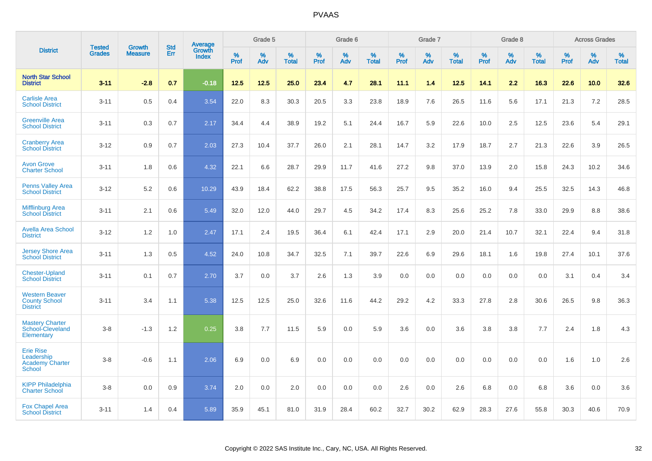|                                                                    | <b>Tested</b> | <b>Growth</b>  | <b>Std</b> | Average                |           | Grade 5  |                   |                  | Grade 6  |                   |           | Grade 7  |                   |           | Grade 8  |                   |                  | <b>Across Grades</b> |                   |
|--------------------------------------------------------------------|---------------|----------------|------------|------------------------|-----------|----------|-------------------|------------------|----------|-------------------|-----------|----------|-------------------|-----------|----------|-------------------|------------------|----------------------|-------------------|
| <b>District</b>                                                    | <b>Grades</b> | <b>Measure</b> | Err        | Growth<br><b>Index</b> | %<br>Prof | %<br>Adv | %<br><b>Total</b> | %<br><b>Prof</b> | %<br>Adv | %<br><b>Total</b> | %<br>Prof | %<br>Adv | %<br><b>Total</b> | %<br>Prof | %<br>Adv | %<br><b>Total</b> | %<br><b>Prof</b> | $\%$<br>Adv          | %<br><b>Total</b> |
| <b>North Star School</b><br><b>District</b>                        | $3 - 11$      | $-2.8$         | 0.7        | $-0.18$                | 12.5      | 12.5     | 25.0              | 23.4             | 4.7      | 28.1              | 11.1      | 1.4      | 12.5              | 14.1      | 2.2      | 16.3              | 22.6             | 10.0                 | 32.6              |
| <b>Carlisle Area</b><br><b>School District</b>                     | $3 - 11$      | 0.5            | 0.4        | 3.54                   | 22.0      | 8.3      | 30.3              | 20.5             | 3.3      | 23.8              | 18.9      | 7.6      | 26.5              | 11.6      | 5.6      | 17.1              | 21.3             | 7.2                  | 28.5              |
| <b>Greenville Area</b><br><b>School District</b>                   | $3 - 11$      | 0.3            | 0.7        | 2.17                   | 34.4      | 4.4      | 38.9              | 19.2             | 5.1      | 24.4              | 16.7      | 5.9      | 22.6              | 10.0      | 2.5      | 12.5              | 23.6             | 5.4                  | 29.1              |
| <b>Cranberry Area</b><br><b>School District</b>                    | $3 - 12$      | 0.9            | 0.7        | 2.03                   | 27.3      | 10.4     | 37.7              | 26.0             | 2.1      | 28.1              | 14.7      | 3.2      | 17.9              | 18.7      | 2.7      | 21.3              | 22.6             | 3.9                  | 26.5              |
| <b>Avon Grove</b><br><b>Charter School</b>                         | $3 - 11$      | 1.8            | 0.6        | 4.32                   | 22.1      | 6.6      | 28.7              | 29.9             | 11.7     | 41.6              | 27.2      | 9.8      | 37.0              | 13.9      | 2.0      | 15.8              | 24.3             | 10.2                 | 34.6              |
| <b>Penns Valley Area</b><br><b>School District</b>                 | $3 - 12$      | 5.2            | 0.6        | 10.29                  | 43.9      | 18.4     | 62.2              | 38.8             | 17.5     | 56.3              | 25.7      | 9.5      | 35.2              | 16.0      | 9.4      | 25.5              | 32.5             | 14.3                 | 46.8              |
| <b>Mifflinburg Area</b><br><b>School District</b>                  | $3 - 11$      | 2.1            | 0.6        | 5.49                   | 32.0      | 12.0     | 44.0              | 29.7             | 4.5      | 34.2              | 17.4      | 8.3      | 25.6              | 25.2      | 7.8      | 33.0              | 29.9             | 8.8                  | 38.6              |
| <b>Avella Area School</b><br><b>District</b>                       | $3 - 12$      | 1.2            | 1.0        | 2.47                   | 17.1      | 2.4      | 19.5              | 36.4             | 6.1      | 42.4              | 17.1      | 2.9      | 20.0              | 21.4      | 10.7     | 32.1              | 22.4             | 9.4                  | 31.8              |
| <b>Jersey Shore Area</b><br><b>School District</b>                 | $3 - 11$      | 1.3            | 0.5        | 4.52                   | 24.0      | 10.8     | 34.7              | 32.5             | 7.1      | 39.7              | 22.6      | 6.9      | 29.6              | 18.1      | 1.6      | 19.8              | 27.4             | 10.1                 | 37.6              |
| <b>Chester-Upland</b><br><b>School District</b>                    | $3 - 11$      | 0.1            | 0.7        | 2.70                   | 3.7       | 0.0      | 3.7               | 2.6              | 1.3      | 3.9               | 0.0       | 0.0      | 0.0               | 0.0       | 0.0      | 0.0               | 3.1              | 0.4                  | 3.4               |
| <b>Western Beaver</b><br><b>County School</b><br><b>District</b>   | $3 - 11$      | 3.4            | 1.1        | 5.38                   | 12.5      | 12.5     | 25.0              | 32.6             | 11.6     | 44.2              | 29.2      | 4.2      | 33.3              | 27.8      | 2.8      | 30.6              | 26.5             | 9.8                  | 36.3              |
| <b>Mastery Charter</b><br>School-Cleveland<br>Elementary           | $3 - 8$       | $-1.3$         | 1.2        | 0.25                   | 3.8       | 7.7      | 11.5              | 5.9              | 0.0      | 5.9               | 3.6       | 0.0      | 3.6               | 3.8       | 3.8      | 7.7               | 2.4              | 1.8                  | 4.3               |
| <b>Erie Rise</b><br>Leadership<br><b>Academy Charter</b><br>School | $3 - 8$       | $-0.6$         | 1.1        | 2.06                   | 6.9       | 0.0      | 6.9               | 0.0              | 0.0      | 0.0               | 0.0       | 0.0      | 0.0               | 0.0       | 0.0      | 0.0               | 1.6              | 1.0                  | 2.6               |
| <b>KIPP Philadelphia</b><br><b>Charter School</b>                  | $3 - 8$       | 0.0            | 0.9        | 3.74                   | 2.0       | 0.0      | 2.0               | 0.0              | 0.0      | 0.0               | 2.6       | 0.0      | 2.6               | 6.8       | 0.0      | 6.8               | 3.6              | 0.0                  | 3.6               |
| <b>Fox Chapel Area</b><br><b>School District</b>                   | $3 - 11$      | 1.4            | 0.4        | 5.89                   | 35.9      | 45.1     | 81.0              | 31.9             | 28.4     | 60.2              | 32.7      | 30.2     | 62.9              | 28.3      | 27.6     | 55.8              | 30.3             | 40.6                 | 70.9              |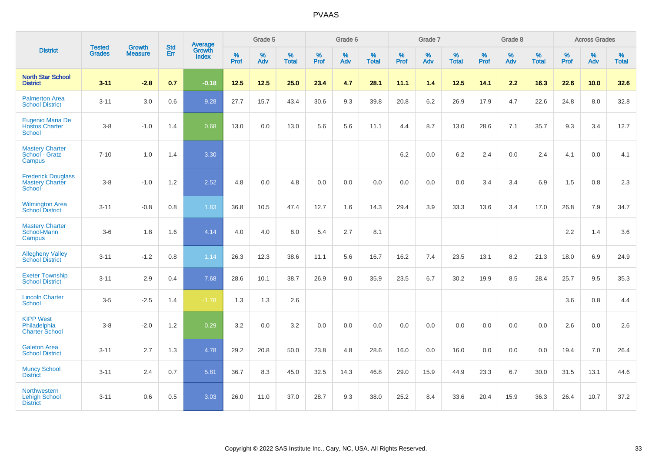|                                                                      | <b>Tested</b> | <b>Growth</b>  | <b>Std</b> | Average                |                     | Grade 5  |                   |              | Grade 6  |                   |              | Grade 7  |                   |              | Grade 8  |                   |              | <b>Across Grades</b> |                   |
|----------------------------------------------------------------------|---------------|----------------|------------|------------------------|---------------------|----------|-------------------|--------------|----------|-------------------|--------------|----------|-------------------|--------------|----------|-------------------|--------------|----------------------|-------------------|
| <b>District</b>                                                      | <b>Grades</b> | <b>Measure</b> | Err        | Growth<br><b>Index</b> | $\%$<br><b>Prof</b> | %<br>Adv | %<br><b>Total</b> | $\%$<br>Prof | %<br>Adv | %<br><b>Total</b> | $\%$<br>Prof | %<br>Adv | %<br><b>Total</b> | $\%$<br>Prof | %<br>Adv | %<br><b>Total</b> | $\%$<br>Prof | %<br>Adv             | %<br><b>Total</b> |
| <b>North Star School</b><br><b>District</b>                          | $3 - 11$      | $-2.8$         | 0.7        | $-0.18$                | 12.5                | $12.5$   | 25.0              | 23.4         | 4.7      | 28.1              | 11.1         | 1.4      | 12.5              | 14.1         | 2.2      | 16.3              | 22.6         | 10.0                 | 32.6              |
| <b>Palmerton Area</b><br><b>School District</b>                      | $3 - 11$      | 3.0            | 0.6        | 9.28                   | 27.7                | 15.7     | 43.4              | 30.6         | 9.3      | 39.8              | 20.8         | 6.2      | 26.9              | 17.9         | 4.7      | 22.6              | 24.8         | 8.0                  | 32.8              |
| Eugenio Maria De<br><b>Hostos Charter</b><br><b>School</b>           | $3-8$         | $-1.0$         | 1.4        | 0.68                   | 13.0                | 0.0      | 13.0              | 5.6          | 5.6      | 11.1              | 4.4          | 8.7      | 13.0              | 28.6         | 7.1      | 35.7              | 9.3          | 3.4                  | 12.7              |
| <b>Mastery Charter</b><br>School - Gratz<br>Campus                   | $7 - 10$      | 1.0            | 1.4        | 3.30                   |                     |          |                   |              |          |                   | 6.2          | $0.0\,$  | 6.2               | 2.4          | $0.0\,$  | 2.4               | 4.1          | $0.0\,$              | 4.1               |
| <b>Frederick Douglass</b><br><b>Mastery Charter</b><br><b>School</b> | $3-8$         | $-1.0$         | 1.2        | 2.52                   | 4.8                 | 0.0      | 4.8               | 0.0          | 0.0      | 0.0               | 0.0          | 0.0      | 0.0               | 3.4          | 3.4      | 6.9               | 1.5          | 0.8                  | 2.3               |
| <b>Wilmington Area</b><br><b>School District</b>                     | $3 - 11$      | $-0.8$         | 0.8        | 1.83                   | 36.8                | 10.5     | 47.4              | 12.7         | 1.6      | 14.3              | 29.4         | 3.9      | 33.3              | 13.6         | 3.4      | 17.0              | 26.8         | 7.9                  | 34.7              |
| <b>Mastery Charter</b><br>School-Mann<br>Campus                      | $3-6$         | 1.8            | 1.6        | 4.14                   | 4.0                 | 4.0      | 8.0               | 5.4          | 2.7      | 8.1               |              |          |                   |              |          |                   | 2.2          | 1.4                  | 3.6               |
| <b>Allegheny Valley</b><br><b>School District</b>                    | $3 - 11$      | $-1.2$         | 0.8        | 1.14                   | 26.3                | 12.3     | 38.6              | 11.1         | 5.6      | 16.7              | 16.2         | 7.4      | 23.5              | 13.1         | 8.2      | 21.3              | 18.0         | 6.9                  | 24.9              |
| <b>Exeter Township</b><br><b>School District</b>                     | $3 - 11$      | 2.9            | 0.4        | 7.68                   | 28.6                | 10.1     | 38.7              | 26.9         | 9.0      | 35.9              | 23.5         | 6.7      | 30.2              | 19.9         | 8.5      | 28.4              | 25.7         | 9.5                  | 35.3              |
| <b>Lincoln Charter</b><br>School                                     | $3-5$         | $-2.5$         | 1.4        | $-1.78$                | 1.3                 | 1.3      | 2.6               |              |          |                   |              |          |                   |              |          |                   | 3.6          | 0.8                  | 4.4               |
| <b>KIPP West</b><br>Philadelphia<br><b>Charter School</b>            | $3-8$         | $-2.0$         | 1.2        | 0.29                   | 3.2                 | 0.0      | 3.2               | 0.0          | 0.0      | 0.0               | 0.0          | 0.0      | 0.0               | 0.0          | 0.0      | 0.0               | 2.6          | 0.0                  | 2.6               |
| <b>Galeton Area</b><br><b>School District</b>                        | $3 - 11$      | 2.7            | 1.3        | 4.78                   | 29.2                | 20.8     | 50.0              | 23.8         | 4.8      | 28.6              | 16.0         | 0.0      | 16.0              | 0.0          | 0.0      | 0.0               | 19.4         | 7.0                  | 26.4              |
| <b>Muncy School</b><br><b>District</b>                               | $3 - 11$      | 2.4            | 0.7        | 5.81                   | 36.7                | 8.3      | 45.0              | 32.5         | 14.3     | 46.8              | 29.0         | 15.9     | 44.9              | 23.3         | 6.7      | 30.0              | 31.5         | 13.1                 | 44.6              |
| <b>Northwestern</b><br><b>Lehigh School</b><br><b>District</b>       | $3 - 11$      | 0.6            | 0.5        | 3.03                   | 26.0                | 11.0     | 37.0              | 28.7         | 9.3      | 38.0              | 25.2         | 8.4      | 33.6              | 20.4         | 15.9     | 36.3              | 26.4         | 10.7                 | 37.2              |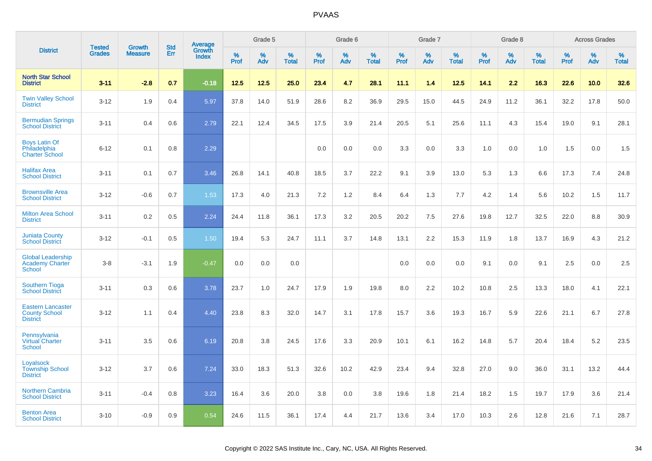|                                                                     |                                | <b>Growth</b>  | <b>Std</b> |                                          |              | Grade 5  |                   |           | Grade 6  |                   |           | Grade 7  |                   |           | Grade 8  |                   |              | <b>Across Grades</b> |                   |
|---------------------------------------------------------------------|--------------------------------|----------------|------------|------------------------------------------|--------------|----------|-------------------|-----------|----------|-------------------|-----------|----------|-------------------|-----------|----------|-------------------|--------------|----------------------|-------------------|
| <b>District</b>                                                     | <b>Tested</b><br><b>Grades</b> | <b>Measure</b> | Err        | <b>Average</b><br>Growth<br><b>Index</b> | $\%$<br>Prof | %<br>Adv | %<br><b>Total</b> | %<br>Prof | %<br>Adv | %<br><b>Total</b> | %<br>Prof | %<br>Adv | %<br><b>Total</b> | %<br>Prof | %<br>Adv | %<br><b>Total</b> | $\%$<br>Prof | %<br>Adv             | %<br><b>Total</b> |
| <b>North Star School</b><br><b>District</b>                         | $3 - 11$                       | $-2.8$         | 0.7        | $-0.18$                                  | 12.5         | 12.5     | 25.0              | 23.4      | 4.7      | 28.1              | 11.1      | 1.4      | 12.5              | 14.1      | 2.2      | 16.3              | 22.6         | 10.0                 | 32.6              |
| <b>Twin Valley School</b><br><b>District</b>                        | $3 - 12$                       | 1.9            | 0.4        | 5.97                                     | 37.8         | 14.0     | 51.9              | 28.6      | 8.2      | 36.9              | 29.5      | 15.0     | 44.5              | 24.9      | 11.2     | 36.1              | 32.2         | 17.8                 | 50.0              |
| <b>Bermudian Springs</b><br><b>School District</b>                  | $3 - 11$                       | 0.4            | 0.6        | 2.79                                     | 22.1         | 12.4     | 34.5              | 17.5      | 3.9      | 21.4              | 20.5      | 5.1      | 25.6              | 11.1      | 4.3      | 15.4              | 19.0         | 9.1                  | 28.1              |
| <b>Boys Latin Of</b><br>Philadelphia<br><b>Charter School</b>       | $6 - 12$                       | 0.1            | 0.8        | 2.29                                     |              |          |                   | 0.0       | 0.0      | 0.0               | 3.3       | 0.0      | 3.3               | 1.0       | 0.0      | 1.0               | 1.5          | 0.0                  | 1.5               |
| <b>Halifax Area</b><br><b>School District</b>                       | $3 - 11$                       | 0.1            | 0.7        | 3.46                                     | 26.8         | 14.1     | 40.8              | 18.5      | 3.7      | 22.2              | 9.1       | 3.9      | 13.0              | 5.3       | 1.3      | 6.6               | 17.3         | 7.4                  | 24.8              |
| <b>Brownsville Area</b><br><b>School District</b>                   | $3 - 12$                       | $-0.6$         | 0.7        | 1.53                                     | 17.3         | 4.0      | 21.3              | 7.2       | $1.2$    | 8.4               | 6.4       | 1.3      | 7.7               | 4.2       | 1.4      | 5.6               | 10.2         | 1.5                  | 11.7              |
| <b>Milton Area School</b><br><b>District</b>                        | $3 - 11$                       | 0.2            | 0.5        | 2.24                                     | 24.4         | 11.8     | 36.1              | 17.3      | 3.2      | 20.5              | 20.2      | 7.5      | 27.6              | 19.8      | 12.7     | 32.5              | 22.0         | 8.8                  | 30.9              |
| <b>Juniata County</b><br><b>School District</b>                     | $3 - 12$                       | $-0.1$         | 0.5        | 1.50                                     | 19.4         | 5.3      | 24.7              | 11.1      | 3.7      | 14.8              | 13.1      | 2.2      | 15.3              | 11.9      | 1.8      | 13.7              | 16.9         | 4.3                  | 21.2              |
| <b>Global Leadership</b><br><b>Academy Charter</b><br><b>School</b> | $3-8$                          | $-3.1$         | 1.9        | $-0.47$                                  | 0.0          | 0.0      | 0.0               |           |          |                   | 0.0       | 0.0      | 0.0               | 9.1       | 0.0      | 9.1               | 2.5          | 0.0                  | 2.5               |
| <b>Southern Tioga</b><br><b>School District</b>                     | $3 - 11$                       | 0.3            | 0.6        | 3.78                                     | 23.7         | 1.0      | 24.7              | 17.9      | 1.9      | 19.8              | $8.0\,$   | 2.2      | 10.2              | 10.8      | 2.5      | 13.3              | 18.0         | 4.1                  | 22.1              |
| <b>Eastern Lancaster</b><br><b>County School</b><br><b>District</b> | $3 - 12$                       | 1.1            | 0.4        | 4.40                                     | 23.8         | 8.3      | 32.0              | 14.7      | 3.1      | 17.8              | 15.7      | 3.6      | 19.3              | 16.7      | 5.9      | 22.6              | 21.1         | 6.7                  | 27.8              |
| Pennsylvania<br><b>Virtual Charter</b><br>School                    | $3 - 11$                       | 3.5            | 0.6        | 6.19                                     | 20.8         | 3.8      | 24.5              | 17.6      | 3.3      | 20.9              | 10.1      | 6.1      | 16.2              | 14.8      | 5.7      | 20.4              | 18.4         | 5.2                  | 23.5              |
| Loyalsock<br><b>Township School</b><br><b>District</b>              | $3 - 12$                       | 3.7            | 0.6        | 7.24                                     | 33.0         | 18.3     | 51.3              | 32.6      | 10.2     | 42.9              | 23.4      | 9.4      | 32.8              | 27.0      | 9.0      | 36.0              | 31.1         | 13.2                 | 44.4              |
| <b>Northern Cambria</b><br><b>School District</b>                   | $3 - 11$                       | $-0.4$         | 0.8        | 3.23                                     | 16.4         | 3.6      | 20.0              | 3.8       | 0.0      | 3.8               | 19.6      | 1.8      | 21.4              | 18.2      | 1.5      | 19.7              | 17.9         | 3.6                  | 21.4              |
| <b>Benton Area</b><br><b>School District</b>                        | $3 - 10$                       | $-0.9$         | 0.9        | 0.54                                     | 24.6         | 11.5     | 36.1              | 17.4      | 4.4      | 21.7              | 13.6      | 3.4      | 17.0              | 10.3      | 2.6      | 12.8              | 21.6         | 7.1                  | 28.7              |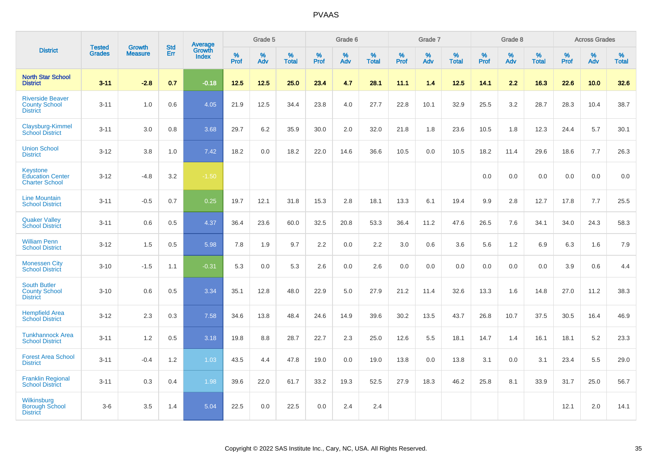|                                                                    |                                |                                 | <b>Std</b> | <b>Average</b>                |                     | Grade 5  |                   |                  | Grade 6  |                   |                  | Grade 7  |                   |                  | Grade 8  |                   |                  | <b>Across Grades</b> |                   |
|--------------------------------------------------------------------|--------------------------------|---------------------------------|------------|-------------------------------|---------------------|----------|-------------------|------------------|----------|-------------------|------------------|----------|-------------------|------------------|----------|-------------------|------------------|----------------------|-------------------|
| <b>District</b>                                                    | <b>Tested</b><br><b>Grades</b> | <b>Growth</b><br><b>Measure</b> | Err        | <b>Growth</b><br><b>Index</b> | $\%$<br><b>Prof</b> | %<br>Adv | %<br><b>Total</b> | %<br><b>Prof</b> | %<br>Adv | %<br><b>Total</b> | %<br><b>Prof</b> | %<br>Adv | %<br><b>Total</b> | %<br><b>Prof</b> | %<br>Adv | %<br><b>Total</b> | %<br><b>Prof</b> | %<br>Adv             | %<br><b>Total</b> |
| <b>North Star School</b><br><b>District</b>                        | $3 - 11$                       | $-2.8$                          | 0.7        | $-0.18$                       | 12.5                | 12.5     | 25.0              | 23.4             | 4.7      | 28.1              | 11.1             | 1.4      | 12.5              | 14.1             | 2.2      | 16.3              | 22.6             | 10.0                 | 32.6              |
| <b>Riverside Beaver</b><br><b>County School</b><br><b>District</b> | $3 - 11$                       | 1.0                             | 0.6        | 4.05                          | 21.9                | 12.5     | 34.4              | 23.8             | 4.0      | 27.7              | 22.8             | 10.1     | 32.9              | 25.5             | 3.2      | 28.7              | 28.3             | 10.4                 | 38.7              |
| Claysburg-Kimmel<br><b>School District</b>                         | $3 - 11$                       | 3.0                             | 0.8        | 3.68                          | 29.7                | 6.2      | 35.9              | 30.0             | 2.0      | 32.0              | 21.8             | 1.8      | 23.6              | 10.5             | 1.8      | 12.3              | 24.4             | 5.7                  | 30.1              |
| <b>Union School</b><br><b>District</b>                             | $3 - 12$                       | 3.8                             | 1.0        | 7.42                          | 18.2                | 0.0      | 18.2              | 22.0             | 14.6     | 36.6              | 10.5             | 0.0      | 10.5              | 18.2             | 11.4     | 29.6              | 18.6             | 7.7                  | 26.3              |
| Keystone<br><b>Education Center</b><br><b>Charter School</b>       | $3 - 12$                       | $-4.8$                          | 3.2        | $-1.50$                       |                     |          |                   |                  |          |                   |                  |          |                   | 0.0              | 0.0      | 0.0               | 0.0              | 0.0                  | 0.0               |
| <b>Line Mountain</b><br><b>School District</b>                     | $3 - 11$                       | $-0.5$                          | 0.7        | 0.25                          | 19.7                | 12.1     | 31.8              | 15.3             | 2.8      | 18.1              | 13.3             | 6.1      | 19.4              | 9.9              | 2.8      | 12.7              | 17.8             | 7.7                  | 25.5              |
| <b>Quaker Valley</b><br><b>School District</b>                     | $3 - 11$                       | 0.6                             | 0.5        | 4.37                          | 36.4                | 23.6     | 60.0              | 32.5             | 20.8     | 53.3              | 36.4             | 11.2     | 47.6              | 26.5             | 7.6      | 34.1              | 34.0             | 24.3                 | 58.3              |
| <b>William Penn</b><br><b>School District</b>                      | $3 - 12$                       | 1.5                             | 0.5        | 5.98                          | 7.8                 | 1.9      | 9.7               | 2.2              | 0.0      | 2.2               | 3.0              | 0.6      | 3.6               | 5.6              | 1.2      | 6.9               | 6.3              | 1.6                  | 7.9               |
| <b>Monessen City</b><br><b>School District</b>                     | $3 - 10$                       | $-1.5$                          | 1.1        | $-0.31$                       | 5.3                 | 0.0      | 5.3               | 2.6              | 0.0      | 2.6               | 0.0              | 0.0      | 0.0               | 0.0              | 0.0      | 0.0               | 3.9              | 0.6                  | 4.4               |
| <b>South Butler</b><br><b>County School</b><br><b>District</b>     | $3 - 10$                       | 0.6                             | 0.5        | 3.34                          | 35.1                | 12.8     | 48.0              | 22.9             | 5.0      | 27.9              | 21.2             | 11.4     | 32.6              | 13.3             | 1.6      | 14.8              | 27.0             | 11.2                 | 38.3              |
| <b>Hempfield Area</b><br><b>School District</b>                    | $3 - 12$                       | 2.3                             | 0.3        | 7.58                          | 34.6                | 13.8     | 48.4              | 24.6             | 14.9     | 39.6              | 30.2             | 13.5     | 43.7              | 26.8             | 10.7     | 37.5              | 30.5             | 16.4                 | 46.9              |
| <b>Tunkhannock Area</b><br><b>School District</b>                  | $3 - 11$                       | 1.2                             | 0.5        | 3.18                          | 19.8                | 8.8      | 28.7              | 22.7             | 2.3      | 25.0              | 12.6             | 5.5      | 18.1              | 14.7             | 1.4      | 16.1              | 18.1             | 5.2                  | 23.3              |
| <b>Forest Area School</b><br><b>District</b>                       | $3 - 11$                       | $-0.4$                          | 1.2        | 1.03                          | 43.5                | 4.4      | 47.8              | 19.0             | 0.0      | 19.0              | 13.8             | 0.0      | 13.8              | 3.1              | 0.0      | 3.1               | 23.4             | 5.5                  | 29.0              |
| <b>Franklin Regional</b><br><b>School District</b>                 | $3 - 11$                       | 0.3                             | 0.4        | 1.98                          | 39.6                | 22.0     | 61.7              | 33.2             | 19.3     | 52.5              | 27.9             | 18.3     | 46.2              | 25.8             | 8.1      | 33.9              | 31.7             | 25.0                 | 56.7              |
| Wilkinsburg<br><b>Borough School</b><br><b>District</b>            | $3-6$                          | 3.5                             | 1.4        | 5.04                          | 22.5                | 0.0      | 22.5              | 0.0              | 2.4      | 2.4               |                  |          |                   |                  |          |                   | 12.1             | 2.0                  | 14.1              |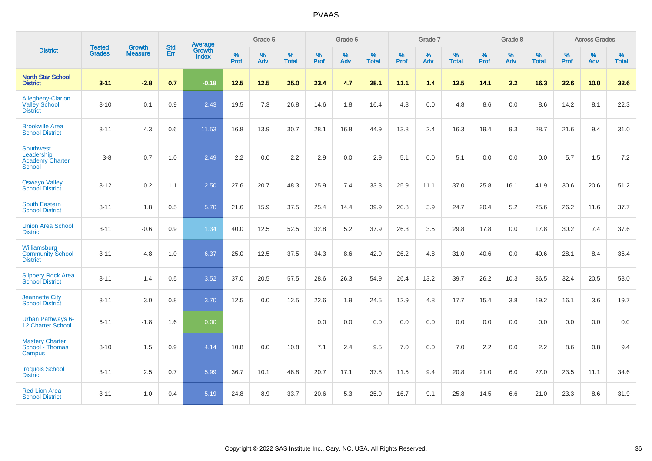|                                                                    | <b>Tested</b> | <b>Growth</b>  | <b>Std</b> | Average                |              | Grade 5  |                      |              | Grade 6  |                      |              | Grade 7  |                      |              | Grade 8  |                      |              | <b>Across Grades</b> |                   |
|--------------------------------------------------------------------|---------------|----------------|------------|------------------------|--------------|----------|----------------------|--------------|----------|----------------------|--------------|----------|----------------------|--------------|----------|----------------------|--------------|----------------------|-------------------|
| <b>District</b>                                                    | <b>Grades</b> | <b>Measure</b> | <b>Err</b> | Growth<br><b>Index</b> | $\%$<br>Prof | %<br>Adv | $\%$<br><b>Total</b> | $\%$<br>Prof | %<br>Adv | $\%$<br><b>Total</b> | $\%$<br>Prof | %<br>Adv | $\%$<br><b>Total</b> | $\%$<br>Prof | %<br>Adv | $\%$<br><b>Total</b> | $\%$<br>Prof | %<br>Adv             | %<br><b>Total</b> |
| <b>North Star School</b><br><b>District</b>                        | $3 - 11$      | $-2.8$         | 0.7        | $-0.18$                | 12.5         | 12.5     | 25.0                 | 23.4         | 4.7      | 28.1                 | 11.1         | 1.4      | 12.5                 | 14.1         | 2.2      | 16.3                 | 22.6         | 10.0                 | 32.6              |
| Allegheny-Clarion<br><b>Valley School</b><br><b>District</b>       | $3 - 10$      | 0.1            | 0.9        | 2.43                   | 19.5         | 7.3      | 26.8                 | 14.6         | 1.8      | 16.4                 | 4.8          | $0.0\,$  | 4.8                  | 8.6          | 0.0      | 8.6                  | 14.2         | 8.1                  | 22.3              |
| <b>Brookville Area</b><br><b>School District</b>                   | $3 - 11$      | 4.3            | 0.6        | 11.53                  | 16.8         | 13.9     | 30.7                 | 28.1         | 16.8     | 44.9                 | 13.8         | 2.4      | 16.3                 | 19.4         | 9.3      | 28.7                 | 21.6         | 9.4                  | 31.0              |
| <b>Southwest</b><br>Leadership<br><b>Academy Charter</b><br>School | $3 - 8$       | 0.7            | 1.0        | 2.49                   | 2.2          | 0.0      | 2.2                  | 2.9          | 0.0      | 2.9                  | 5.1          | 0.0      | 5.1                  | 0.0          | 0.0      | 0.0                  | 5.7          | 1.5                  | $7.2\,$           |
| <b>Oswayo Valley</b><br><b>School District</b>                     | $3 - 12$      | 0.2            | 1.1        | 2.50                   | 27.6         | 20.7     | 48.3                 | 25.9         | 7.4      | 33.3                 | 25.9         | 11.1     | 37.0                 | 25.8         | 16.1     | 41.9                 | 30.6         | 20.6                 | 51.2              |
| <b>South Eastern</b><br><b>School District</b>                     | $3 - 11$      | 1.8            | 0.5        | 5.70                   | 21.6         | 15.9     | 37.5                 | 25.4         | 14.4     | 39.9                 | 20.8         | 3.9      | 24.7                 | 20.4         | 5.2      | 25.6                 | 26.2         | 11.6                 | 37.7              |
| <b>Union Area School</b><br><b>District</b>                        | $3 - 11$      | $-0.6$         | 0.9        | 1.34                   | 40.0         | 12.5     | 52.5                 | 32.8         | 5.2      | 37.9                 | 26.3         | 3.5      | 29.8                 | 17.8         | 0.0      | 17.8                 | 30.2         | 7.4                  | 37.6              |
| Williamsburg<br><b>Community School</b><br><b>District</b>         | $3 - 11$      | 4.8            | 1.0        | 6.37                   | 25.0         | 12.5     | 37.5                 | 34.3         | 8.6      | 42.9                 | 26.2         | 4.8      | 31.0                 | 40.6         | 0.0      | 40.6                 | 28.1         | 8.4                  | 36.4              |
| <b>Slippery Rock Area</b><br><b>School District</b>                | $3 - 11$      | 1.4            | 0.5        | 3.52                   | 37.0         | 20.5     | 57.5                 | 28.6         | 26.3     | 54.9                 | 26.4         | 13.2     | 39.7                 | 26.2         | 10.3     | 36.5                 | 32.4         | 20.5                 | 53.0              |
| <b>Jeannette City</b><br><b>School District</b>                    | $3 - 11$      | 3.0            | 0.8        | 3.70                   | 12.5         | 0.0      | 12.5                 | 22.6         | 1.9      | 24.5                 | 12.9         | 4.8      | 17.7                 | 15.4         | 3.8      | 19.2                 | 16.1         | 3.6                  | 19.7              |
| Urban Pathways 6-<br><b>12 Charter School</b>                      | $6 - 11$      | $-1.8$         | 1.6        | 0.00                   |              |          |                      | 0.0          | 0.0      | 0.0                  | 0.0          | 0.0      | 0.0                  | 0.0          | 0.0      | 0.0                  | 0.0          | 0.0                  | 0.0               |
| <b>Mastery Charter</b><br>School - Thomas<br>Campus                | $3 - 10$      | 1.5            | 0.9        | 4.14                   | 10.8         | 0.0      | 10.8                 | 7.1          | 2.4      | 9.5                  | 7.0          | 0.0      | 7.0                  | 2.2          | 0.0      | 2.2                  | 8.6          | 0.8                  | 9.4               |
| <b>Iroquois School</b><br><b>District</b>                          | $3 - 11$      | 2.5            | 0.7        | 5.99                   | 36.7         | 10.1     | 46.8                 | 20.7         | 17.1     | 37.8                 | 11.5         | 9.4      | 20.8                 | 21.0         | 6.0      | 27.0                 | 23.5         | 11.1                 | 34.6              |
| <b>Red Lion Area</b><br><b>School District</b>                     | $3 - 11$      | 1.0            | 0.4        | 5.19                   | 24.8         | 8.9      | 33.7                 | 20.6         | 5.3      | 25.9                 | 16.7         | 9.1      | 25.8                 | 14.5         | 6.6      | 21.0                 | 23.3         | 8.6                  | 31.9              |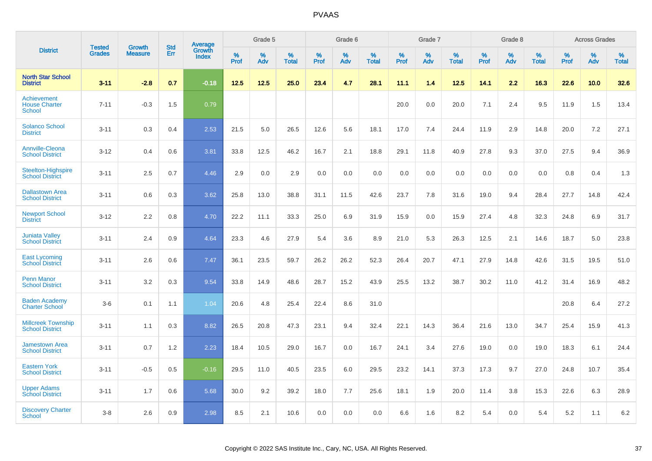|                                                      |                                |                                 | <b>Std</b> | Average                |           | Grade 5  |                      |           | Grade 6  |                   |           | Grade 7  |                   |           | Grade 8  |                   |           | <b>Across Grades</b> |                   |
|------------------------------------------------------|--------------------------------|---------------------------------|------------|------------------------|-----------|----------|----------------------|-----------|----------|-------------------|-----------|----------|-------------------|-----------|----------|-------------------|-----------|----------------------|-------------------|
| <b>District</b>                                      | <b>Tested</b><br><b>Grades</b> | <b>Growth</b><br><b>Measure</b> | Err        | Growth<br><b>Index</b> | %<br>Prof | %<br>Adv | $\%$<br><b>Total</b> | %<br>Prof | %<br>Adv | %<br><b>Total</b> | %<br>Prof | %<br>Adv | %<br><b>Total</b> | %<br>Prof | %<br>Adv | %<br><b>Total</b> | %<br>Prof | %<br>Adv             | %<br><b>Total</b> |
| <b>North Star School</b><br><b>District</b>          | $3 - 11$                       | $-2.8$                          | 0.7        | $-0.18$                | 12.5      | 12.5     | 25.0                 | 23.4      | 4.7      | 28.1              | 11.1      | 1.4      | 12.5              | 14.1      | 2.2      | 16.3              | 22.6      | 10.0                 | 32.6              |
| Achievement<br><b>House Charter</b><br><b>School</b> | $7 - 11$                       | $-0.3$                          | 1.5        | 0.79                   |           |          |                      |           |          |                   | 20.0      | 0.0      | 20.0              | 7.1       | 2.4      | 9.5               | 11.9      | 1.5                  | 13.4              |
| <b>Solanco School</b><br><b>District</b>             | $3 - 11$                       | 0.3                             | 0.4        | 2.53                   | 21.5      | 5.0      | 26.5                 | 12.6      | 5.6      | 18.1              | 17.0      | 7.4      | 24.4              | 11.9      | 2.9      | 14.8              | 20.0      | 7.2                  | 27.1              |
| <b>Annville-Cleona</b><br><b>School District</b>     | $3 - 12$                       | 0.4                             | 0.6        | 3.81                   | 33.8      | 12.5     | 46.2                 | 16.7      | 2.1      | 18.8              | 29.1      | 11.8     | 40.9              | 27.8      | 9.3      | 37.0              | 27.5      | 9.4                  | 36.9              |
| <b>Steelton-Highspire</b><br><b>School District</b>  | $3 - 11$                       | 2.5                             | 0.7        | 4.46                   | 2.9       | 0.0      | 2.9                  | 0.0       | 0.0      | 0.0               | 0.0       | 0.0      | 0.0               | 0.0       | 0.0      | 0.0               | 0.8       | 0.4                  | 1.3               |
| <b>Dallastown Area</b><br><b>School District</b>     | $3 - 11$                       | 0.6                             | 0.3        | 3.62                   | 25.8      | 13.0     | 38.8                 | 31.1      | 11.5     | 42.6              | 23.7      | 7.8      | 31.6              | 19.0      | 9.4      | 28.4              | 27.7      | 14.8                 | 42.4              |
| <b>Newport School</b><br><b>District</b>             | $3 - 12$                       | 2.2                             | 0.8        | 4.70                   | 22.2      | 11.1     | 33.3                 | 25.0      | 6.9      | 31.9              | 15.9      | 0.0      | 15.9              | 27.4      | 4.8      | 32.3              | 24.8      | 6.9                  | 31.7              |
| <b>Juniata Valley</b><br><b>School District</b>      | $3 - 11$                       | 2.4                             | 0.9        | 4.64                   | 23.3      | 4.6      | 27.9                 | 5.4       | 3.6      | 8.9               | 21.0      | 5.3      | 26.3              | 12.5      | 2.1      | 14.6              | 18.7      | 5.0                  | 23.8              |
| <b>East Lycoming</b><br><b>School District</b>       | $3 - 11$                       | 2.6                             | 0.6        | 7.47                   | 36.1      | 23.5     | 59.7                 | 26.2      | 26.2     | 52.3              | 26.4      | 20.7     | 47.1              | 27.9      | 14.8     | 42.6              | 31.5      | 19.5                 | 51.0              |
| <b>Penn Manor</b><br><b>School District</b>          | $3 - 11$                       | 3.2                             | 0.3        | 9.54                   | 33.8      | 14.9     | 48.6                 | 28.7      | 15.2     | 43.9              | 25.5      | 13.2     | 38.7              | 30.2      | 11.0     | 41.2              | 31.4      | 16.9                 | 48.2              |
| <b>Baden Academy</b><br><b>Charter School</b>        | $3-6$                          | 0.1                             | 1.1        | 1.04                   | 20.6      | 4.8      | 25.4                 | 22.4      | 8.6      | 31.0              |           |          |                   |           |          |                   | 20.8      | 6.4                  | 27.2              |
| <b>Millcreek Township</b><br><b>School District</b>  | $3 - 11$                       | 1.1                             | 0.3        | 8.82                   | 26.5      | 20.8     | 47.3                 | 23.1      | 9.4      | 32.4              | 22.1      | 14.3     | 36.4              | 21.6      | 13.0     | 34.7              | 25.4      | 15.9                 | 41.3              |
| <b>Jamestown Area</b><br><b>School District</b>      | $3 - 11$                       | 0.7                             | 1.2        | 2.23                   | 18.4      | 10.5     | 29.0                 | 16.7      | 0.0      | 16.7              | 24.1      | 3.4      | 27.6              | 19.0      | 0.0      | 19.0              | 18.3      | 6.1                  | 24.4              |
| <b>Eastern York</b><br><b>School District</b>        | $3 - 11$                       | $-0.5$                          | 0.5        | $-0.16$                | 29.5      | 11.0     | 40.5                 | 23.5      | 6.0      | 29.5              | 23.2      | 14.1     | 37.3              | 17.3      | 9.7      | 27.0              | 24.8      | 10.7                 | 35.4              |
| <b>Upper Adams</b><br><b>School District</b>         | $3 - 11$                       | 1.7                             | 0.6        | 5.68                   | 30.0      | 9.2      | 39.2                 | 18.0      | 7.7      | 25.6              | 18.1      | 1.9      | 20.0              | 11.4      | 3.8      | 15.3              | 22.6      | 6.3                  | 28.9              |
| <b>Discovery Charter</b><br>School                   | $3 - 8$                        | 2.6                             | 0.9        | 2.98                   | 8.5       | 2.1      | 10.6                 | 0.0       | 0.0      | 0.0               | 6.6       | 1.6      | 8.2               | 5.4       | $0.0\,$  | 5.4               | 5.2       | 1.1                  | 6.2               |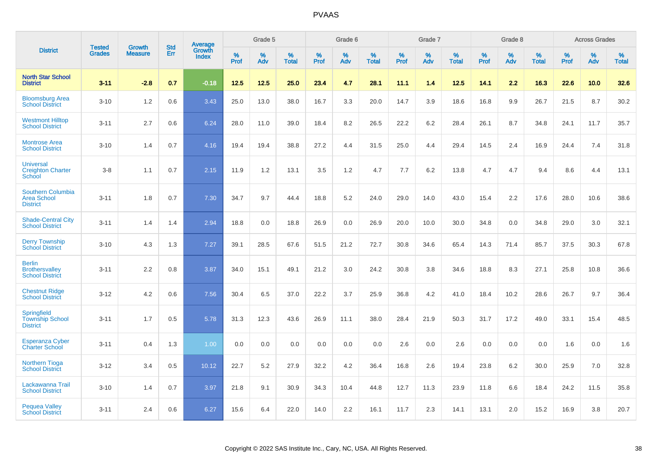|                                                                   | <b>Tested</b> | <b>Growth</b>  | <b>Std</b> | Average                |              | Grade 5  |                   |           | Grade 6  |                   |           | Grade 7  |                   |           | Grade 8  |                   |              | <b>Across Grades</b> |                   |
|-------------------------------------------------------------------|---------------|----------------|------------|------------------------|--------------|----------|-------------------|-----------|----------|-------------------|-----------|----------|-------------------|-----------|----------|-------------------|--------------|----------------------|-------------------|
| <b>District</b>                                                   | <b>Grades</b> | <b>Measure</b> | Err        | Growth<br><b>Index</b> | $\%$<br>Prof | %<br>Adv | %<br><b>Total</b> | %<br>Prof | %<br>Adv | %<br><b>Total</b> | %<br>Prof | %<br>Adv | %<br><b>Total</b> | %<br>Prof | %<br>Adv | %<br><b>Total</b> | $\%$<br>Prof | $\%$<br>Adv          | %<br><b>Total</b> |
| <b>North Star School</b><br><b>District</b>                       | $3 - 11$      | $-2.8$         | 0.7        | $-0.18$                | 12.5         | 12.5     | 25.0              | 23.4      | 4.7      | 28.1              | 11.1      | 1.4      | 12.5              | 14.1      | 2.2      | 16.3              | 22.6         | 10.0                 | 32.6              |
| <b>Bloomsburg Area</b><br><b>School District</b>                  | $3 - 10$      | 1.2            | 0.6        | 3.43                   | 25.0         | 13.0     | 38.0              | 16.7      | 3.3      | 20.0              | 14.7      | 3.9      | 18.6              | 16.8      | 9.9      | 26.7              | 21.5         | 8.7                  | 30.2              |
| <b>Westmont Hilltop</b><br><b>School District</b>                 | $3 - 11$      | 2.7            | 0.6        | 6.24                   | 28.0         | 11.0     | 39.0              | 18.4      | 8.2      | 26.5              | 22.2      | 6.2      | 28.4              | 26.1      | 8.7      | 34.8              | 24.1         | 11.7                 | 35.7              |
| <b>Montrose Area</b><br><b>School District</b>                    | $3 - 10$      | 1.4            | 0.7        | 4.16                   | 19.4         | 19.4     | 38.8              | 27.2      | 4.4      | 31.5              | 25.0      | 4.4      | 29.4              | 14.5      | 2.4      | 16.9              | 24.4         | 7.4                  | 31.8              |
| <b>Universal</b><br><b>Creighton Charter</b><br>School            | $3 - 8$       | 1.1            | 0.7        | 2.15                   | 11.9         | 1.2      | 13.1              | 3.5       | 1.2      | 4.7               | 7.7       | 6.2      | 13.8              | 4.7       | 4.7      | 9.4               | 8.6          | 4.4                  | 13.1              |
| <b>Southern Columbia</b><br><b>Area School</b><br><b>District</b> | $3 - 11$      | 1.8            | 0.7        | 7.30                   | 34.7         | 9.7      | 44.4              | 18.8      | 5.2      | 24.0              | 29.0      | 14.0     | 43.0              | 15.4      | 2.2      | 17.6              | 28.0         | 10.6                 | 38.6              |
| <b>Shade-Central City</b><br><b>School District</b>               | $3 - 11$      | 1.4            | 1.4        | 2.94                   | 18.8         | 0.0      | 18.8              | 26.9      | 0.0      | 26.9              | 20.0      | 10.0     | 30.0              | 34.8      | 0.0      | 34.8              | 29.0         | 3.0                  | 32.1              |
| <b>Derry Township</b><br><b>School District</b>                   | $3 - 10$      | 4.3            | 1.3        | 7.27                   | 39.1         | 28.5     | 67.6              | 51.5      | 21.2     | 72.7              | 30.8      | 34.6     | 65.4              | 14.3      | 71.4     | 85.7              | 37.5         | 30.3                 | 67.8              |
| <b>Berlin</b><br><b>Brothersvalley</b><br><b>School District</b>  | $3 - 11$      | 2.2            | 0.8        | 3.87                   | 34.0         | 15.1     | 49.1              | 21.2      | 3.0      | 24.2              | 30.8      | 3.8      | 34.6              | 18.8      | 8.3      | 27.1              | 25.8         | 10.8                 | 36.6              |
| <b>Chestnut Ridge</b><br><b>School District</b>                   | $3 - 12$      | 4.2            | 0.6        | 7.56                   | 30.4         | 6.5      | 37.0              | 22.2      | 3.7      | 25.9              | 36.8      | 4.2      | 41.0              | 18.4      | 10.2     | 28.6              | 26.7         | 9.7                  | 36.4              |
| <b>Springfield</b><br><b>Township School</b><br><b>District</b>   | $3 - 11$      | 1.7            | 0.5        | 5.78                   | 31.3         | 12.3     | 43.6              | 26.9      | 11.1     | 38.0              | 28.4      | 21.9     | 50.3              | 31.7      | 17.2     | 49.0              | 33.1         | 15.4                 | 48.5              |
| <b>Esperanza Cyber</b><br><b>Charter School</b>                   | $3 - 11$      | 0.4            | 1.3        | 1.00                   | 0.0          | 0.0      | 0.0               | 0.0       | 0.0      | 0.0               | 2.6       | 0.0      | 2.6               | 0.0       | 0.0      | 0.0               | 1.6          | 0.0                  | 1.6               |
| <b>Northern Tioga</b><br><b>School District</b>                   | $3 - 12$      | 3.4            | 0.5        | 10.12                  | 22.7         | 5.2      | 27.9              | 32.2      | 4.2      | 36.4              | 16.8      | 2.6      | 19.4              | 23.8      | 6.2      | 30.0              | 25.9         | 7.0                  | 32.8              |
| Lackawanna Trail<br><b>School District</b>                        | $3 - 10$      | 1.4            | 0.7        | 3.97                   | 21.8         | 9.1      | 30.9              | 34.3      | 10.4     | 44.8              | 12.7      | 11.3     | 23.9              | 11.8      | 6.6      | 18.4              | 24.2         | 11.5                 | 35.8              |
| <b>Pequea Valley</b><br><b>School District</b>                    | $3 - 11$      | 2.4            | 0.6        | 6.27                   | 15.6         | 6.4      | 22.0              | 14.0      | 2.2      | 16.1              | 11.7      | 2.3      | 14.1              | 13.1      | 2.0      | 15.2              | 16.9         | 3.8                  | 20.7              |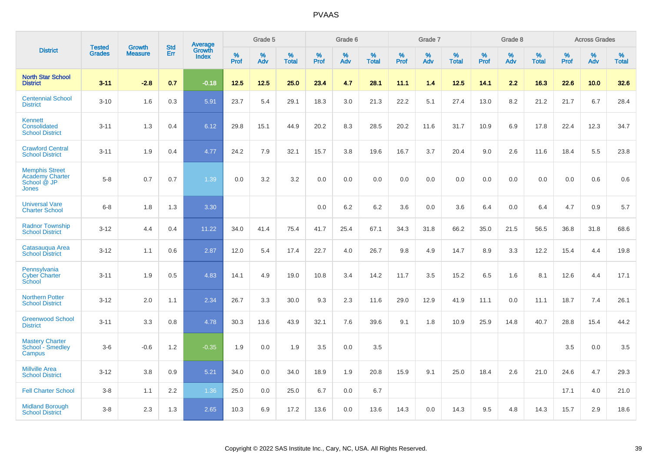|                                                                         |                                |                                 | <b>Std</b> | <b>Average</b>         |           | Grade 5  |                   |           | Grade 6  |                   |           | Grade 7  |                   |           | Grade 8  |                   |           | <b>Across Grades</b> |                   |
|-------------------------------------------------------------------------|--------------------------------|---------------------------------|------------|------------------------|-----------|----------|-------------------|-----------|----------|-------------------|-----------|----------|-------------------|-----------|----------|-------------------|-----------|----------------------|-------------------|
| <b>District</b>                                                         | <b>Tested</b><br><b>Grades</b> | <b>Growth</b><br><b>Measure</b> | Err        | Growth<br><b>Index</b> | %<br>Prof | %<br>Adv | %<br><b>Total</b> | %<br>Prof | %<br>Adv | %<br><b>Total</b> | %<br>Prof | %<br>Adv | %<br><b>Total</b> | %<br>Prof | %<br>Adv | %<br><b>Total</b> | %<br>Prof | %<br>Adv             | %<br><b>Total</b> |
| <b>North Star School</b><br><b>District</b>                             | $3 - 11$                       | $-2.8$                          | 0.7        | $-0.18$                | 12.5      | 12.5     | 25.0              | 23.4      | 4.7      | 28.1              | 11.1      | 1.4      | 12.5              | 14.1      | 2.2      | 16.3              | 22.6      | 10.0                 | 32.6              |
| <b>Centennial School</b><br><b>District</b>                             | $3 - 10$                       | 1.6                             | 0.3        | 5.91                   | 23.7      | 5.4      | 29.1              | 18.3      | 3.0      | 21.3              | 22.2      | 5.1      | 27.4              | 13.0      | 8.2      | 21.2              | 21.7      | 6.7                  | 28.4              |
| Kennett<br>Consolidated<br><b>School District</b>                       | $3 - 11$                       | 1.3                             | 0.4        | 6.12                   | 29.8      | 15.1     | 44.9              | 20.2      | 8.3      | 28.5              | 20.2      | 11.6     | 31.7              | 10.9      | 6.9      | 17.8              | 22.4      | 12.3                 | 34.7              |
| <b>Crawford Central</b><br><b>School District</b>                       | $3 - 11$                       | 1.9                             | 0.4        | 4.77                   | 24.2      | 7.9      | 32.1              | 15.7      | 3.8      | 19.6              | 16.7      | 3.7      | 20.4              | 9.0       | 2.6      | 11.6              | 18.4      | 5.5                  | 23.8              |
| <b>Memphis Street</b><br><b>Academy Charter</b><br>School @ JP<br>Jones | $5-8$                          | 0.7                             | 0.7        | 1.39                   | 0.0       | 3.2      | 3.2               | $0.0\,$   | 0.0      | 0.0               | 0.0       | 0.0      | 0.0               | 0.0       | 0.0      | 0.0               | 0.0       | 0.6                  | 0.6               |
| <b>Universal Vare</b><br><b>Charter School</b>                          | $6 - 8$                        | 1.8                             | 1.3        | 3.30                   |           |          |                   | 0.0       | 6.2      | 6.2               | 3.6       | 0.0      | 3.6               | 6.4       | 0.0      | 6.4               | 4.7       | 0.9                  | 5.7               |
| <b>Radnor Township</b><br><b>School District</b>                        | $3 - 12$                       | 4.4                             | 0.4        | 11.22                  | 34.0      | 41.4     | 75.4              | 41.7      | 25.4     | 67.1              | 34.3      | 31.8     | 66.2              | 35.0      | 21.5     | 56.5              | 36.8      | 31.8                 | 68.6              |
| Catasaugua Area<br><b>School District</b>                               | $3 - 12$                       | 1.1                             | 0.6        | 2.87                   | 12.0      | 5.4      | 17.4              | 22.7      | 4.0      | 26.7              | 9.8       | 4.9      | 14.7              | 8.9       | 3.3      | 12.2              | 15.4      | 4.4                  | 19.8              |
| Pennsylvania<br><b>Cyber Charter</b><br>School                          | $3 - 11$                       | 1.9                             | 0.5        | 4.83                   | 14.1      | 4.9      | 19.0              | 10.8      | 3.4      | 14.2              | 11.7      | 3.5      | 15.2              | 6.5       | 1.6      | 8.1               | 12.6      | 4.4                  | 17.1              |
| <b>Northern Potter</b><br><b>School District</b>                        | $3 - 12$                       | 2.0                             | 1.1        | 2.34                   | 26.7      | 3.3      | 30.0              | 9.3       | 2.3      | 11.6              | 29.0      | 12.9     | 41.9              | 11.1      | 0.0      | 11.1              | 18.7      | 7.4                  | 26.1              |
| <b>Greenwood School</b><br><b>District</b>                              | $3 - 11$                       | 3.3                             | 0.8        | 4.78                   | 30.3      | 13.6     | 43.9              | 32.1      | 7.6      | 39.6              | 9.1       | 1.8      | 10.9              | 25.9      | 14.8     | 40.7              | 28.8      | 15.4                 | 44.2              |
| <b>Mastery Charter</b><br>School - Smedley<br>Campus                    | $3-6$                          | $-0.6$                          | 1.2        | $-0.35$                | 1.9       | 0.0      | 1.9               | 3.5       | 0.0      | 3.5               |           |          |                   |           |          |                   | 3.5       | 0.0                  | 3.5               |
| <b>Millville Area</b><br><b>School District</b>                         | $3 - 12$                       | 3.8                             | 0.9        | 5.21                   | 34.0      | 0.0      | 34.0              | 18.9      | 1.9      | 20.8              | 15.9      | 9.1      | 25.0              | 18.4      | 2.6      | 21.0              | 24.6      | 4.7                  | 29.3              |
| <b>Fell Charter School</b>                                              | $3 - 8$                        | 1.1                             | 2.2        | 1.36                   | 25.0      | 0.0      | 25.0              | 6.7       | 0.0      | 6.7               |           |          |                   |           |          |                   | 17.1      | 4.0                  | 21.0              |
| <b>Midland Borough</b><br><b>School District</b>                        | $3 - 8$                        | 2.3                             | 1.3        | 2.65                   | 10.3      | 6.9      | 17.2              | 13.6      | 0.0      | 13.6              | 14.3      | 0.0      | 14.3              | 9.5       | 4.8      | 14.3              | 15.7      | 2.9                  | 18.6              |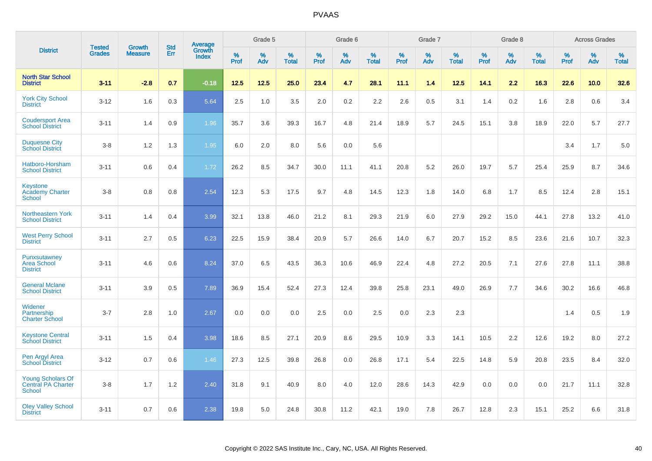|                                                                 |                                | <b>Growth</b>  | <b>Std</b> |                                          |              | Grade 5  |                   |              | Grade 6  |                   |              | Grade 7  |                   |              | Grade 8  |                   |              | <b>Across Grades</b> |                   |
|-----------------------------------------------------------------|--------------------------------|----------------|------------|------------------------------------------|--------------|----------|-------------------|--------------|----------|-------------------|--------------|----------|-------------------|--------------|----------|-------------------|--------------|----------------------|-------------------|
| <b>District</b>                                                 | <b>Tested</b><br><b>Grades</b> | <b>Measure</b> | <b>Err</b> | <b>Average</b><br>Growth<br><b>Index</b> | $\%$<br>Prof | %<br>Adv | %<br><b>Total</b> | $\%$<br>Prof | %<br>Adv | %<br><b>Total</b> | $\%$<br>Prof | %<br>Adv | %<br><b>Total</b> | $\%$<br>Prof | %<br>Adv | %<br><b>Total</b> | $\%$<br>Prof | %<br>Adv             | %<br><b>Total</b> |
| <b>North Star School</b><br><b>District</b>                     | $3 - 11$                       | $-2.8$         | 0.7        | $-0.18$                                  | 12.5         | 12.5     | 25.0              | 23.4         | 4.7      | 28.1              | 11.1         | 1.4      | 12.5              | 14.1         | 2.2      | 16.3              | 22.6         | 10.0                 | 32.6              |
| <b>York City School</b><br><b>District</b>                      | $3 - 12$                       | 1.6            | 0.3        | 5.64                                     | 2.5          | 1.0      | 3.5               | 2.0          | 0.2      | 2.2               | 2.6          | 0.5      | 3.1               | 1.4          | 0.2      | 1.6               | 2.8          | 0.6                  | 3.4               |
| <b>Coudersport Area</b><br><b>School District</b>               | $3 - 11$                       | 1.4            | 0.9        | 1.96                                     | 35.7         | 3.6      | 39.3              | 16.7         | 4.8      | 21.4              | 18.9         | 5.7      | 24.5              | 15.1         | 3.8      | 18.9              | 22.0         | 5.7                  | 27.7              |
| <b>Duquesne City</b><br><b>School District</b>                  | $3 - 8$                        | 1.2            | 1.3        | 1.95                                     | 6.0          | 2.0      | 8.0               | 5.6          | 0.0      | 5.6               |              |          |                   |              |          |                   | 3.4          | 1.7                  | 5.0               |
| Hatboro-Horsham<br><b>School District</b>                       | $3 - 11$                       | 0.6            | 0.4        | 1.72                                     | 26.2         | 8.5      | 34.7              | 30.0         | 11.1     | 41.1              | 20.8         | 5.2      | 26.0              | 19.7         | 5.7      | 25.4              | 25.9         | 8.7                  | 34.6              |
| <b>Keystone</b><br><b>Academy Charter</b><br>School             | $3 - 8$                        | 0.8            | 0.8        | 2.54                                     | 12.3         | 5.3      | 17.5              | 9.7          | 4.8      | 14.5              | 12.3         | 1.8      | 14.0              | 6.8          | 1.7      | 8.5               | 12.4         | 2.8                  | 15.1              |
| <b>Northeastern York</b><br><b>School District</b>              | $3 - 11$                       | 1.4            | 0.4        | 3.99                                     | 32.1         | 13.8     | 46.0              | 21.2         | 8.1      | 29.3              | 21.9         | 6.0      | 27.9              | 29.2         | 15.0     | 44.1              | 27.8         | 13.2                 | 41.0              |
| <b>West Perry School</b><br><b>District</b>                     | $3 - 11$                       | 2.7            | 0.5        | 6.23                                     | 22.5         | 15.9     | 38.4              | 20.9         | 5.7      | 26.6              | 14.0         | 6.7      | 20.7              | 15.2         | 8.5      | 23.6              | 21.6         | 10.7                 | 32.3              |
| Punxsutawney<br><b>Area School</b><br><b>District</b>           | $3 - 11$                       | 4.6            | 0.6        | 8.24                                     | 37.0         | 6.5      | 43.5              | 36.3         | 10.6     | 46.9              | 22.4         | 4.8      | 27.2              | 20.5         | 7.1      | 27.6              | 27.8         | 11.1                 | 38.8              |
| <b>General Mclane</b><br><b>School District</b>                 | $3 - 11$                       | 3.9            | 0.5        | 7.89                                     | 36.9         | 15.4     | 52.4              | 27.3         | 12.4     | 39.8              | 25.8         | 23.1     | 49.0              | 26.9         | 7.7      | 34.6              | 30.2         | 16.6                 | 46.8              |
| Widener<br>Partnership<br><b>Charter School</b>                 | $3 - 7$                        | 2.8            | 1.0        | 2.67                                     | 0.0          | 0.0      | 0.0               | 2.5          | 0.0      | 2.5               | 0.0          | 2.3      | 2.3               |              |          |                   | 1.4          | 0.5                  | 1.9               |
| <b>Keystone Central</b><br><b>School District</b>               | $3 - 11$                       | 1.5            | 0.4        | 3.98                                     | 18.6         | 8.5      | 27.1              | 20.9         | 8.6      | 29.5              | 10.9         | 3.3      | 14.1              | 10.5         | 2.2      | 12.6              | 19.2         | 8.0                  | 27.2              |
| Pen Argyl Area<br><b>School District</b>                        | $3 - 12$                       | 0.7            | 0.6        | 1.46                                     | 27.3         | 12.5     | 39.8              | 26.8         | 0.0      | 26.8              | 17.1         | 5.4      | 22.5              | 14.8         | 5.9      | 20.8              | 23.5         | 8.4                  | 32.0              |
| <b>Young Scholars Of</b><br>Central PA Charter<br><b>School</b> | $3 - 8$                        | 1.7            | $1.2$      | 2.40                                     | 31.8         | 9.1      | 40.9              | 8.0          | 4.0      | 12.0              | 28.6         | 14.3     | 42.9              | 0.0          | 0.0      | 0.0               | 21.7         | 11.1                 | 32.8              |
| <b>Oley Valley School</b><br><b>District</b>                    | $3 - 11$                       | 0.7            | 0.6        | 2.38                                     | 19.8         | 5.0      | 24.8              | 30.8         | 11.2     | 42.1              | 19.0         | 7.8      | 26.7              | 12.8         | 2.3      | 15.1              | 25.2         | 6.6                  | 31.8              |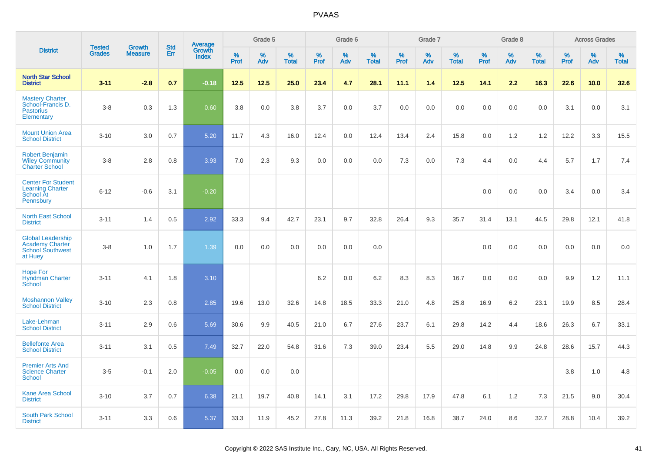|                                                                                          | <b>Tested</b> | <b>Growth</b>  | <b>Std</b> |                                   |                     | Grade 5  |                   |              | Grade 6  |                   |              | Grade 7  |                   |              | Grade 8  |                   |              | <b>Across Grades</b> |                   |
|------------------------------------------------------------------------------------------|---------------|----------------|------------|-----------------------------------|---------------------|----------|-------------------|--------------|----------|-------------------|--------------|----------|-------------------|--------------|----------|-------------------|--------------|----------------------|-------------------|
| <b>District</b>                                                                          | <b>Grades</b> | <b>Measure</b> | Err        | Average<br>Growth<br><b>Index</b> | $\%$<br><b>Prof</b> | %<br>Adv | %<br><b>Total</b> | $\%$<br>Prof | %<br>Adv | %<br><b>Total</b> | $\%$<br>Prof | %<br>Adv | %<br><b>Total</b> | $\%$<br>Prof | %<br>Adv | %<br><b>Total</b> | $\%$<br>Prof | %<br>Adv             | %<br><b>Total</b> |
| <b>North Star School</b><br><b>District</b>                                              | $3 - 11$      | $-2.8$         | 0.7        | $-0.18$                           | 12.5                | 12.5     | 25.0              | 23.4         | 4.7      | 28.1              | 11.1         | 1.4      | 12.5              | 14.1         | 2.2      | 16.3              | 22.6         | 10.0                 | 32.6              |
| <b>Mastery Charter</b><br>School-Francis D.<br><b>Pastorius</b><br>Elementary            | $3-8$         | 0.3            | 1.3        | 0.60                              | 3.8                 | 0.0      | 3.8               | 3.7          | 0.0      | 3.7               | 0.0          | 0.0      | 0.0               | 0.0          | 0.0      | 0.0               | 3.1          | 0.0                  | 3.1               |
| <b>Mount Union Area</b><br><b>School District</b>                                        | $3 - 10$      | 3.0            | 0.7        | 5.20                              | 11.7                | 4.3      | 16.0              | 12.4         | 0.0      | 12.4              | 13.4         | 2.4      | 15.8              | 0.0          | 1.2      | 1.2               | 12.2         | 3.3                  | 15.5              |
| <b>Robert Benjamin</b><br><b>Wiley Community</b><br><b>Charter School</b>                | $3-8$         | 2.8            | 0.8        | 3.93                              | 7.0                 | 2.3      | 9.3               | 0.0          | 0.0      | 0.0               | 7.3          | 0.0      | 7.3               | 4.4          | 0.0      | 4.4               | 5.7          | 1.7                  | 7.4               |
| <b>Center For Student</b><br><b>Learning Charter</b><br><b>School At</b><br>Pennsbury    | $6 - 12$      | $-0.6$         | 3.1        | $-0.20$                           |                     |          |                   |              |          |                   |              |          |                   | 0.0          | 0.0      | 0.0               | 3.4          | 0.0                  | 3.4               |
| <b>North East School</b><br><b>District</b>                                              | $3 - 11$      | 1.4            | 0.5        | 2.92                              | 33.3                | 9.4      | 42.7              | 23.1         | 9.7      | 32.8              | 26.4         | 9.3      | 35.7              | 31.4         | 13.1     | 44.5              | 29.8         | 12.1                 | 41.8              |
| <b>Global Leadership</b><br><b>Academy Charter</b><br><b>School Southwest</b><br>at Huey | $3-8$         | 1.0            | 1.7        | 1.39                              | 0.0                 | 0.0      | 0.0               | 0.0          | 0.0      | 0.0               |              |          |                   | 0.0          | 0.0      | 0.0               | 0.0          | 0.0                  | 0.0               |
| <b>Hope For</b><br><b>Hyndman Charter</b><br>School                                      | $3 - 11$      | 4.1            | 1.8        | 3.10                              |                     |          |                   | $6.2\,$      | 0.0      | 6.2               | 8.3          | 8.3      | 16.7              | 0.0          | 0.0      | 0.0               | 9.9          | $1.2$                | 11.1              |
| <b>Moshannon Valley</b><br><b>School District</b>                                        | $3 - 10$      | 2.3            | 0.8        | 2.85                              | 19.6                | 13.0     | 32.6              | 14.8         | 18.5     | 33.3              | 21.0         | 4.8      | 25.8              | 16.9         | 6.2      | 23.1              | 19.9         | 8.5                  | 28.4              |
| Lake-Lehman<br><b>School District</b>                                                    | $3 - 11$      | 2.9            | 0.6        | 5.69                              | 30.6                | 9.9      | 40.5              | 21.0         | 6.7      | 27.6              | 23.7         | 6.1      | 29.8              | 14.2         | 4.4      | 18.6              | 26.3         | 6.7                  | 33.1              |
| <b>Bellefonte Area</b><br><b>School District</b>                                         | $3 - 11$      | 3.1            | 0.5        | 7.49                              | 32.7                | 22.0     | 54.8              | 31.6         | 7.3      | 39.0              | 23.4         | 5.5      | 29.0              | 14.8         | 9.9      | 24.8              | 28.6         | 15.7                 | 44.3              |
| <b>Premier Arts And</b><br><b>Science Charter</b><br>School                              | $3-5$         | $-0.1$         | 2.0        | $-0.05$                           | 0.0                 | 0.0      | 0.0               |              |          |                   |              |          |                   |              |          |                   | 3.8          | 1.0                  | 4.8               |
| <b>Kane Area School</b><br><b>District</b>                                               | $3 - 10$      | 3.7            | 0.7        | 6.38                              | 21.1                | 19.7     | 40.8              | 14.1         | 3.1      | 17.2              | 29.8         | 17.9     | 47.8              | 6.1          | 1.2      | 7.3               | 21.5         | 9.0                  | 30.4              |
| <b>South Park School</b><br><b>District</b>                                              | $3 - 11$      | 3.3            | 0.6        | 5.37                              | 33.3                | 11.9     | 45.2              | 27.8         | 11.3     | 39.2              | 21.8         | 16.8     | 38.7              | 24.0         | 8.6      | 32.7              | 28.8         | 10.4                 | 39.2              |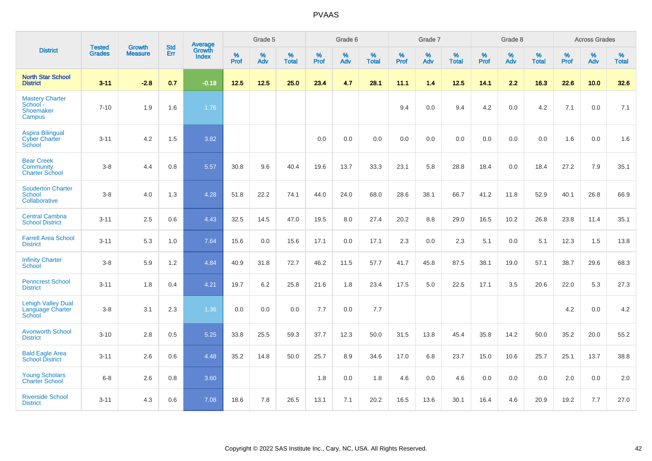|                                                                | <b>Tested</b> |                                 | <b>Std</b> | <b>Average</b>         |           | Grade 5  |                   |           | Grade 6  |                   |           | Grade 7  |                   |           | Grade 8  |                   |           | <b>Across Grades</b> |                   |
|----------------------------------------------------------------|---------------|---------------------------------|------------|------------------------|-----------|----------|-------------------|-----------|----------|-------------------|-----------|----------|-------------------|-----------|----------|-------------------|-----------|----------------------|-------------------|
| <b>District</b>                                                | <b>Grades</b> | <b>Growth</b><br><b>Measure</b> | Err        | Growth<br><b>Index</b> | %<br>Prof | %<br>Adv | %<br><b>Total</b> | %<br>Prof | %<br>Adv | %<br><b>Total</b> | %<br>Prof | %<br>Adv | %<br><b>Total</b> | %<br>Prof | %<br>Adv | %<br><b>Total</b> | %<br>Prof | %<br>Adv             | %<br><b>Total</b> |
| <b>North Star School</b><br><b>District</b>                    | $3 - 11$      | $-2.8$                          | 0.7        | $-0.18$                | 12.5      | 12.5     | 25.0              | 23.4      | 4.7      | 28.1              | 11.1      | 1.4      | 12.5              | 14.1      | 2.2      | 16.3              | 22.6      | 10.0                 | 32.6              |
| <b>Mastery Charter</b><br>School -<br>Shoemaker<br>Campus      | $7 - 10$      | 1.9                             | 1.6        | 1.76                   |           |          |                   |           |          |                   | 9.4       | 0.0      | 9.4               | 4.2       | 0.0      | 4.2               | 7.1       | 0.0                  | 7.1               |
| <b>Aspira Bilingual</b><br><b>Cyber Charter</b><br>School      | $3 - 11$      | 4.2                             | 1.5        | 3.82                   |           |          |                   | 0.0       | 0.0      | 0.0               | 0.0       | 0.0      | 0.0               | 0.0       | 0.0      | 0.0               | 1.6       | 0.0                  | 1.6               |
| <b>Bear Creek</b><br><b>Community</b><br><b>Charter School</b> | $3-8$         | 4.4                             | 0.8        | 5.57                   | 30.8      | 9.6      | 40.4              | 19.6      | 13.7     | 33.3              | 23.1      | 5.8      | 28.8              | 18.4      | 0.0      | 18.4              | 27.2      | 7.9                  | 35.1              |
| <b>Souderton Charter</b><br>School<br>Collaborative            | $3 - 8$       | 4.0                             | 1.3        | 4.28                   | 51.8      | 22.2     | 74.1              | 44.0      | 24.0     | 68.0              | 28.6      | 38.1     | 66.7              | 41.2      | 11.8     | 52.9              | 40.1      | 26.8                 | 66.9              |
| <b>Central Cambria</b><br><b>School District</b>               | $3 - 11$      | 2.5                             | 0.6        | 4.43                   | 32.5      | 14.5     | 47.0              | 19.5      | 8.0      | 27.4              | 20.2      | 8.8      | 29.0              | 16.5      | 10.2     | 26.8              | 23.8      | 11.4                 | 35.1              |
| <b>Farrell Area School</b><br><b>District</b>                  | $3 - 11$      | 5.3                             | 1.0        | 7.64                   | 15.6      | 0.0      | 15.6              | 17.1      | 0.0      | 17.1              | 2.3       | 0.0      | 2.3               | 5.1       | 0.0      | 5.1               | 12.3      | 1.5                  | 13.8              |
| <b>Infinity Charter</b><br>School                              | $3-8$         | 5.9                             | 1.2        | 4.84                   | 40.9      | 31.8     | 72.7              | 46.2      | 11.5     | 57.7              | 41.7      | 45.8     | 87.5              | 38.1      | 19.0     | 57.1              | 38.7      | 29.6                 | 68.3              |
| <b>Penncrest School</b><br><b>District</b>                     | $3 - 11$      | 1.8                             | 0.4        | 4.21                   | 19.7      | 6.2      | 25.8              | 21.6      | 1.8      | 23.4              | 17.5      | 5.0      | 22.5              | 17.1      | 3.5      | 20.6              | 22.0      | 5.3                  | 27.3              |
| <b>Lehigh Valley Dual</b><br>Language Charter<br>School        | $3 - 8$       | 3.1                             | 2.3        | 1.36                   | 0.0       | 0.0      | 0.0               | 7.7       | 0.0      | 7.7               |           |          |                   |           |          |                   | 4.2       | 0.0                  | 4.2               |
| <b>Avonworth School</b><br><b>District</b>                     | $3 - 10$      | 2.8                             | 0.5        | 5.25                   | 33.8      | 25.5     | 59.3              | 37.7      | 12.3     | 50.0              | 31.5      | 13.8     | 45.4              | 35.8      | 14.2     | 50.0              | 35.2      | 20.0                 | 55.2              |
| <b>Bald Eagle Area</b><br><b>School District</b>               | $3 - 11$      | 2.6                             | 0.6        | 4.48                   | 35.2      | 14.8     | 50.0              | 25.7      | 8.9      | 34.6              | 17.0      | 6.8      | 23.7              | 15.0      | 10.6     | 25.7              | 25.1      | 13.7                 | 38.8              |
| <b>Young Scholars</b><br><b>Charter School</b>                 | $6-8$         | 2.6                             | 0.8        | 3.60                   |           |          |                   | 1.8       | 0.0      | 1.8               | 4.6       | 0.0      | 4.6               | 0.0       | 0.0      | 0.0               | 2.0       | 0.0                  | 2.0               |
| <b>Riverside School</b><br><b>District</b>                     | $3 - 11$      | 4.3                             | 0.6        | 7.08                   | 18.6      | 7.8      | 26.5              | 13.1      | 7.1      | 20.2              | 16.5      | 13.6     | 30.1              | 16.4      | 4.6      | 20.9              | 19.2      | 7.7                  | 27.0              |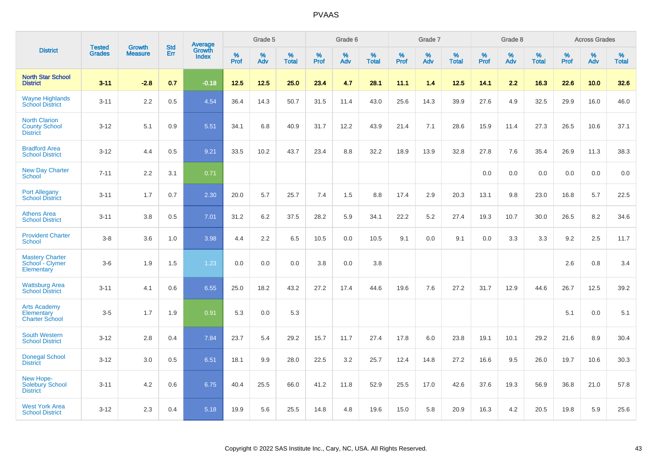|                                                                 |                                |                                 | <b>Std</b> | Average                |              | Grade 5  |                   |           | Grade 6  |                   |           | Grade 7  |                   |           | Grade 8  |                   |           | <b>Across Grades</b> |                   |
|-----------------------------------------------------------------|--------------------------------|---------------------------------|------------|------------------------|--------------|----------|-------------------|-----------|----------|-------------------|-----------|----------|-------------------|-----------|----------|-------------------|-----------|----------------------|-------------------|
| <b>District</b>                                                 | <b>Tested</b><br><b>Grades</b> | <b>Growth</b><br><b>Measure</b> | Err        | Growth<br><b>Index</b> | $\%$<br>Prof | %<br>Adv | %<br><b>Total</b> | %<br>Prof | %<br>Adv | %<br><b>Total</b> | %<br>Prof | %<br>Adv | %<br><b>Total</b> | %<br>Prof | %<br>Adv | %<br><b>Total</b> | %<br>Prof | %<br>Adv             | %<br><b>Total</b> |
| <b>North Star School</b><br><b>District</b>                     | $3 - 11$                       | $-2.8$                          | 0.7        | $-0.18$                | 12.5         | 12.5     | 25.0              | 23.4      | 4.7      | 28.1              | 11.1      | 1.4      | 12.5              | 14.1      | 2.2      | 16.3              | 22.6      | 10.0                 | 32.6              |
| <b>Wayne Highlands</b><br><b>School District</b>                | $3 - 11$                       | 2.2                             | 0.5        | 4.54                   | 36.4         | 14.3     | 50.7              | 31.5      | 11.4     | 43.0              | 25.6      | 14.3     | 39.9              | 27.6      | 4.9      | 32.5              | 29.9      | 16.0                 | 46.0              |
| <b>North Clarion</b><br><b>County School</b><br><b>District</b> | $3 - 12$                       | 5.1                             | 0.9        | 5.51                   | 34.1         | 6.8      | 40.9              | 31.7      | 12.2     | 43.9              | 21.4      | 7.1      | 28.6              | 15.9      | 11.4     | 27.3              | 26.5      | 10.6                 | 37.1              |
| <b>Bradford Area</b><br><b>School District</b>                  | $3 - 12$                       | 4.4                             | 0.5        | 9.21                   | 33.5         | 10.2     | 43.7              | 23.4      | 8.8      | 32.2              | 18.9      | 13.9     | 32.8              | 27.8      | 7.6      | 35.4              | 26.9      | 11.3                 | 38.3              |
| <b>New Day Charter</b><br><b>School</b>                         | $7 - 11$                       | 2.2                             | 3.1        | 0.71                   |              |          |                   |           |          |                   |           |          |                   | 0.0       | 0.0      | 0.0               | 0.0       | 0.0                  | 0.0               |
| <b>Port Allegany</b><br><b>School District</b>                  | $3 - 11$                       | 1.7                             | 0.7        | 2.30                   | 20.0         | 5.7      | 25.7              | 7.4       | 1.5      | 8.8               | 17.4      | 2.9      | 20.3              | 13.1      | 9.8      | 23.0              | 16.8      | 5.7                  | 22.5              |
| <b>Athens Area</b><br><b>School District</b>                    | $3 - 11$                       | 3.8                             | 0.5        | 7.01                   | 31.2         | 6.2      | 37.5              | 28.2      | 5.9      | 34.1              | 22.2      | 5.2      | 27.4              | 19.3      | 10.7     | 30.0              | 26.5      | 8.2                  | 34.6              |
| <b>Provident Charter</b><br><b>School</b>                       | $3 - 8$                        | 3.6                             | 1.0        | 3.98                   | 4.4          | 2.2      | 6.5               | 10.5      | 0.0      | 10.5              | 9.1       | 0.0      | 9.1               | 0.0       | 3.3      | 3.3               | 9.2       | 2.5                  | 11.7              |
| <b>Mastery Charter</b><br>School - Clymer<br>Elementary         | $3-6$                          | 1.9                             | 1.5        | 1.23                   | 0.0          | 0.0      | 0.0               | 3.8       | 0.0      | 3.8               |           |          |                   |           |          |                   | 2.6       | 0.8                  | 3.4               |
| <b>Wattsburg Area</b><br><b>School District</b>                 | $3 - 11$                       | 4.1                             | 0.6        | 6.55                   | 25.0         | 18.2     | 43.2              | 27.2      | 17.4     | 44.6              | 19.6      | 7.6      | 27.2              | 31.7      | 12.9     | 44.6              | 26.7      | 12.5                 | 39.2              |
| <b>Arts Academy</b><br>Elementary<br><b>Charter School</b>      | $3-5$                          | 1.7                             | 1.9        | 0.91                   | 5.3          | 0.0      | 5.3               |           |          |                   |           |          |                   |           |          |                   | 5.1       | 0.0                  | 5.1               |
| <b>South Western</b><br><b>School District</b>                  | $3 - 12$                       | 2.8                             | 0.4        | 7.84                   | 23.7         | 5.4      | 29.2              | 15.7      | 11.7     | 27.4              | 17.8      | 6.0      | 23.8              | 19.1      | 10.1     | 29.2              | 21.6      | 8.9                  | 30.4              |
| <b>Donegal School</b><br><b>District</b>                        | $3 - 12$                       | 3.0                             | 0.5        | 6.51                   | 18.1         | 9.9      | 28.0              | 22.5      | 3.2      | 25.7              | 12.4      | 14.8     | 27.2              | 16.6      | 9.5      | 26.0              | 19.7      | 10.6                 | 30.3              |
| New Hope-<br><b>Solebury School</b><br><b>District</b>          | $3 - 11$                       | 4.2                             | 0.6        | 6.75                   | 40.4         | 25.5     | 66.0              | 41.2      | 11.8     | 52.9              | 25.5      | 17.0     | 42.6              | 37.6      | 19.3     | 56.9              | 36.8      | 21.0                 | 57.8              |
| <b>West York Area</b><br><b>School District</b>                 | $3 - 12$                       | 2.3                             | 0.4        | 5.18                   | 19.9         | 5.6      | 25.5              | 14.8      | 4.8      | 19.6              | 15.0      | 5.8      | 20.9              | 16.3      | 4.2      | 20.5              | 19.8      | 5.9                  | 25.6              |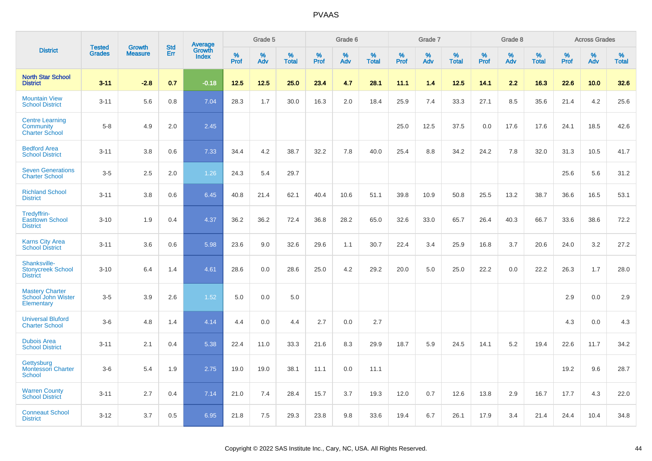|                                                              |                                |                                 | <b>Std</b> |                            |                     | Grade 5  |                   |                     | Grade 6  |                   |              | Grade 7  |                   |                     | Grade 8  |                   |              | <b>Across Grades</b> |                      |
|--------------------------------------------------------------|--------------------------------|---------------------------------|------------|----------------------------|---------------------|----------|-------------------|---------------------|----------|-------------------|--------------|----------|-------------------|---------------------|----------|-------------------|--------------|----------------------|----------------------|
| <b>District</b>                                              | <b>Tested</b><br><b>Grades</b> | <b>Growth</b><br><b>Measure</b> | Err        | Average<br>Growth<br>Index | $\%$<br><b>Prof</b> | %<br>Adv | %<br><b>Total</b> | $\%$<br><b>Prof</b> | %<br>Adv | %<br><b>Total</b> | $\%$<br>Prof | %<br>Adv | %<br><b>Total</b> | $\%$<br><b>Prof</b> | %<br>Adv | %<br><b>Total</b> | $\%$<br>Prof | %<br>Adv             | $\%$<br><b>Total</b> |
| <b>North Star School</b><br><b>District</b>                  | $3 - 11$                       | $-2.8$                          | 0.7        | $-0.18$                    | 12.5                | 12.5     | 25.0              | 23.4                | 4.7      | 28.1              | 11.1         | 1.4      | 12.5              | 14.1                | 2.2      | 16.3              | 22.6         | 10.0                 | 32.6                 |
| <b>Mountain View</b><br><b>School District</b>               | $3 - 11$                       | 5.6                             | 0.8        | 7.04                       | 28.3                | 1.7      | 30.0              | 16.3                | 2.0      | 18.4              | 25.9         | 7.4      | 33.3              | 27.1                | 8.5      | 35.6              | 21.4         | 4.2                  | 25.6                 |
| <b>Centre Learning</b><br>Community<br><b>Charter School</b> | $5 - 8$                        | 4.9                             | 2.0        | 2.45                       |                     |          |                   |                     |          |                   | 25.0         | 12.5     | 37.5              | 0.0                 | 17.6     | 17.6              | 24.1         | 18.5                 | 42.6                 |
| <b>Bedford Area</b><br><b>School District</b>                | $3 - 11$                       | 3.8                             | 0.6        | 7.33                       | 34.4                | 4.2      | 38.7              | 32.2                | 7.8      | 40.0              | 25.4         | 8.8      | 34.2              | 24.2                | 7.8      | 32.0              | 31.3         | 10.5                 | 41.7                 |
| <b>Seven Generations</b><br><b>Charter School</b>            | $3-5$                          | 2.5                             | 2.0        | 1.26                       | 24.3                | 5.4      | 29.7              |                     |          |                   |              |          |                   |                     |          |                   | 25.6         | 5.6                  | 31.2                 |
| <b>Richland School</b><br><b>District</b>                    | $3 - 11$                       | 3.8                             | 0.6        | 6.45                       | 40.8                | 21.4     | 62.1              | 40.4                | 10.6     | 51.1              | 39.8         | 10.9     | 50.8              | 25.5                | 13.2     | 38.7              | 36.6         | 16.5                 | 53.1                 |
| Tredyffrin-<br><b>Easttown School</b><br><b>District</b>     | $3 - 10$                       | 1.9                             | 0.4        | 4.37                       | 36.2                | 36.2     | 72.4              | 36.8                | 28.2     | 65.0              | 32.6         | 33.0     | 65.7              | 26.4                | 40.3     | 66.7              | 33.6         | 38.6                 | 72.2                 |
| <b>Karns City Area</b><br><b>School District</b>             | $3 - 11$                       | 3.6                             | 0.6        | 5.98                       | 23.6                | 9.0      | 32.6              | 29.6                | 1.1      | 30.7              | 22.4         | 3.4      | 25.9              | 16.8                | 3.7      | 20.6              | 24.0         | 3.2                  | 27.2                 |
| Shanksville-<br><b>Stonycreek School</b><br><b>District</b>  | $3 - 10$                       | 6.4                             | 1.4        | 4.61                       | 28.6                | 0.0      | 28.6              | 25.0                | 4.2      | 29.2              | 20.0         | 5.0      | 25.0              | 22.2                | 0.0      | 22.2              | 26.3         | 1.7                  | 28.0                 |
| <b>Mastery Charter</b><br>School John Wister<br>Elementary   | $3-5$                          | 3.9                             | 2.6        | 1.52                       | 5.0                 | 0.0      | 5.0               |                     |          |                   |              |          |                   |                     |          |                   | 2.9          | 0.0                  | 2.9                  |
| <b>Universal Bluford</b><br><b>Charter School</b>            | $3-6$                          | 4.8                             | 1.4        | 4.14                       | 4.4                 | 0.0      | 4.4               | 2.7                 | 0.0      | 2.7               |              |          |                   |                     |          |                   | 4.3          | 0.0                  | 4.3                  |
| <b>Dubois Area</b><br><b>School District</b>                 | $3 - 11$                       | 2.1                             | 0.4        | 5.38                       | 22.4                | 11.0     | 33.3              | 21.6                | 8.3      | 29.9              | 18.7         | 5.9      | 24.5              | 14.1                | 5.2      | 19.4              | 22.6         | 11.7                 | 34.2                 |
| Gettysburg<br><b>Montessori Charter</b><br>School            | $3-6$                          | 5.4                             | 1.9        | 2.75                       | 19.0                | 19.0     | 38.1              | 11.1                | 0.0      | 11.1              |              |          |                   |                     |          |                   | 19.2         | 9.6                  | 28.7                 |
| <b>Warren County</b><br><b>School District</b>               | $3 - 11$                       | 2.7                             | 0.4        | 7.14                       | 21.0                | 7.4      | 28.4              | 15.7                | 3.7      | 19.3              | 12.0         | 0.7      | 12.6              | 13.8                | 2.9      | 16.7              | 17.7         | 4.3                  | 22.0                 |
| <b>Conneaut School</b><br><b>District</b>                    | $3 - 12$                       | 3.7                             | 0.5        | 6.95                       | 21.8                | 7.5      | 29.3              | 23.8                | 9.8      | 33.6              | 19.4         | 6.7      | 26.1              | 17.9                | 3.4      | 21.4              | 24.4         | 10.4                 | 34.8                 |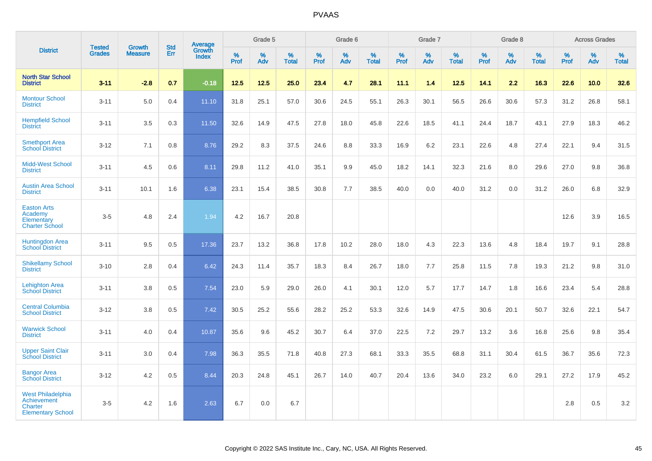|                                                                                              |                                |                                 | <b>Std</b> | Average                |              | Grade 5  |                   |           | Grade 6  |                   |           | Grade 7  |                   |           | Grade 8  |                   |           | <b>Across Grades</b> |                   |
|----------------------------------------------------------------------------------------------|--------------------------------|---------------------------------|------------|------------------------|--------------|----------|-------------------|-----------|----------|-------------------|-----------|----------|-------------------|-----------|----------|-------------------|-----------|----------------------|-------------------|
| <b>District</b>                                                                              | <b>Tested</b><br><b>Grades</b> | <b>Growth</b><br><b>Measure</b> | Err        | Growth<br><b>Index</b> | $\%$<br>Prof | %<br>Adv | %<br><b>Total</b> | %<br>Prof | %<br>Adv | %<br><b>Total</b> | %<br>Prof | %<br>Adv | %<br><b>Total</b> | %<br>Prof | %<br>Adv | %<br><b>Total</b> | %<br>Prof | %<br>Adv             | %<br><b>Total</b> |
| <b>North Star School</b><br><b>District</b>                                                  | $3 - 11$                       | $-2.8$                          | 0.7        | $-0.18$                | 12.5         | 12.5     | 25.0              | 23.4      | 4.7      | 28.1              | 11.1      | 1.4      | 12.5              | 14.1      | 2.2      | 16.3              | 22.6      | 10.0                 | 32.6              |
| <b>Montour School</b><br><b>District</b>                                                     | $3 - 11$                       | 5.0                             | 0.4        | 11.10                  | 31.8         | 25.1     | 57.0              | 30.6      | 24.5     | 55.1              | 26.3      | 30.1     | 56.5              | 26.6      | 30.6     | 57.3              | 31.2      | 26.8                 | 58.1              |
| <b>Hempfield School</b><br><b>District</b>                                                   | $3 - 11$                       | 3.5                             | 0.3        | 11.50                  | 32.6         | 14.9     | 47.5              | 27.8      | 18.0     | 45.8              | 22.6      | 18.5     | 41.1              | 24.4      | 18.7     | 43.1              | 27.9      | 18.3                 | 46.2              |
| <b>Smethport Area</b><br><b>School District</b>                                              | $3 - 12$                       | 7.1                             | 0.8        | 8.76                   | 29.2         | 8.3      | 37.5              | 24.6      | 8.8      | 33.3              | 16.9      | 6.2      | 23.1              | 22.6      | 4.8      | 27.4              | 22.1      | 9.4                  | 31.5              |
| <b>Midd-West School</b><br><b>District</b>                                                   | $3 - 11$                       | 4.5                             | 0.6        | 8.11                   | 29.8         | 11.2     | 41.0              | 35.1      | 9.9      | 45.0              | 18.2      | 14.1     | 32.3              | 21.6      | 8.0      | 29.6              | 27.0      | 9.8                  | 36.8              |
| <b>Austin Area School</b><br><b>District</b>                                                 | $3 - 11$                       | 10.1                            | 1.6        | 6.38                   | 23.1         | 15.4     | 38.5              | 30.8      | 7.7      | 38.5              | 40.0      | 0.0      | 40.0              | 31.2      | 0.0      | 31.2              | 26.0      | 6.8                  | 32.9              |
| <b>Easton Arts</b><br>Academy<br>Elementary<br><b>Charter School</b>                         | $3-5$                          | 4.8                             | 2.4        | 1.94                   | 4.2          | 16.7     | 20.8              |           |          |                   |           |          |                   |           |          |                   | 12.6      | 3.9                  | 16.5              |
| <b>Huntingdon Area</b><br><b>School District</b>                                             | $3 - 11$                       | 9.5                             | 0.5        | 17.36                  | 23.7         | 13.2     | 36.8              | 17.8      | 10.2     | 28.0              | 18.0      | 4.3      | 22.3              | 13.6      | 4.8      | 18.4              | 19.7      | 9.1                  | 28.8              |
| <b>Shikellamy School</b><br><b>District</b>                                                  | $3 - 10$                       | 2.8                             | 0.4        | 6.42                   | 24.3         | 11.4     | 35.7              | 18.3      | 8.4      | 26.7              | 18.0      | 7.7      | 25.8              | 11.5      | 7.8      | 19.3              | 21.2      | 9.8                  | 31.0              |
| <b>Lehighton Area</b><br><b>School District</b>                                              | $3 - 11$                       | 3.8                             | 0.5        | 7.54                   | 23.0         | 5.9      | 29.0              | 26.0      | 4.1      | 30.1              | 12.0      | 5.7      | 17.7              | 14.7      | 1.8      | 16.6              | 23.4      | 5.4                  | 28.8              |
| <b>Central Columbia</b><br><b>School District</b>                                            | $3 - 12$                       | 3.8                             | 0.5        | 7.42                   | 30.5         | 25.2     | 55.6              | 28.2      | 25.2     | 53.3              | 32.6      | 14.9     | 47.5              | 30.6      | 20.1     | 50.7              | 32.6      | 22.1                 | 54.7              |
| <b>Warwick School</b><br><b>District</b>                                                     | $3 - 11$                       | 4.0                             | 0.4        | 10.87                  | 35.6         | 9.6      | 45.2              | 30.7      | 6.4      | 37.0              | 22.5      | 7.2      | 29.7              | 13.2      | 3.6      | 16.8              | 25.6      | 9.8                  | 35.4              |
| <b>Upper Saint Clair</b><br><b>School District</b>                                           | $3 - 11$                       | 3.0                             | 0.4        | 7.98                   | 36.3         | 35.5     | 71.8              | 40.8      | 27.3     | 68.1              | 33.3      | 35.5     | 68.8              | 31.1      | 30.4     | 61.5              | 36.7      | 35.6                 | 72.3              |
| <b>Bangor Area</b><br><b>School District</b>                                                 | $3 - 12$                       | 4.2                             | 0.5        | 8.44                   | 20.3         | 24.8     | 45.1              | 26.7      | 14.0     | 40.7              | 20.4      | 13.6     | 34.0              | 23.2      | 6.0      | 29.1              | 27.2      | 17.9                 | 45.2              |
| <b>West Philadelphia</b><br><b>Achievement</b><br><b>Charter</b><br><b>Elementary School</b> | $3-5$                          | 4.2                             | 1.6        | 2.63                   | 6.7          | 0.0      | 6.7               |           |          |                   |           |          |                   |           |          |                   | 2.8       | 0.5                  | 3.2               |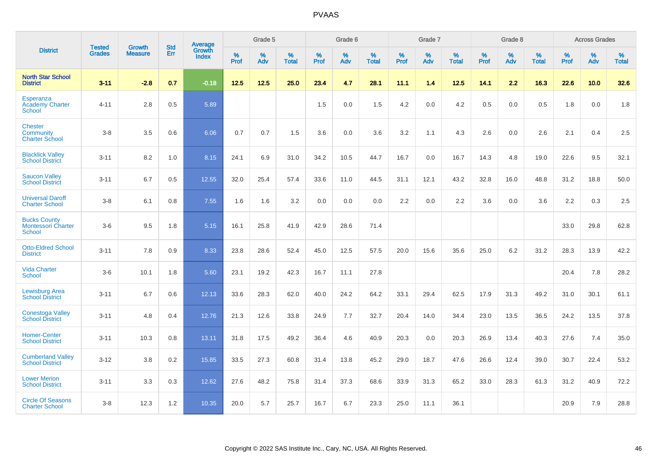|                                                             | <b>Tested</b> | <b>Growth</b>  | <b>Std</b> | Average                       |           | Grade 5  |                   |           | Grade 6  |                   |           | Grade 7  |                   |           | Grade 8  |                   |           | <b>Across Grades</b> |                   |
|-------------------------------------------------------------|---------------|----------------|------------|-------------------------------|-----------|----------|-------------------|-----------|----------|-------------------|-----------|----------|-------------------|-----------|----------|-------------------|-----------|----------------------|-------------------|
| <b>District</b>                                             | <b>Grades</b> | <b>Measure</b> | Err        | <b>Growth</b><br><b>Index</b> | %<br>Prof | %<br>Adv | %<br><b>Total</b> | %<br>Prof | %<br>Adv | %<br><b>Total</b> | %<br>Prof | %<br>Adv | %<br><b>Total</b> | %<br>Prof | %<br>Adv | %<br><b>Total</b> | %<br>Prof | %<br>Adv             | %<br><b>Total</b> |
| <b>North Star School</b><br><b>District</b>                 | $3 - 11$      | $-2.8$         | 0.7        | $-0.18$                       | 12.5      | 12.5     | 25.0              | 23.4      | 4.7      | 28.1              | 11.1      | 1.4      | 12.5              | 14.1      | 2.2      | 16.3              | 22.6      | 10.0                 | 32.6              |
| <b>Esperanza</b><br><b>Academy Charter</b><br><b>School</b> | $4 - 11$      | 2.8            | 0.5        | 5.89                          |           |          |                   | 1.5       | 0.0      | 1.5               | 4.2       | 0.0      | 4.2               | 0.5       | 0.0      | 0.5               | 1.8       | 0.0                  | 1.8               |
| <b>Chester</b><br>Community<br><b>Charter School</b>        | $3 - 8$       | 3.5            | 0.6        | 6.06                          | 0.7       | 0.7      | 1.5               | 3.6       | 0.0      | 3.6               | 3.2       | 1.1      | 4.3               | 2.6       | 0.0      | 2.6               | 2.1       | 0.4                  | 2.5               |
| <b>Blacklick Valley</b><br><b>School District</b>           | $3 - 11$      | 8.2            | 1.0        | 8.15                          | 24.1      | 6.9      | 31.0              | 34.2      | 10.5     | 44.7              | 16.7      | 0.0      | 16.7              | 14.3      | 4.8      | 19.0              | 22.6      | 9.5                  | 32.1              |
| <b>Saucon Valley</b><br><b>School District</b>              | $3 - 11$      | 6.7            | 0.5        | 12.55                         | 32.0      | 25.4     | 57.4              | 33.6      | 11.0     | 44.5              | 31.1      | 12.1     | 43.2              | 32.8      | 16.0     | 48.8              | 31.2      | 18.8                 | 50.0              |
| <b>Universal Daroff</b><br><b>Charter School</b>            | $3 - 8$       | 6.1            | 0.8        | 7.55                          | 1.6       | 1.6      | 3.2               | 0.0       | 0.0      | 0.0               | 2.2       | 0.0      | 2.2               | 3.6       | 0.0      | 3.6               | 2.2       | 0.3                  | 2.5               |
| <b>Bucks County</b><br><b>Montessori Charter</b><br>School  | $3-6$         | 9.5            | 1.8        | 5.15                          | 16.1      | 25.8     | 41.9              | 42.9      | 28.6     | 71.4              |           |          |                   |           |          |                   | 33.0      | 29.8                 | 62.8              |
| <b>Otto-Eldred School</b><br><b>District</b>                | $3 - 11$      | 7.8            | 0.9        | 8.33                          | 23.8      | 28.6     | 52.4              | 45.0      | 12.5     | 57.5              | 20.0      | 15.6     | 35.6              | 25.0      | 6.2      | 31.2              | 28.3      | 13.9                 | 42.2              |
| <b>Vida Charter</b><br><b>School</b>                        | $3-6$         | 10.1           | 1.8        | 5.60                          | 23.1      | 19.2     | 42.3              | 16.7      | 11.1     | 27.8              |           |          |                   |           |          |                   | 20.4      | 7.8                  | 28.2              |
| <b>Lewisburg Area</b><br><b>School District</b>             | $3 - 11$      | 6.7            | 0.6        | 12.13                         | 33.6      | 28.3     | 62.0              | 40.0      | 24.2     | 64.2              | 33.1      | 29.4     | 62.5              | 17.9      | 31.3     | 49.2              | 31.0      | 30.1                 | 61.1              |
| <b>Conestoga Valley</b><br><b>School District</b>           | $3 - 11$      | 4.8            | 0.4        | 12.76                         | 21.3      | 12.6     | 33.8              | 24.9      | 7.7      | 32.7              | 20.4      | 14.0     | 34.4              | 23.0      | 13.5     | 36.5              | 24.2      | 13.5                 | 37.8              |
| <b>Homer-Center</b><br><b>School District</b>               | $3 - 11$      | 10.3           | 0.8        | 13.11                         | 31.8      | 17.5     | 49.2              | 36.4      | 4.6      | 40.9              | 20.3      | 0.0      | 20.3              | 26.9      | 13.4     | 40.3              | 27.6      | 7.4                  | 35.0              |
| <b>Cumberland Valley</b><br><b>School District</b>          | $3 - 12$      | 3.8            | 0.2        | 15.85                         | 33.5      | 27.3     | 60.8              | 31.4      | 13.8     | 45.2              | 29.0      | 18.7     | 47.6              | 26.6      | 12.4     | 39.0              | 30.7      | 22.4                 | 53.2              |
| <b>Lower Merion</b><br><b>School District</b>               | $3 - 11$      | 3.3            | 0.3        | 12.62                         | 27.6      | 48.2     | 75.8              | 31.4      | 37.3     | 68.6              | 33.9      | 31.3     | 65.2              | 33.0      | 28.3     | 61.3              | 31.2      | 40.9                 | 72.2              |
| <b>Circle Of Seasons</b><br><b>Charter School</b>           | $3 - 8$       | 12.3           | 1.2        | 10.35                         | 20.0      | 5.7      | 25.7              | 16.7      | 6.7      | 23.3              | 25.0      | 11.1     | 36.1              |           |          |                   | 20.9      | 7.9                  | 28.8              |